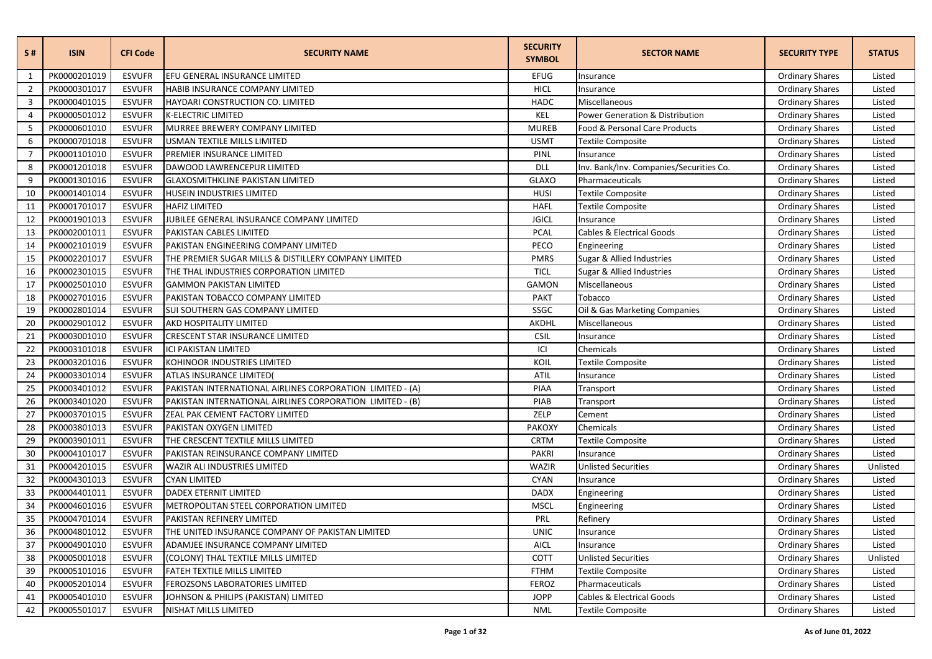| S#             | <b>ISIN</b>  | <b>CFI Code</b> | <b>SECURITY NAME</b>                                      | <b>SECURITY</b><br><b>SYMBOL</b> | <b>SECTOR NAME</b>                         | <b>SECURITY TYPE</b>   | <b>STATUS</b> |
|----------------|--------------|-----------------|-----------------------------------------------------------|----------------------------------|--------------------------------------------|------------------------|---------------|
| 1              | PK0000201019 | <b>ESVUFR</b>   | EFU GENERAL INSURANCE LIMITED                             | <b>EFUG</b>                      | Insurance                                  | <b>Ordinary Shares</b> | Listed        |
| $\overline{2}$ | PK0000301017 | <b>ESVUFR</b>   | HABIB INSURANCE COMPANY LIMITED                           | <b>HICL</b>                      | Insurance                                  | <b>Ordinary Shares</b> | Listed        |
| 3              | PK0000401015 | <b>ESVUFR</b>   | HAYDARI CONSTRUCTION CO. LIMITED                          | <b>HADC</b>                      | Miscellaneous                              | <b>Ordinary Shares</b> | Listed        |
| $\overline{4}$ | PK0000501012 | <b>ESVUFR</b>   | <b>K-ELECTRIC LIMITED</b>                                 | KEL                              | <b>Power Generation &amp; Distribution</b> | <b>Ordinary Shares</b> | Listed        |
| 5              | PK0000601010 | <b>ESVUFR</b>   | MURREE BREWERY COMPANY LIMITED                            | <b>MUREB</b>                     | Food & Personal Care Products              | <b>Ordinary Shares</b> | Listed        |
| 6              | PK0000701018 | <b>ESVUFR</b>   | USMAN TEXTILE MILLS LIMITED                               | <b>USMT</b>                      | <b>Textile Composite</b>                   | <b>Ordinary Shares</b> | Listed        |
| $\overline{7}$ | PK0001101010 | <b>ESVUFR</b>   | PREMIER INSURANCE LIMITED                                 | PINL                             | Insurance                                  | <b>Ordinary Shares</b> | Listed        |
| 8              | PK0001201018 | <b>ESVUFR</b>   | DAWOOD LAWRENCEPUR LIMITED                                | <b>DLL</b>                       | Inv. Bank/Inv. Companies/Securities Co.    | <b>Ordinary Shares</b> | Listed        |
| 9              | PK0001301016 | <b>ESVUFR</b>   | <b>GLAXOSMITHKLINE PAKISTAN LIMITED</b>                   | <b>GLAXO</b>                     | Pharmaceuticals                            | <b>Ordinary Shares</b> | Listed        |
| 10             | PK0001401014 | <b>ESVUFR</b>   | HUSEIN INDUSTRIES LIMITED                                 | <b>HUSI</b>                      | <b>Textile Composite</b>                   | <b>Ordinary Shares</b> | Listed        |
| 11             | PK0001701017 | <b>ESVUFR</b>   | <b>HAFIZ LIMITED</b>                                      | <b>HAFL</b>                      | Textile Composite                          | <b>Ordinary Shares</b> | Listed        |
| 12             | PK0001901013 | <b>ESVUFR</b>   | JUBILEE GENERAL INSURANCE COMPANY LIMITED                 | <b>JGICL</b>                     | Insurance                                  | <b>Ordinary Shares</b> | Listed        |
| 13             | PK0002001011 | <b>ESVUFR</b>   | PAKISTAN CABLES LIMITED                                   | <b>PCAL</b>                      | Cables & Electrical Goods                  | <b>Ordinary Shares</b> | Listed        |
| 14             | PK0002101019 | <b>ESVUFR</b>   | PAKISTAN ENGINEERING COMPANY LIMITED                      | PECO                             | Engineering                                | <b>Ordinary Shares</b> | Listed        |
| 15             | PK0002201017 | <b>ESVUFR</b>   | THE PREMIER SUGAR MILLS & DISTILLERY COMPANY LIMITED      | <b>PMRS</b>                      | Sugar & Allied Industries                  | <b>Ordinary Shares</b> | Listed        |
| 16             | PK0002301015 | <b>ESVUFR</b>   | THE THAL INDUSTRIES CORPORATION LIMITED                   | <b>TICL</b>                      | Sugar & Allied Industries                  | <b>Ordinary Shares</b> | Listed        |
| 17             | PK0002501010 | <b>ESVUFR</b>   | <b>GAMMON PAKISTAN LIMITED</b>                            | <b>GAMON</b>                     | Miscellaneous                              | <b>Ordinary Shares</b> | Listed        |
| 18             | PK0002701016 | <b>ESVUFR</b>   | PAKISTAN TOBACCO COMPANY LIMITED                          | <b>PAKT</b>                      | Tobacco                                    | <b>Ordinary Shares</b> | Listed        |
| 19             | PK0002801014 | <b>ESVUFR</b>   | SUI SOUTHERN GAS COMPANY LIMITED                          | SSGC                             | Oil & Gas Marketing Companies              | <b>Ordinary Shares</b> | Listed        |
| 20             | PK0002901012 | <b>ESVUFR</b>   | AKD HOSPITALITY LIMITED                                   | AKDHL                            | Miscellaneous                              | <b>Ordinary Shares</b> | Listed        |
| 21             | PK0003001010 | <b>ESVUFR</b>   | <b>CRESCENT STAR INSURANCE LIMITED</b>                    | <b>CSIL</b>                      | Insurance                                  | <b>Ordinary Shares</b> | Listed        |
| 22             | PK0003101018 | <b>ESVUFR</b>   | <b>ICI PAKISTAN LIMITED</b>                               | ICI                              | Chemicals                                  | <b>Ordinary Shares</b> | Listed        |
| 23             | PK0003201016 | <b>ESVUFR</b>   | KOHINOOR INDUSTRIES LIMITED                               | KOIL                             | <b>Textile Composite</b>                   | <b>Ordinary Shares</b> | Listed        |
| 24             | PK0003301014 | <b>ESVUFR</b>   | <b>ATLAS INSURANCE LIMITED(</b>                           | <b>ATIL</b>                      | Insurance                                  | <b>Ordinary Shares</b> | Listed        |
| 25             | PK0003401012 | <b>ESVUFR</b>   | PAKISTAN INTERNATIONAL AIRLINES CORPORATION LIMITED - (A) | PIAA                             | Transport                                  | <b>Ordinary Shares</b> | Listed        |
| 26             | PK0003401020 | <b>ESVUFR</b>   | PAKISTAN INTERNATIONAL AIRLINES CORPORATION LIMITED - (B) | PIAB                             | Transport                                  | <b>Ordinary Shares</b> | Listed        |
| 27             | PK0003701015 | <b>ESVUFR</b>   | ZEAL PAK CEMENT FACTORY LIMITED                           | ZELP                             | Cement                                     | <b>Ordinary Shares</b> | Listed        |
| 28             | PK0003801013 | <b>ESVUFR</b>   | PAKISTAN OXYGEN LIMITED                                   | <b>PAKOXY</b>                    | Chemicals                                  | <b>Ordinary Shares</b> | Listed        |
| 29             | PK0003901011 | <b>ESVUFR</b>   | THE CRESCENT TEXTILE MILLS LIMITED                        | <b>CRTM</b>                      | <b>Textile Composite</b>                   | <b>Ordinary Shares</b> | Listed        |
| 30             | PK0004101017 | <b>ESVUFR</b>   | PAKISTAN REINSURANCE COMPANY LIMITED                      | <b>PAKRI</b>                     | Insurance                                  | <b>Ordinary Shares</b> | Listed        |
| 31             | PK0004201015 | <b>ESVUFR</b>   | WAZIR ALI INDUSTRIES LIMITED                              | WAZIR                            | <b>Unlisted Securities</b>                 | <b>Ordinary Shares</b> | Unlisted      |
| 32             | PK0004301013 | <b>ESVUFR</b>   | <b>CYAN LIMITED</b>                                       | <b>CYAN</b>                      | Insurance                                  | <b>Ordinary Shares</b> | Listed        |
| 33             | PK0004401011 | <b>ESVUFR</b>   | DADEX ETERNIT LIMITED                                     | <b>DADX</b>                      | Engineering                                | <b>Ordinary Shares</b> | Listed        |
| 34             | PK0004601016 | <b>ESVUFR</b>   | METROPOLITAN STEEL CORPORATION LIMITED                    | <b>MSCL</b>                      | Engineering                                | <b>Ordinary Shares</b> | Listed        |
| 35             | PK0004701014 | <b>ESVUFR</b>   | PAKISTAN REFINERY LIMITED                                 | PRL                              | Refinery                                   | <b>Ordinary Shares</b> | Listed        |
| 36             | PK0004801012 | <b>ESVUFR</b>   | THE UNITED INSURANCE COMPANY OF PAKISTAN LIMITED          | <b>UNIC</b>                      | Insurance                                  | <b>Ordinary Shares</b> | Listed        |
| 37             | PK0004901010 | <b>ESVUFR</b>   | ADAMJEE INSURANCE COMPANY LIMITED                         | <b>AICL</b>                      | Insurance                                  | <b>Ordinary Shares</b> | Listed        |
| 38             | PK0005001018 | <b>ESVUFR</b>   | (COLONY) THAL TEXTILE MILLS LIMITED                       | COTT                             | <b>Unlisted Securities</b>                 | <b>Ordinary Shares</b> | Unlisted      |
| 39             | PK0005101016 | <b>ESVUFR</b>   | FATEH TEXTILE MILLS LIMITED                               | <b>FTHM</b>                      | <b>Textile Composite</b>                   | <b>Ordinary Shares</b> | Listed        |
| 40             | PK0005201014 | <b>ESVUFR</b>   | FEROZSONS LABORATORIES LIMITED                            | <b>FEROZ</b>                     | Pharmaceuticals                            | <b>Ordinary Shares</b> | Listed        |
| 41             | PK0005401010 | <b>ESVUFR</b>   | JOHNSON & PHILIPS (PAKISTAN) LIMITED                      | <b>JOPP</b>                      | <b>Cables &amp; Electrical Goods</b>       | <b>Ordinary Shares</b> | Listed        |
| 42             | PK0005501017 | <b>ESVUFR</b>   | NISHAT MILLS LIMITED                                      | <b>NML</b>                       | <b>Textile Composite</b>                   | <b>Ordinary Shares</b> | Listed        |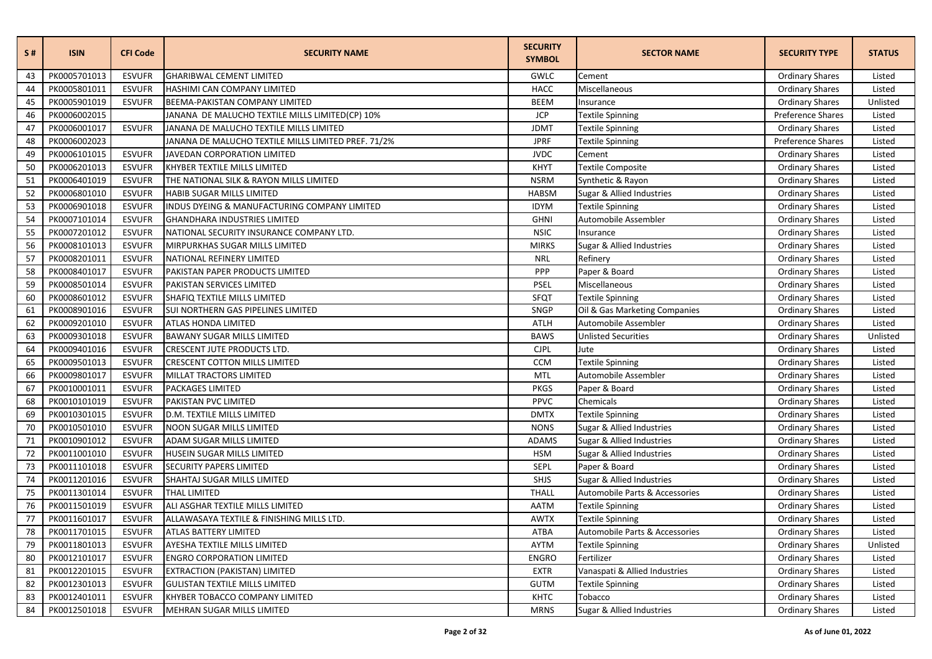| S#     | <b>ISIN</b>  | <b>CFI Code</b> | <b>SECURITY NAME</b>                                | <b>SECURITY</b><br><b>SYMBOL</b> | <b>SECTOR NAME</b>             | <b>SECURITY TYPE</b>   | <b>STATUS</b> |
|--------|--------------|-----------------|-----------------------------------------------------|----------------------------------|--------------------------------|------------------------|---------------|
| 43     | PK0005701013 | <b>ESVUFR</b>   | <b>GHARIBWAL CEMENT LIMITED</b>                     | GWLC                             | Cement                         | <b>Ordinary Shares</b> | Listed        |
| 44     | PK0005801011 | <b>ESVUFR</b>   | <b>HASHIMI CAN COMPANY LIMITED</b>                  | <b>HACC</b>                      | Miscellaneous                  | <b>Ordinary Shares</b> | Listed        |
| 45     | PK0005901019 | <b>ESVUFR</b>   | BEEMA-PAKISTAN COMPANY LIMITED                      | <b>BEEM</b>                      | Insurance                      | <b>Ordinary Shares</b> | Unlisted      |
| 46     | PK0006002015 |                 | JANANA DE MALUCHO TEXTILE MILLS LIMITED(CP) 10%     | <b>JCP</b>                       | Textile Spinning               | Preference Shares      | Listed        |
| 47     | PK0006001017 | <b>ESVUFR</b>   | JANANA DE MALUCHO TEXTILE MILLS LIMITED             | <b>JDMT</b>                      | <b>Textile Spinning</b>        | <b>Ordinary Shares</b> | Listed        |
| 48     | PK0006002023 |                 | JANANA DE MALUCHO TEXTILE MILLS LIMITED PREF. 71/2% | <b>JPRF</b>                      | Textile Spinning               | Preference Shares      | Listed        |
| 49     | PK0006101015 | <b>ESVUFR</b>   | JAVEDAN CORPORATION LIMITED                         | <b>JVDC</b>                      | Cement                         | <b>Ordinary Shares</b> | Listed        |
| 50     | PK0006201013 | <b>ESVUFR</b>   | KHYBER TEXTILE MILLS LIMITED                        | <b>KHYT</b>                      | Textile Composite              | <b>Ordinary Shares</b> | Listed        |
| 51     | PK0006401019 | <b>ESVUFR</b>   | THE NATIONAL SILK & RAYON MILLS LIMITED             | <b>NSRM</b>                      | Synthetic & Rayon              | <b>Ordinary Shares</b> | Listed        |
| 52     | PK0006801010 | <b>ESVUFR</b>   | HABIB SUGAR MILLS LIMITED                           | <b>HABSM</b>                     | Sugar & Allied Industries      | <b>Ordinary Shares</b> | Listed        |
| 53     | PK0006901018 | <b>ESVUFR</b>   | INDUS DYEING & MANUFACTURING COMPANY LIMITED        | <b>IDYM</b>                      | Textile Spinning               | <b>Ordinary Shares</b> | Listed        |
| 54     | PK0007101014 | <b>ESVUFR</b>   | <b>GHANDHARA INDUSTRIES LIMITED</b>                 | <b>GHNI</b>                      | Automobile Assembler           | <b>Ordinary Shares</b> | Listed        |
| 55     | PK0007201012 | <b>ESVUFR</b>   | NATIONAL SECURITY INSURANCE COMPANY LTD.            | <b>NSIC</b>                      | Insurance                      | <b>Ordinary Shares</b> | Listed        |
| 56     | PK0008101013 | <b>ESVUFR</b>   | MIRPURKHAS SUGAR MILLS LIMITED                      | <b>MIRKS</b>                     | Sugar & Allied Industries      | <b>Ordinary Shares</b> | Listed        |
| 57     | PK0008201011 | <b>ESVUFR</b>   | NATIONAL REFINERY LIMITED                           | <b>NRL</b>                       | Refinery                       | <b>Ordinary Shares</b> | Listed        |
| 58     | PK0008401017 | <b>ESVUFR</b>   | PAKISTAN PAPER PRODUCTS LIMITED                     | PPP                              | Paper & Board                  | <b>Ordinary Shares</b> | Listed        |
| 59     | PK0008501014 | <b>ESVUFR</b>   | PAKISTAN SERVICES LIMITED                           | <b>PSEL</b>                      | Miscellaneous                  | <b>Ordinary Shares</b> | Listed        |
| 60     | PK0008601012 | <b>ESVUFR</b>   | SHAFIQ TEXTILE MILLS LIMITED                        | <b>SFQT</b>                      | Textile Spinning               | <b>Ordinary Shares</b> | Listed        |
| 61     | PK0008901016 | <b>ESVUFR</b>   | SUI NORTHERN GAS PIPELINES LIMITED                  | SNGP                             | Oil & Gas Marketing Companies  | <b>Ordinary Shares</b> | Listed        |
| 62     | PK0009201010 | <b>ESVUFR</b>   | <b>ATLAS HONDA LIMITED</b>                          | ATLH                             | Automobile Assembler           | <b>Ordinary Shares</b> | Listed        |
| 63     | PK0009301018 | <b>ESVUFR</b>   | <b>BAWANY SUGAR MILLS LIMITED</b>                   | <b>BAWS</b>                      | <b>Unlisted Securities</b>     | <b>Ordinary Shares</b> | Unlisted      |
| 64     | PK0009401016 | <b>ESVUFR</b>   | <b>CRESCENT JUTE PRODUCTS LTD.</b>                  | <b>CJPL</b>                      | Jute                           | <b>Ordinary Shares</b> | Listed        |
| 65     | PK0009501013 | <b>ESVUFR</b>   | <b>CRESCENT COTTON MILLS LIMITED</b>                | <b>CCM</b>                       | Textile Spinning               | <b>Ordinary Shares</b> | Listed        |
| 66     | PK0009801017 | <b>ESVUFR</b>   | MILLAT TRACTORS LIMITED                             | <b>MTL</b>                       | Automobile Assembler           | <b>Ordinary Shares</b> | Listed        |
| 67     | PK0010001011 | <b>ESVUFR</b>   | PACKAGES LIMITED                                    | <b>PKGS</b>                      | Paper & Board                  | <b>Ordinary Shares</b> | Listed        |
| 68     | PK0010101019 | <b>ESVUFR</b>   | PAKISTAN PVC LIMITED                                | PPVC                             | Chemicals                      | <b>Ordinary Shares</b> | Listed        |
| 69     | PK0010301015 | <b>ESVUFR</b>   | D.M. TEXTILE MILLS LIMITED                          | <b>DMTX</b>                      | Textile Spinning               | <b>Ordinary Shares</b> | Listed        |
| 70     | PK0010501010 | <b>ESVUFR</b>   | <b>NOON SUGAR MILLS LIMITED</b>                     | <b>NONS</b>                      | Sugar & Allied Industries      | <b>Ordinary Shares</b> | Listed        |
| 71     | PK0010901012 | <b>ESVUFR</b>   | ADAM SUGAR MILLS LIMITED                            | <b>ADAMS</b>                     | Sugar & Allied Industries      | <b>Ordinary Shares</b> | Listed        |
| 72     | PK0011001010 | <b>ESVUFR</b>   | HUSEIN SUGAR MILLS LIMITED                          | <b>HSM</b>                       | Sugar & Allied Industries      | <b>Ordinary Shares</b> | Listed        |
| $73\,$ | PK0011101018 | <b>ESVUFR</b>   | <b>SECURITY PAPERS LIMITED</b>                      | SEPL                             | Paper & Board                  | <b>Ordinary Shares</b> | Listed        |
| 74     | PK0011201016 | <b>ESVUFR</b>   | SHAHTAJ SUGAR MILLS LIMITED                         | SHJS                             | Sugar & Allied Industries      | <b>Ordinary Shares</b> | Listed        |
| 75     | PK0011301014 | <b>ESVUFR</b>   | <b>THAL LIMITED</b>                                 | <b>THALL</b>                     | Automobile Parts & Accessories | <b>Ordinary Shares</b> | Listed        |
| 76     | PK0011501019 | <b>ESVUFR</b>   | ALI ASGHAR TEXTILE MILLS LIMITED                    | AATM                             | Textile Spinning               | <b>Ordinary Shares</b> | Listed        |
| 77     | PK0011601017 | <b>ESVUFR</b>   | ALLAWASAYA TEXTILE & FINISHING MILLS LTD.           | <b>AWTX</b>                      | Textile Spinning               | <b>Ordinary Shares</b> | Listed        |
| 78     | PK0011701015 | <b>ESVUFR</b>   | ATLAS BATTERY LIMITED                               | <b>ATBA</b>                      | Automobile Parts & Accessories | <b>Ordinary Shares</b> | Listed        |
| 79     | PK0011801013 | <b>ESVUFR</b>   | AYESHA TEXTILE MILLS LIMITED                        | <b>AYTM</b>                      | Textile Spinning               | <b>Ordinary Shares</b> | Unlisted      |
| 80     | PK0012101017 | <b>ESVUFR</b>   | <b>ENGRO CORPORATION LIMITED</b>                    | <b>ENGRO</b>                     | Fertilizer                     | <b>Ordinary Shares</b> | Listed        |
| 81     | PK0012201015 | <b>ESVUFR</b>   | EXTRACTION (PAKISTAN) LIMITED                       | <b>EXTR</b>                      | Vanaspati & Allied Industries  | <b>Ordinary Shares</b> | Listed        |
| 82     | PK0012301013 | <b>ESVUFR</b>   | <b>GULISTAN TEXTILE MILLS LIMITED</b>               | <b>GUTM</b>                      | Textile Spinning               | <b>Ordinary Shares</b> | Listed        |
| 83     | PK0012401011 | <b>ESVUFR</b>   | KHYBER TOBACCO COMPANY LIMITED                      | <b>KHTC</b>                      | Tobacco                        | <b>Ordinary Shares</b> | Listed        |
| 84     | PK0012501018 | <b>ESVUFR</b>   | <b>MEHRAN SUGAR MILLS LIMITED</b>                   | <b>MRNS</b>                      | Sugar & Allied Industries      | <b>Ordinary Shares</b> | Listed        |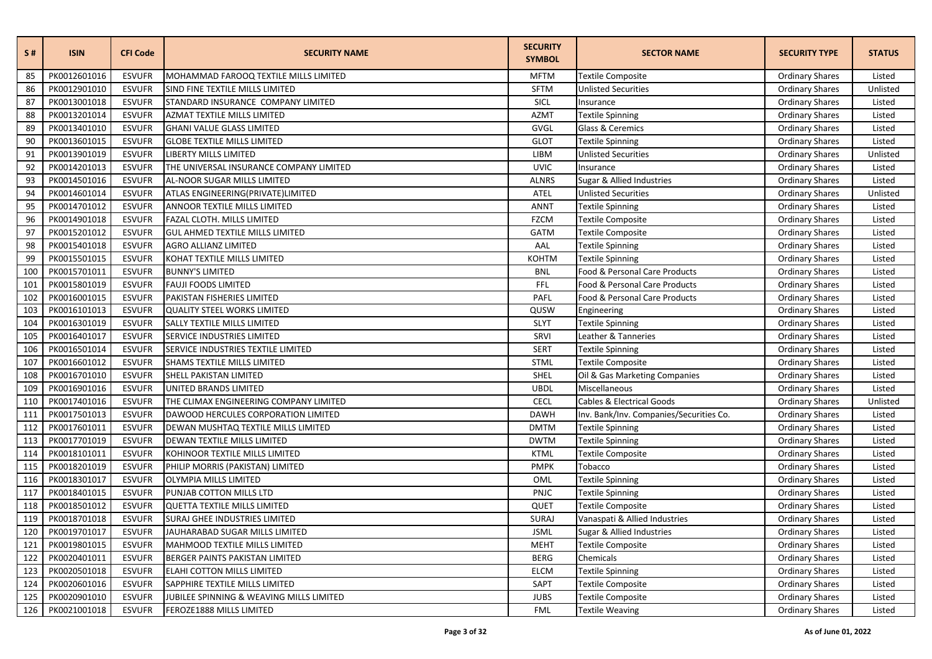| S#  | <b>ISIN</b>  | <b>CFI Code</b> | <b>SECURITY NAME</b>                     | <b>SECURITY</b><br><b>SYMBOL</b> | <b>SECTOR NAME</b>                      | <b>SECURITY TYPE</b>   | <b>STATUS</b> |
|-----|--------------|-----------------|------------------------------------------|----------------------------------|-----------------------------------------|------------------------|---------------|
| 85  | PK0012601016 | <b>ESVUFR</b>   | MOHAMMAD FAROOQ TEXTILE MILLS LIMITED    | <b>MFTM</b>                      | <b>Textile Composite</b>                | <b>Ordinary Shares</b> | Listed        |
| 86  | PK0012901010 | <b>ESVUFR</b>   | SIND FINE TEXTILE MILLS LIMITED          | <b>SFTM</b>                      | <b>Unlisted Securities</b>              | <b>Ordinary Shares</b> | Unlisted      |
| 87  | PK0013001018 | <b>ESVUFR</b>   | STANDARD INSURANCE COMPANY LIMITED       | SICL                             | Insurance                               | <b>Ordinary Shares</b> | Listed        |
| 88  | PK0013201014 | <b>ESVUFR</b>   | AZMAT TEXTILE MILLS LIMITED              | <b>AZMT</b>                      | <b>Textile Spinning</b>                 | <b>Ordinary Shares</b> | Listed        |
| 89  | PK0013401010 | <b>ESVUFR</b>   | <b>GHANI VALUE GLASS LIMITED</b>         | GVGL                             | Glass & Ceremics                        | <b>Ordinary Shares</b> | Listed        |
| 90  | PK0013601015 | <b>ESVUFR</b>   | <b>GLOBE TEXTILE MILLS LIMITED</b>       | <b>GLOT</b>                      | Textile Spinning                        | <b>Ordinary Shares</b> | Listed        |
| 91  | PK0013901019 | <b>ESVUFR</b>   | LIBERTY MILLS LIMITED                    | LIBM                             | <b>Unlisted Securities</b>              | <b>Ordinary Shares</b> | Unlisted      |
| 92  | PK0014201013 | <b>ESVUFR</b>   | THE UNIVERSAL INSURANCE COMPANY LIMITED  | <b>UVIC</b>                      | Insurance                               | <b>Ordinary Shares</b> | Listed        |
| 93  | PK0014501016 | <b>ESVUFR</b>   | AL-NOOR SUGAR MILLS LIMITED              | <b>ALNRS</b>                     | Sugar & Allied Industries               | <b>Ordinary Shares</b> | Listed        |
| 94  | PK0014601014 | <b>ESVUFR</b>   | ATLAS ENGINEERING(PRIVATE)LIMITED        | <b>ATEL</b>                      | <b>Unlisted Securities</b>              | <b>Ordinary Shares</b> | Unlisted      |
| 95  | PK0014701012 | <b>ESVUFR</b>   | ANNOOR TEXTILE MILLS LIMITED             | <b>ANNT</b>                      | Textile Spinning                        | <b>Ordinary Shares</b> | Listed        |
| 96  | PK0014901018 | <b>ESVUFR</b>   | FAZAL CLOTH. MILLS LIMITED               | <b>FZCM</b>                      | Textile Composite                       | <b>Ordinary Shares</b> | Listed        |
| 97  | PK0015201012 | <b>ESVUFR</b>   | GUL AHMED TEXTILE MILLS LIMITED          | <b>GATM</b>                      | Textile Composite                       | <b>Ordinary Shares</b> | Listed        |
| 98  | PK0015401018 | <b>ESVUFR</b>   | AGRO ALLIANZ LIMITED                     | AAL                              | Textile Spinning                        | <b>Ordinary Shares</b> | Listed        |
| 99  | PK0015501015 | <b>ESVUFR</b>   | KOHAT TEXTILE MILLS LIMITED              | <b>KOHTM</b>                     | <b>Textile Spinning</b>                 | <b>Ordinary Shares</b> | Listed        |
| 100 | PK0015701011 | <b>ESVUFR</b>   | <b>BUNNY'S LIMITED</b>                   | <b>BNL</b>                       | Food & Personal Care Products           | <b>Ordinary Shares</b> | Listed        |
| 101 | PK0015801019 | <b>ESVUFR</b>   | <b>FAUJI FOODS LIMITED</b>               | <b>FFL</b>                       | Food & Personal Care Products           | <b>Ordinary Shares</b> | Listed        |
| 102 | PK0016001015 | <b>ESVUFR</b>   | PAKISTAN FISHERIES LIMITED               | PAFL                             | Food & Personal Care Products           | <b>Ordinary Shares</b> | Listed        |
| 103 | PK0016101013 | <b>ESVUFR</b>   | <b>QUALITY STEEL WORKS LIMITED</b>       | QUSW                             | Engineering                             | <b>Ordinary Shares</b> | Listed        |
| 104 | PK0016301019 | <b>ESVUFR</b>   | SALLY TEXTILE MILLS LIMITED              | <b>SLYT</b>                      | Textile Spinning                        | <b>Ordinary Shares</b> | Listed        |
| 105 | PK0016401017 | <b>ESVUFR</b>   | SERVICE INDUSTRIES LIMITED               | SRVI                             | Leather & Tanneries                     | <b>Ordinary Shares</b> | Listed        |
| 106 | PK0016501014 | <b>ESVUFR</b>   | SERVICE INDUSTRIES TEXTILE LIMITED       | <b>SERT</b>                      | <b>Textile Spinning</b>                 | <b>Ordinary Shares</b> | Listed        |
| 107 | PK0016601012 | <b>ESVUFR</b>   | SHAMS TEXTILE MILLS LIMITED              | <b>STML</b>                      | <b>Textile Composite</b>                | <b>Ordinary Shares</b> | Listed        |
| 108 | PK0016701010 | <b>ESVUFR</b>   | SHELL PAKISTAN LIMITED                   | <b>SHEL</b>                      | Oil & Gas Marketing Companies           | <b>Ordinary Shares</b> | Listed        |
| 109 | PK0016901016 | <b>ESVUFR</b>   | UNITED BRANDS LIMITED                    | <b>UBDL</b>                      | Miscellaneous                           | <b>Ordinary Shares</b> | Listed        |
| 110 | PK0017401016 | <b>ESVUFR</b>   | THE CLIMAX ENGINEERING COMPANY LIMITED   | <b>CECL</b>                      | Cables & Electrical Goods               | <b>Ordinary Shares</b> | Unlisted      |
| 111 | PK0017501013 | <b>ESVUFR</b>   | DAWOOD HERCULES CORPORATION LIMITED      | <b>DAWH</b>                      | Inv. Bank/Inv. Companies/Securities Co. | <b>Ordinary Shares</b> | Listed        |
| 112 | PK0017601011 | <b>ESVUFR</b>   | DEWAN MUSHTAQ TEXTILE MILLS LIMITED      | <b>DMTM</b>                      | Textile Spinning                        | <b>Ordinary Shares</b> | Listed        |
| 113 | PK0017701019 | <b>ESVUFR</b>   | DEWAN TEXTILE MILLS LIMITED              | <b>DWTM</b>                      | Textile Spinning                        | <b>Ordinary Shares</b> | Listed        |
| 114 | PK0018101011 | <b>ESVUFR</b>   | KOHINOOR TEXTILE MILLS LIMITED           | <b>KTML</b>                      | Textile Composite                       | <b>Ordinary Shares</b> | Listed        |
| 115 | PK0018201019 | <b>ESVUFR</b>   | PHILIP MORRIS (PAKISTAN) LIMITED         | <b>PMPK</b>                      | Tobacco                                 | <b>Ordinary Shares</b> | Listed        |
| 116 | PK0018301017 | <b>ESVUFR</b>   | <b>OLYMPIA MILLS LIMITED</b>             | OML                              | <b>Textile Spinning</b>                 | <b>Ordinary Shares</b> | Listed        |
| 117 | PK0018401015 | <b>ESVUFR</b>   | PUNJAB COTTON MILLS LTD                  | PNJC                             | Textile Spinning                        | <b>Ordinary Shares</b> | Listed        |
| 118 | PK0018501012 | <b>ESVUFR</b>   | <b>QUETTA TEXTILE MILLS LIMITED</b>      | QUET                             | <b>Textile Composite</b>                | <b>Ordinary Shares</b> | Listed        |
| 119 | PK0018701018 | <b>ESVUFR</b>   | SURAJ GHEE INDUSTRIES LIMITED            | SURAJ                            | Vanaspati & Allied Industries           | <b>Ordinary Shares</b> | Listed        |
| 120 | PK0019701017 | <b>ESVUFR</b>   | JAUHARABAD SUGAR MILLS LIMITED           | <b>JSML</b>                      | Sugar & Allied Industries               | <b>Ordinary Shares</b> | Listed        |
| 121 | PK0019801015 | <b>ESVUFR</b>   | MAHMOOD TEXTILE MILLS LIMITED            | <b>MEHT</b>                      | Textile Composite                       | <b>Ordinary Shares</b> | Listed        |
| 122 | PK0020401011 | <b>ESVUFR</b>   | BERGER PAINTS PAKISTAN LIMITED           | <b>BERG</b>                      | Chemicals                               | <b>Ordinary Shares</b> | Listed        |
| 123 | PK0020501018 | <b>ESVUFR</b>   | ELAHI COTTON MILLS LIMITED               | <b>ELCM</b>                      | <b>Textile Spinning</b>                 | <b>Ordinary Shares</b> | Listed        |
| 124 | PK0020601016 | <b>ESVUFR</b>   | SAPPHIRE TEXTILE MILLS LIMITED           | <b>SAPT</b>                      | Textile Composite                       | <b>Ordinary Shares</b> | Listed        |
| 125 | PK0020901010 | <b>ESVUFR</b>   | JUBILEE SPINNING & WEAVING MILLS LIMITED | <b>JUBS</b>                      | Textile Composite                       | <b>Ordinary Shares</b> | Listed        |
| 126 | PK0021001018 | <b>ESVUFR</b>   | FEROZE1888 MILLS LIMITED                 | <b>FML</b>                       | <b>Textile Weaving</b>                  | <b>Ordinary Shares</b> | Listed        |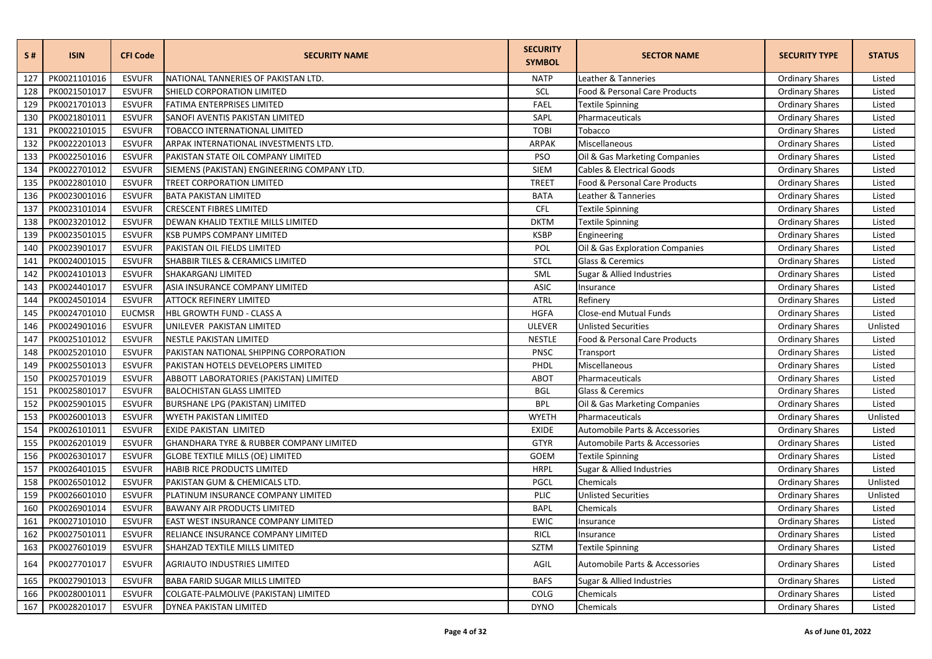| S#  | <b>ISIN</b>  | <b>CFI Code</b> | <b>SECURITY NAME</b>                        | <b>SECURITY</b><br><b>SYMBOL</b> | <b>SECTOR NAME</b>                   | <b>SECURITY TYPE</b>   | <b>STATUS</b> |
|-----|--------------|-----------------|---------------------------------------------|----------------------------------|--------------------------------------|------------------------|---------------|
| 127 | PK0021101016 | <b>ESVUFR</b>   | NATIONAL TANNERIES OF PAKISTAN LTD.         | <b>NATP</b>                      | Leather & Tanneries                  | <b>Ordinary Shares</b> | Listed        |
| 128 | PK0021501017 | <b>ESVUFR</b>   | SHIELD CORPORATION LIMITED                  | <b>SCL</b>                       | Food & Personal Care Products        | <b>Ordinary Shares</b> | Listed        |
| 129 | PK0021701013 | <b>ESVUFR</b>   | FATIMA ENTERPRISES LIMITED                  | <b>FAEL</b>                      | <b>Textile Spinning</b>              | <b>Ordinary Shares</b> | Listed        |
| 130 | PK0021801011 | <b>ESVUFR</b>   | SANOFI AVENTIS PAKISTAN LIMITED             | SAPL                             | Pharmaceuticals                      | <b>Ordinary Shares</b> | Listed        |
| 131 | PK0022101015 | <b>ESVUFR</b>   | TOBACCO INTERNATIONAL LIMITED               | <b>TOBI</b>                      | Tobacco                              | <b>Ordinary Shares</b> | Listed        |
| 132 | PK0022201013 | <b>ESVUFR</b>   | ARPAK INTERNATIONAL INVESTMENTS LTD.        | ARPAK                            | Miscellaneous                        | <b>Ordinary Shares</b> | Listed        |
| 133 | PK0022501016 | <b>ESVUFR</b>   | PAKISTAN STATE OIL COMPANY LIMITED          | <b>PSO</b>                       | Oil & Gas Marketing Companies        | <b>Ordinary Shares</b> | Listed        |
| 134 | PK0022701012 | <b>ESVUFR</b>   | SIEMENS (PAKISTAN) ENGINEERING COMPANY LTD. | <b>SIEM</b>                      | <b>Cables &amp; Electrical Goods</b> | <b>Ordinary Shares</b> | Listed        |
| 135 | PK0022801010 | <b>ESVUFR</b>   | <b>TREET CORPORATION LIMITED</b>            | <b>TREET</b>                     | Food & Personal Care Products        | <b>Ordinary Shares</b> | Listed        |
| 136 | PK0023001016 | <b>ESVUFR</b>   | <b>BATA PAKISTAN LIMITED</b>                | <b>BATA</b>                      | Leather & Tanneries                  | <b>Ordinary Shares</b> | Listed        |
| 137 | PK0023101014 | <b>ESVUFR</b>   | <b>CRESCENT FIBRES LIMITED</b>              | <b>CFL</b>                       | <b>Textile Spinning</b>              | <b>Ordinary Shares</b> | Listed        |
| 138 | PK0023201012 | <b>ESVUFR</b>   | DEWAN KHALID TEXTILE MILLS LIMITED          | <b>DKTM</b>                      | <b>Textile Spinning</b>              | <b>Ordinary Shares</b> | Listed        |
| 139 | PK0023501015 | <b>ESVUFR</b>   | KSB PUMPS COMPANY LIMITED                   | <b>KSBP</b>                      | Engineering                          | <b>Ordinary Shares</b> | Listed        |
| 140 | PK0023901017 | <b>ESVUFR</b>   | PAKISTAN OIL FIELDS LIMITED                 | POL                              | Oil & Gas Exploration Companies      | <b>Ordinary Shares</b> | Listed        |
| 141 | PK0024001015 | <b>ESVUFR</b>   | SHABBIR TILES & CERAMICS LIMITED            | <b>STCL</b>                      | Glass & Ceremics                     | <b>Ordinary Shares</b> | Listed        |
| 142 | PK0024101013 | <b>ESVUFR</b>   | SHAKARGANJ LIMITED                          | SML                              | Sugar & Allied Industries            | <b>Ordinary Shares</b> | Listed        |
| 143 | PK0024401017 | <b>ESVUFR</b>   | ASIA INSURANCE COMPANY LIMITED              | <b>ASIC</b>                      | Insurance                            | <b>Ordinary Shares</b> | Listed        |
| 144 | PK0024501014 | <b>ESVUFR</b>   | <b>ATTOCK REFINERY LIMITED</b>              | <b>ATRL</b>                      | Refinery                             | <b>Ordinary Shares</b> | Listed        |
| 145 | PK0024701010 | <b>EUCMSR</b>   | HBL GROWTH FUND - CLASS A                   | <b>HGFA</b>                      | Close-end Mutual Funds               | <b>Ordinary Shares</b> | Listed        |
| 146 | PK0024901016 | <b>ESVUFR</b>   | UNILEVER PAKISTAN LIMITED                   | <b>ULEVER</b>                    | <b>Unlisted Securities</b>           | <b>Ordinary Shares</b> | Unlisted      |
| 147 | PK0025101012 | <b>ESVUFR</b>   | NESTLE PAKISTAN LIMITED                     | <b>NESTLE</b>                    | Food & Personal Care Products        | <b>Ordinary Shares</b> | Listed        |
| 148 | PK0025201010 | <b>ESVUFR</b>   | PAKISTAN NATIONAL SHIPPING CORPORATION      | PNSC                             | Transport                            | <b>Ordinary Shares</b> | Listed        |
| 149 | PK0025501013 | <b>ESVUFR</b>   | PAKISTAN HOTELS DEVELOPERS LIMITED          | PHDL                             | Miscellaneous                        | <b>Ordinary Shares</b> | Listed        |
| 150 | PK0025701019 | <b>ESVUFR</b>   | ABBOTT LABORATORIES (PAKISTAN) LIMITED      | <b>ABOT</b>                      | Pharmaceuticals                      | <b>Ordinary Shares</b> | Listed        |
| 151 | PK0025801017 | <b>ESVUFR</b>   | <b>BALOCHISTAN GLASS LIMITED</b>            | <b>BGL</b>                       | Glass & Ceremics                     | <b>Ordinary Shares</b> | Listed        |
| 152 | PK0025901015 | <b>ESVUFR</b>   | <b>BURSHANE LPG (PAKISTAN) LIMITED</b>      | <b>BPL</b>                       | Oil & Gas Marketing Companies        | <b>Ordinary Shares</b> | Listed        |
| 153 | PK0026001013 | <b>ESVUFR</b>   | WYETH PAKISTAN LIMITED                      | <b>WYETH</b>                     | Pharmaceuticals                      | <b>Ordinary Shares</b> | Unlisted      |
| 154 | PK0026101011 | <b>ESVUFR</b>   | EXIDE PAKISTAN LIMITED                      | <b>EXIDE</b>                     | Automobile Parts & Accessories       | <b>Ordinary Shares</b> | Listed        |
| 155 | PK0026201019 | <b>ESVUFR</b>   | GHANDHARA TYRE & RUBBER COMPANY LIMITED     | <b>GTYR</b>                      | Automobile Parts & Accessories       | <b>Ordinary Shares</b> | Listed        |
| 156 | PK0026301017 | <b>ESVUFR</b>   | <b>GLOBE TEXTILE MILLS (OE) LIMITED</b>     | GOEM                             | <b>Textile Spinning</b>              | <b>Ordinary Shares</b> | Listed        |
| 157 | PK0026401015 | <b>ESVUFR</b>   | HABIB RICE PRODUCTS LIMITED                 | <b>HRPL</b>                      | Sugar & Allied Industries            | <b>Ordinary Shares</b> | Listed        |
| 158 | PK0026501012 | <b>ESVUFR</b>   | PAKISTAN GUM & CHEMICALS LTD.               | PGCL                             | Chemicals                            | <b>Ordinary Shares</b> | Unlisted      |
| 159 | PK0026601010 | <b>ESVUFR</b>   | PLATINUM INSURANCE COMPANY LIMITED          | PLIC                             | <b>Unlisted Securities</b>           | <b>Ordinary Shares</b> | Unlisted      |
| 160 | PK0026901014 | <b>ESVUFR</b>   | <b>BAWANY AIR PRODUCTS LIMITED</b>          | <b>BAPL</b>                      | Chemicals                            | <b>Ordinary Shares</b> | Listed        |
| 161 | PK0027101010 | <b>ESVUFR</b>   | EAST WEST INSURANCE COMPANY LIMITED         | <b>EWIC</b>                      | Insurance                            | <b>Ordinary Shares</b> | Listed        |
| 162 | PK0027501011 | <b>ESVUFR</b>   | RELIANCE INSURANCE COMPANY LIMITED          | <b>RICL</b>                      | Insurance                            | <b>Ordinary Shares</b> | Listed        |
| 163 | PK0027601019 | <b>ESVUFR</b>   | SHAHZAD TEXTILE MILLS LIMITED               | <b>SZTM</b>                      | <b>Textile Spinning</b>              | <b>Ordinary Shares</b> | Listed        |
| 164 | PK0027701017 | <b>ESVUFR</b>   | AGRIAUTO INDUSTRIES LIMITED                 | AGIL                             | Automobile Parts & Accessories       | <b>Ordinary Shares</b> | Listed        |
| 165 | PK0027901013 | <b>ESVUFR</b>   | <b>BABA FARID SUGAR MILLS LIMITED</b>       | <b>BAFS</b>                      | Sugar & Allied Industries            | <b>Ordinary Shares</b> | Listed        |
| 166 | PK0028001011 | <b>ESVUFR</b>   | COLGATE-PALMOLIVE (PAKISTAN) LIMITED        | COLG                             | Chemicals                            | <b>Ordinary Shares</b> | Listed        |
| 167 | PK0028201017 | <b>ESVUFR</b>   | DYNEA PAKISTAN LIMITED                      | <b>DYNO</b>                      | Chemicals                            | <b>Ordinary Shares</b> | Listed        |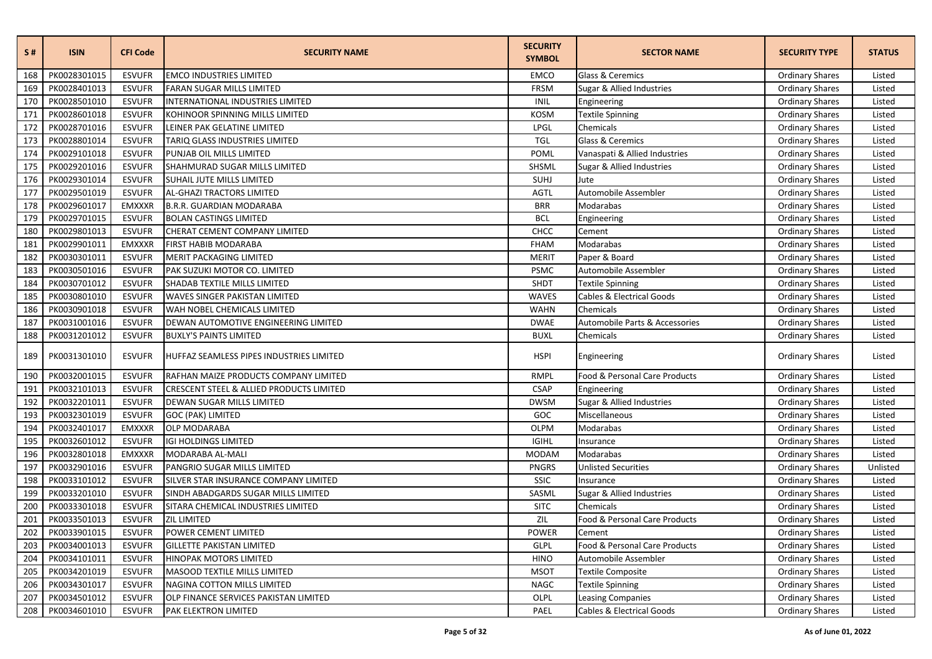| S#  | <b>ISIN</b>      | <b>CFI Code</b> | <b>SECURITY NAME</b>                     | <b>SECURITY</b><br><b>SYMBOL</b> | <b>SECTOR NAME</b>                   | <b>SECURITY TYPE</b>   | <b>STATUS</b> |
|-----|------------------|-----------------|------------------------------------------|----------------------------------|--------------------------------------|------------------------|---------------|
| 168 | PK0028301015     | <b>ESVUFR</b>   | <b>EMCO INDUSTRIES LIMITED</b>           | <b>EMCO</b>                      | Glass & Ceremics                     | <b>Ordinary Shares</b> | Listed        |
| 169 | PK0028401013     | <b>ESVUFR</b>   | FARAN SUGAR MILLS LIMITED                | FRSM                             | Sugar & Allied Industries            | <b>Ordinary Shares</b> | Listed        |
| 170 | PK0028501010     | <b>ESVUFR</b>   | INTERNATIONAL INDUSTRIES LIMITED         | <b>INIL</b>                      | Engineering                          | <b>Ordinary Shares</b> | Listed        |
| 171 | PK0028601018     | <b>ESVUFR</b>   | KOHINOOR SPINNING MILLS LIMITED          | <b>KOSM</b>                      | Textile Spinning                     | <b>Ordinary Shares</b> | Listed        |
| 172 | PK0028701016     | <b>ESVUFR</b>   | LEINER PAK GELATINE LIMITED              | LPGL                             | Chemicals                            | <b>Ordinary Shares</b> | Listed        |
| 173 | PK0028801014     | <b>ESVUFR</b>   | TARIQ GLASS INDUSTRIES LIMITED           | <b>TGL</b>                       | Glass & Ceremics                     | <b>Ordinary Shares</b> | Listed        |
| 174 | PK0029101018     | <b>ESVUFR</b>   | PUNJAB OIL MILLS LIMITED                 | POML                             | Vanaspati & Allied Industries        | <b>Ordinary Shares</b> | Listed        |
| 175 | PK0029201016     | <b>ESVUFR</b>   | SHAHMURAD SUGAR MILLS LIMITED            | SHSML                            | Sugar & Allied Industries            | <b>Ordinary Shares</b> | Listed        |
| 176 | PK0029301014     | <b>ESVUFR</b>   | SUHAIL JUTE MILLS LIMITED                | SUHJ                             | Jute                                 | <b>Ordinary Shares</b> | Listed        |
| 177 | PK0029501019     | <b>ESVUFR</b>   | AL-GHAZI TRACTORS LIMITED                | <b>AGTL</b>                      | Automobile Assembler                 | <b>Ordinary Shares</b> | Listed        |
| 178 | PK0029601017     | <b>EMXXXR</b>   | B.R.R. GUARDIAN MODARABA                 | <b>BRR</b>                       | Modarabas                            | <b>Ordinary Shares</b> | Listed        |
| 179 | PK0029701015     | <b>ESVUFR</b>   | <b>BOLAN CASTINGS LIMITED</b>            | <b>BCL</b>                       | Engineering                          | <b>Ordinary Shares</b> | Listed        |
| 180 | PK0029801013     | <b>ESVUFR</b>   | CHERAT CEMENT COMPANY LIMITED            | CHCC                             | Cement                               | <b>Ordinary Shares</b> | Listed        |
| 181 | PK0029901011     | <b>EMXXXR</b>   | FIRST HABIB MODARABA                     | <b>FHAM</b>                      | Modarabas                            | <b>Ordinary Shares</b> | Listed        |
| 182 | PK0030301011     | <b>ESVUFR</b>   | MERIT PACKAGING LIMITED                  | <b>MERIT</b>                     | Paper & Board                        | <b>Ordinary Shares</b> | Listed        |
| 183 | PK0030501016     | <b>ESVUFR</b>   | PAK SUZUKI MOTOR CO. LIMITED             | <b>PSMC</b>                      | Automobile Assembler                 | <b>Ordinary Shares</b> | Listed        |
| 184 | PK0030701012     | <b>ESVUFR</b>   | SHADAB TEXTILE MILLS LIMITED             | SHDT                             | Textile Spinning                     | <b>Ordinary Shares</b> | Listed        |
| 185 | PK0030801010     | <b>ESVUFR</b>   | WAVES SINGER PAKISTAN LIMITED            | <b>WAVES</b>                     | <b>Cables &amp; Electrical Goods</b> | <b>Ordinary Shares</b> | Listed        |
| 186 | PK0030901018     | <b>ESVUFR</b>   | WAH NOBEL CHEMICALS LIMITED              | <b>WAHN</b>                      | Chemicals                            | <b>Ordinary Shares</b> | Listed        |
| 187 | PK0031001016     | <b>ESVUFR</b>   | DEWAN AUTOMOTIVE ENGINEERING LIMITED     | <b>DWAE</b>                      | Automobile Parts & Accessories       | <b>Ordinary Shares</b> | Listed        |
| 188 | PK0031201012     | <b>ESVUFR</b>   | <b>BUXLY'S PAINTS LIMITED</b>            | <b>BUXL</b>                      | Chemicals                            | <b>Ordinary Shares</b> | Listed        |
| 189 | PK0031301010     | <b>ESVUFR</b>   | HUFFAZ SEAMLESS PIPES INDUSTRIES LIMITED | <b>HSPI</b>                      | Engineering                          | <b>Ordinary Shares</b> | Listed        |
| 190 | PK0032001015     | <b>ESVUFR</b>   | RAFHAN MAIZE PRODUCTS COMPANY LIMITED    | RMPL                             | Food & Personal Care Products        | <b>Ordinary Shares</b> | Listed        |
| 191 | PK0032101013     | <b>ESVUFR</b>   | CRESCENT STEEL & ALLIED PRODUCTS LIMITED | <b>CSAP</b>                      | Engineering                          | <b>Ordinary Shares</b> | Listed        |
| 192 | PK0032201011     | <b>ESVUFR</b>   | DEWAN SUGAR MILLS LIMITED                | <b>DWSM</b>                      | Sugar & Allied Industries            | <b>Ordinary Shares</b> | Listed        |
| 193 | PK0032301019     | <b>ESVUFR</b>   | GOC (PAK) LIMITED                        | GOC                              | Miscellaneous                        | <b>Ordinary Shares</b> | Listed        |
| 194 | PK0032401017     | <b>EMXXXR</b>   | <b>OLP MODARABA</b>                      | <b>OLPM</b>                      | Modarabas                            | <b>Ordinary Shares</b> | Listed        |
| 195 | PK0032601012     | <b>ESVUFR</b>   | <b>IGI HOLDINGS LIMITED</b>              | <b>IGIHL</b>                     | Insurance                            | <b>Ordinary Shares</b> | Listed        |
| 196 | PK0032801018     | <b>EMXXXR</b>   | MODARABA AL-MALI                         | <b>MODAM</b>                     | Modarabas                            | <b>Ordinary Shares</b> | Listed        |
| 197 | PK0032901016     | <b>ESVUFR</b>   | PANGRIO SUGAR MILLS LIMITED              | <b>PNGRS</b>                     | <b>Unlisted Securities</b>           | <b>Ordinary Shares</b> | Unlisted      |
| 198 | PK0033101012     | <b>ESVUFR</b>   | SILVER STAR INSURANCE COMPANY LIMITED    | SSIC                             | Insurance                            | <b>Ordinary Shares</b> | Listed        |
| 199 | PK0033201010     | <b>ESVUFR</b>   | SINDH ABADGARDS SUGAR MILLS LIMITED      | SASML                            | Sugar & Allied Industries            | <b>Ordinary Shares</b> | Listed        |
| 200 | PK0033301018     | <b>ESVUFR</b>   | SITARA CHEMICAL INDUSTRIES LIMITED       | <b>SITC</b>                      | Chemicals                            | <b>Ordinary Shares</b> | Listed        |
| 201 | PK0033501013     | <b>ESVUFR</b>   | <b>ZIL LIMITED</b>                       | ZIL                              | Food & Personal Care Products        | <b>Ordinary Shares</b> | Listed        |
|     | 202 PK0033901015 | <b>ESVUFR</b>   | POWER CEMENT LIMITED                     | POWER                            | Cement                               | <b>Ordinary Shares</b> | Listed        |
| 203 | PK0034001013     | <b>ESVUFR</b>   | <b>GILLETTE PAKISTAN LIMITED</b>         | <b>GLPL</b>                      | Food & Personal Care Products        | <b>Ordinary Shares</b> | Listed        |
|     | 204 PK0034101011 | <b>ESVUFR</b>   | HINOPAK MOTORS LIMITED                   | <b>HINO</b>                      | Automobile Assembler                 | <b>Ordinary Shares</b> | Listed        |
| 205 | PK0034201019     | <b>ESVUFR</b>   | MASOOD TEXTILE MILLS LIMITED             | <b>MSOT</b>                      | <b>Textile Composite</b>             | <b>Ordinary Shares</b> | Listed        |
|     | 206 PK0034301017 | <b>ESVUFR</b>   | NAGINA COTTON MILLS LIMITED              | <b>NAGC</b>                      | <b>Textile Spinning</b>              | <b>Ordinary Shares</b> | Listed        |
|     | 207 PK0034501012 | <b>ESVUFR</b>   | OLP FINANCE SERVICES PAKISTAN LIMITED    | OLPL                             | <b>Leasing Companies</b>             | <b>Ordinary Shares</b> | Listed        |
|     | 208 PK0034601010 | <b>ESVUFR</b>   | PAK ELEKTRON LIMITED                     | PAEL                             | Cables & Electrical Goods            | <b>Ordinary Shares</b> | Listed        |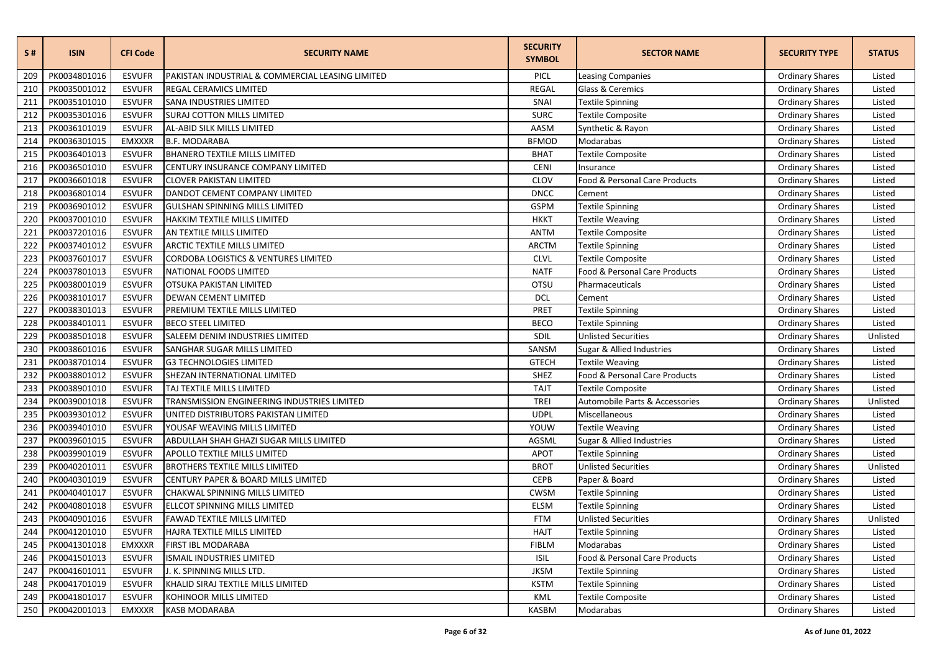| S#  | <b>ISIN</b>  | <b>CFI Code</b> | <b>SECURITY NAME</b>                             | <b>SECURITY</b><br><b>SYMBOL</b> | <b>SECTOR NAME</b>             | <b>SECURITY TYPE</b>   | <b>STATUS</b> |
|-----|--------------|-----------------|--------------------------------------------------|----------------------------------|--------------------------------|------------------------|---------------|
| 209 | PK0034801016 | <b>ESVUFR</b>   | PAKISTAN INDUSTRIAL & COMMERCIAL LEASING LIMITED | PICL                             | <b>Leasing Companies</b>       | <b>Ordinary Shares</b> | Listed        |
| 210 | PK0035001012 | <b>ESVUFR</b>   | REGAL CERAMICS LIMITED                           | <b>REGAL</b>                     | Glass & Ceremics               | <b>Ordinary Shares</b> | Listed        |
| 211 | PK0035101010 | <b>ESVUFR</b>   | <b>SANA INDUSTRIES LIMITED</b>                   | SNAI                             | <b>Textile Spinning</b>        | <b>Ordinary Shares</b> | Listed        |
| 212 | PK0035301016 | <b>ESVUFR</b>   | <b>SURAJ COTTON MILLS LIMITED</b>                | <b>SURC</b>                      | <b>Textile Composite</b>       | <b>Ordinary Shares</b> | Listed        |
| 213 | PK0036101019 | <b>ESVUFR</b>   | AL-ABID SILK MILLS LIMITED                       | AASM                             | Synthetic & Rayon              | <b>Ordinary Shares</b> | Listed        |
| 214 | PK0036301015 | <b>EMXXXR</b>   | <b>B.F. MODARABA</b>                             | <b>BFMOD</b>                     | Modarabas                      | <b>Ordinary Shares</b> | Listed        |
| 215 | PK0036401013 | <b>ESVUFR</b>   | <b>BHANERO TEXTILE MILLS LIMITED</b>             | <b>BHAT</b>                      | Textile Composite              | <b>Ordinary Shares</b> | Listed        |
| 216 | PK0036501010 | <b>ESVUFR</b>   | CENTURY INSURANCE COMPANY LIMITED                | <b>CENI</b>                      | Insurance                      | <b>Ordinary Shares</b> | Listed        |
| 217 | PK0036601018 | <b>ESVUFR</b>   | <b>CLOVER PAKISTAN LIMITED</b>                   | CLOV                             | Food & Personal Care Products  | <b>Ordinary Shares</b> | Listed        |
| 218 | PK0036801014 | <b>ESVUFR</b>   | DANDOT CEMENT COMPANY LIMITED                    | <b>DNCC</b>                      | Cement                         | <b>Ordinary Shares</b> | Listed        |
| 219 | PK0036901012 | <b>ESVUFR</b>   | <b>GULSHAN SPINNING MILLS LIMITED</b>            | <b>GSPM</b>                      | Textile Spinning               | <b>Ordinary Shares</b> | Listed        |
| 220 | PK0037001010 | <b>ESVUFR</b>   | HAKKIM TEXTILE MILLS LIMITED                     | <b>HKKT</b>                      | Textile Weaving                | <b>Ordinary Shares</b> | Listed        |
| 221 | PK0037201016 | <b>ESVUFR</b>   | AN TEXTILE MILLS LIMITED                         | <b>ANTM</b>                      | Textile Composite              | <b>Ordinary Shares</b> | Listed        |
| 222 | PK0037401012 | <b>ESVUFR</b>   | ARCTIC TEXTILE MILLS LIMITED                     | <b>ARCTM</b>                     | Textile Spinning               | <b>Ordinary Shares</b> | Listed        |
| 223 | PK0037601017 | <b>ESVUFR</b>   | CORDOBA LOGISTICS & VENTURES LIMITED             | <b>CLVL</b>                      | <b>Textile Composite</b>       | <b>Ordinary Shares</b> | Listed        |
| 224 | PK0037801013 | <b>ESVUFR</b>   | NATIONAL FOODS LIMITED                           | <b>NATF</b>                      | Food & Personal Care Products  | <b>Ordinary Shares</b> | Listed        |
| 225 | PK0038001019 | <b>ESVUFR</b>   | OTSUKA PAKISTAN LIMITED                          | OTSU                             | Pharmaceuticals                | <b>Ordinary Shares</b> | Listed        |
| 226 | PK0038101017 | <b>ESVUFR</b>   | <b>DEWAN CEMENT LIMITED</b>                      | <b>DCL</b>                       | Cement                         | <b>Ordinary Shares</b> | Listed        |
| 227 | PK0038301013 | <b>ESVUFR</b>   | PREMIUM TEXTILE MILLS LIMITED                    | PRET                             | <b>Textile Spinning</b>        | <b>Ordinary Shares</b> | Listed        |
| 228 | PK0038401011 | <b>ESVUFR</b>   | <b>BECO STEEL LIMITED</b>                        | <b>BECO</b>                      | Textile Spinning               | <b>Ordinary Shares</b> | Listed        |
| 229 | PK0038501018 | <b>ESVUFR</b>   | SALEEM DENIM INDUSTRIES LIMITED                  | SDIL                             | <b>Unlisted Securities</b>     | <b>Ordinary Shares</b> | Unlisted      |
| 230 | PK0038601016 | <b>ESVUFR</b>   | SANGHAR SUGAR MILLS LIMITED                      | SANSM                            | Sugar & Allied Industries      | <b>Ordinary Shares</b> | Listed        |
| 231 | PK0038701014 | <b>ESVUFR</b>   | <b>G3 TECHNOLOGIES LIMITED</b>                   | <b>GTECH</b>                     | <b>Textile Weaving</b>         | <b>Ordinary Shares</b> | Listed        |
| 232 | PK0038801012 | <b>ESVUFR</b>   | SHEZAN INTERNATIONAL LIMITED                     | SHEZ                             | Food & Personal Care Products  | <b>Ordinary Shares</b> | Listed        |
| 233 | PK0038901010 | <b>ESVUFR</b>   | TAJ TEXTILE MILLS LIMITED                        | <b>TAJT</b>                      | Textile Composite              | <b>Ordinary Shares</b> | Listed        |
| 234 | PK0039001018 | <b>ESVUFR</b>   | TRANSMISSION ENGINEERING INDUSTRIES LIMITED      | <b>TREI</b>                      | Automobile Parts & Accessories | <b>Ordinary Shares</b> | Unlisted      |
| 235 | PK0039301012 | <b>ESVUFR</b>   | UNITED DISTRIBUTORS PAKISTAN LIMITED             | <b>UDPL</b>                      | Miscellaneous                  | <b>Ordinary Shares</b> | Listed        |
| 236 | PK0039401010 | <b>ESVUFR</b>   | YOUSAF WEAVING MILLS LIMITED                     | YOUW                             | Textile Weaving                | <b>Ordinary Shares</b> | Listed        |
| 237 | PK0039601015 | <b>ESVUFR</b>   | ABDULLAH SHAH GHAZI SUGAR MILLS LIMITED          | AGSML                            | Sugar & Allied Industries      | <b>Ordinary Shares</b> | Listed        |
| 238 | PK0039901019 | <b>ESVUFR</b>   | <b>APOLLO TEXTILE MILLS LIMITED</b>              | <b>APOT</b>                      | Textile Spinning               | <b>Ordinary Shares</b> | Listed        |
| 239 | PK0040201011 | <b>ESVUFR</b>   | <b>BROTHERS TEXTILE MILLS LIMITED</b>            | <b>BROT</b>                      | <b>Unlisted Securities</b>     | <b>Ordinary Shares</b> | Unlisted      |
| 240 | PK0040301019 | <b>ESVUFR</b>   | CENTURY PAPER & BOARD MILLS LIMITED              | <b>CEPB</b>                      | Paper & Board                  | <b>Ordinary Shares</b> | Listed        |
| 241 | PK0040401017 | <b>ESVUFR</b>   | CHAKWAL SPINNING MILLS LIMITED                   | <b>CWSM</b>                      | Textile Spinning               | <b>Ordinary Shares</b> | Listed        |
| 242 | PK0040801018 | <b>ESVUFR</b>   | ELLCOT SPINNING MILLS LIMITED                    | <b>ELSM</b>                      | <b>Textile Spinning</b>        | <b>Ordinary Shares</b> | Listed        |
| 243 | PK0040901016 | <b>ESVUFR</b>   | FAWAD TEXTILE MILLS LIMITED                      | <b>FTM</b>                       | <b>Unlisted Securities</b>     | <b>Ordinary Shares</b> | Unlisted      |
| 244 | PK0041201010 | <b>ESVUFR</b>   | HAJRA TEXTILE MILLS LIMITED                      | <b>HAJT</b>                      | <b>Textile Spinning</b>        | <b>Ordinary Shares</b> | Listed        |
| 245 | PK0041301018 | <b>EMXXXR</b>   | FIRST IBL MODARABA                               | <b>FIBLM</b>                     | Modarabas                      | <b>Ordinary Shares</b> | Listed        |
| 246 | PK0041501013 | <b>ESVUFR</b>   | ISMAIL INDUSTRIES LIMITED                        | <b>ISIL</b>                      | Food & Personal Care Products  | <b>Ordinary Shares</b> | Listed        |
| 247 | PK0041601011 | <b>ESVUFR</b>   | J. K. SPINNING MILLS LTD.                        | <b>JKSM</b>                      | Textile Spinning               | <b>Ordinary Shares</b> | Listed        |
| 248 | PK0041701019 | <b>ESVUFR</b>   | KHALID SIRAJ TEXTILE MILLS LIMITED               | <b>KSTM</b>                      | <b>Textile Spinning</b>        | <b>Ordinary Shares</b> | Listed        |
| 249 | PK0041801017 | <b>ESVUFR</b>   | KOHINOOR MILLS LIMITED                           | KML                              | Textile Composite              | <b>Ordinary Shares</b> | Listed        |
| 250 | PK0042001013 | EMXXXR          | <b>KASB MODARABA</b>                             | <b>KASBM</b>                     | Modarabas                      | <b>Ordinary Shares</b> | Listed        |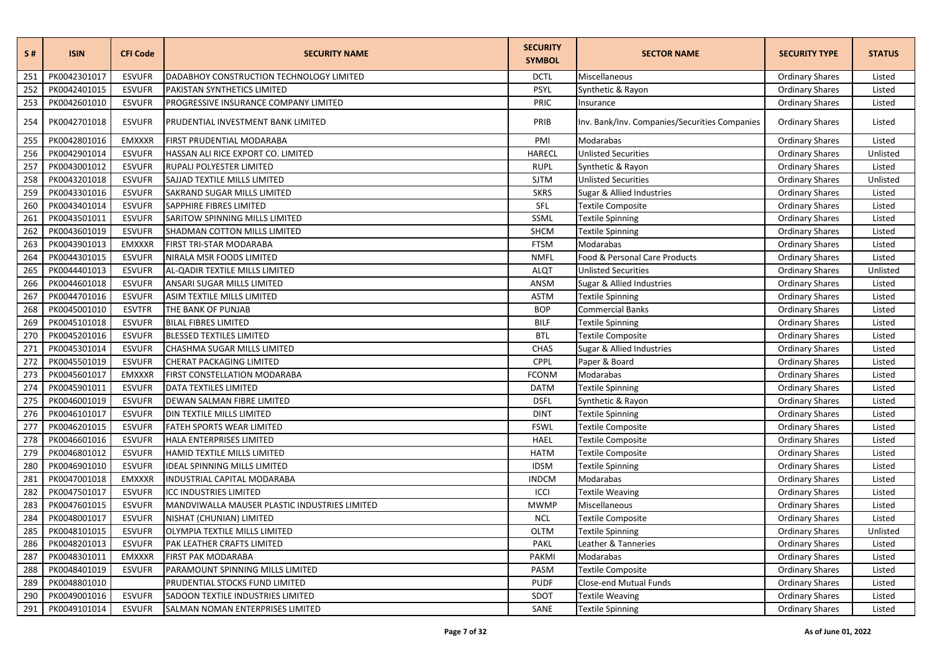| S#  | <b>ISIN</b>  | <b>CFI Code</b> | <b>SECURITY NAME</b>                          | <b>SECURITY</b><br><b>SYMBOL</b> | <b>SECTOR NAME</b>                            | <b>SECURITY TYPE</b>   | <b>STATUS</b> |
|-----|--------------|-----------------|-----------------------------------------------|----------------------------------|-----------------------------------------------|------------------------|---------------|
| 251 | PK0042301017 | <b>ESVUFR</b>   | DADABHOY CONSTRUCTION TECHNOLOGY LIMITED      | <b>DCTL</b>                      | Miscellaneous                                 | <b>Ordinary Shares</b> | Listed        |
| 252 | PK0042401015 | <b>ESVUFR</b>   | PAKISTAN SYNTHETICS LIMITED                   | PSYL                             | Synthetic & Rayon                             | <b>Ordinary Shares</b> | Listed        |
| 253 | PK0042601010 | <b>ESVUFR</b>   | PROGRESSIVE INSURANCE COMPANY LIMITED         | PRIC                             | Insurance                                     | <b>Ordinary Shares</b> | Listed        |
| 254 | PK0042701018 | <b>ESVUFR</b>   | PRUDENTIAL INVESTMENT BANK LIMITED            | PRIB                             | Inv. Bank/Inv. Companies/Securities Companies | <b>Ordinary Shares</b> | Listed        |
| 255 | PK0042801016 | <b>EMXXXR</b>   | FIRST PRUDENTIAL MODARABA                     | PMI                              | Modarabas                                     | <b>Ordinary Shares</b> | Listed        |
| 256 | PK0042901014 | <b>ESVUFR</b>   | HASSAN ALI RICE EXPORT CO. LIMITED            | HARECL                           | <b>Unlisted Securities</b>                    | <b>Ordinary Shares</b> | Unlisted      |
| 257 | PK0043001012 | <b>ESVUFR</b>   | RUPALI POLYESTER LIMITED                      | <b>RUPL</b>                      | Synthetic & Rayon                             | <b>Ordinary Shares</b> | Listed        |
| 258 | PK0043201018 | <b>ESVUFR</b>   | SAJJAD TEXTILE MILLS LIMITED                  | <b>SJTM</b>                      | <b>Unlisted Securities</b>                    | <b>Ordinary Shares</b> | Unlisted      |
| 259 | PK0043301016 | <b>ESVUFR</b>   | SAKRAND SUGAR MILLS LIMITED                   | <b>SKRS</b>                      | Sugar & Allied Industries                     | <b>Ordinary Shares</b> | Listed        |
| 260 | PK0043401014 | <b>ESVUFR</b>   | SAPPHIRE FIBRES LIMITED                       | SFL                              | Textile Composite                             | <b>Ordinary Shares</b> | Listed        |
| 261 | PK0043501011 | <b>ESVUFR</b>   | SARITOW SPINNING MILLS LIMITED                | SSML                             | <b>Textile Spinning</b>                       | <b>Ordinary Shares</b> | Listed        |
| 262 | PK0043601019 | <b>ESVUFR</b>   | SHADMAN COTTON MILLS LIMITED                  | SHCM                             | Textile Spinning                              | <b>Ordinary Shares</b> | Listed        |
| 263 | PK0043901013 | <b>EMXXXR</b>   | FIRST TRI-STAR MODARABA                       | <b>FTSM</b>                      | Modarabas                                     | <b>Ordinary Shares</b> | Listed        |
| 264 | PK0044301015 | <b>ESVUFR</b>   | NIRALA MSR FOODS LIMITED                      | <b>NMFL</b>                      | Food & Personal Care Products                 | <b>Ordinary Shares</b> | Listed        |
| 265 | PK0044401013 | <b>ESVUFR</b>   | AL-QADIR TEXTILE MILLS LIMITED                | <b>ALQT</b>                      | <b>Unlisted Securities</b>                    | <b>Ordinary Shares</b> | Unlisted      |
| 266 | PK0044601018 | <b>ESVUFR</b>   | ANSARI SUGAR MILLS LIMITED                    | ANSM                             | Sugar & Allied Industries                     | <b>Ordinary Shares</b> | Listed        |
| 267 | PK0044701016 | <b>ESVUFR</b>   | <b>ASIM TEXTILE MILLS LIMITED</b>             | <b>ASTM</b>                      | Textile Spinning                              | <b>Ordinary Shares</b> | Listed        |
| 268 | PK0045001010 | <b>ESVTFR</b>   | THE BANK OF PUNJAB                            | <b>BOP</b>                       | Commercial Banks                              | <b>Ordinary Shares</b> | Listed        |
| 269 | PK0045101018 | <b>ESVUFR</b>   | <b>BILAL FIBRES LIMITED</b>                   | <b>BILF</b>                      | <b>Textile Spinning</b>                       | <b>Ordinary Shares</b> | Listed        |
| 270 | PK0045201016 | <b>ESVUFR</b>   | <b>BLESSED TEXTILES LIMITED</b>               | <b>BTL</b>                       | Textile Composite                             | <b>Ordinary Shares</b> | Listed        |
| 271 | PK0045301014 | <b>ESVUFR</b>   | CHASHMA SUGAR MILLS LIMITED                   | <b>CHAS</b>                      | Sugar & Allied Industries                     | <b>Ordinary Shares</b> | Listed        |
| 272 | PK0045501019 | <b>ESVUFR</b>   | CHERAT PACKAGING LIMITED                      | CPPL                             | Paper & Board                                 | <b>Ordinary Shares</b> | Listed        |
| 273 | PK0045601017 | <b>EMXXXR</b>   | FIRST CONSTELLATION MODARABA                  | <b>FCONM</b>                     | Modarabas                                     | <b>Ordinary Shares</b> | Listed        |
| 274 | PK0045901011 | <b>ESVUFR</b>   | DATA TEXTILES LIMITED                         | <b>DATM</b>                      | Textile Spinning                              | <b>Ordinary Shares</b> | Listed        |
| 275 | PK0046001019 | <b>ESVUFR</b>   | DEWAN SALMAN FIBRE LIMITED                    | <b>DSFL</b>                      | Synthetic & Rayon                             | <b>Ordinary Shares</b> | Listed        |
| 276 | PK0046101017 | <b>ESVUFR</b>   | DIN TEXTILE MILLS LIMITED                     | <b>DINT</b>                      | Textile Spinning                              | <b>Ordinary Shares</b> | Listed        |
| 277 | PK0046201015 | <b>ESVUFR</b>   | FATEH SPORTS WEAR LIMITED                     | <b>FSWL</b>                      | Textile Composite                             | <b>Ordinary Shares</b> | Listed        |
| 278 | PK0046601016 | <b>ESVUFR</b>   | HALA ENTERPRISES LIMITED                      | <b>HAEL</b>                      | <b>Textile Composite</b>                      | <b>Ordinary Shares</b> | Listed        |
| 279 | PK0046801012 | <b>ESVUFR</b>   | HAMID TEXTILE MILLS LIMITED                   | <b>HATM</b>                      | Textile Composite                             | <b>Ordinary Shares</b> | Listed        |
| 280 | PK0046901010 | <b>ESVUFR</b>   | <b>IDEAL SPINNING MILLS LIMITED</b>           | <b>IDSM</b>                      | Textile Spinning                              | <b>Ordinary Shares</b> | Listed        |
| 281 | PK0047001018 | <b>EMXXXR</b>   | INDUSTRIAL CAPITAL MODARABA                   | <b>INDCM</b>                     | Modarabas                                     | <b>Ordinary Shares</b> | Listed        |
| 282 | PK0047501017 | <b>ESVUFR</b>   | <b>ICC INDUSTRIES LIMITED</b>                 | ICCI                             | <b>Textile Weaving</b>                        | <b>Ordinary Shares</b> | Listed        |
| 283 | PK0047601015 | <b>ESVUFR</b>   | MANDVIWALLA MAUSER PLASTIC INDUSTRIES LIMITED | <b>MWMP</b>                      | Miscellaneous                                 | <b>Ordinary Shares</b> | Listed        |
| 284 | PK0048001017 | <b>ESVUFR</b>   | NISHAT (CHUNIAN) LIMITED                      | <b>NCL</b>                       | Textile Composite                             | <b>Ordinary Shares</b> | Listed        |
| 285 | PK0048101015 | <b>ESVUFR</b>   | OLYMPIA TEXTILE MILLS LIMITED                 | <b>OLTM</b>                      | Textile Spinning                              | <b>Ordinary Shares</b> | Unlisted      |
| 286 | PK0048201013 | <b>ESVUFR</b>   | PAK LEATHER CRAFTS LIMITED                    | <b>PAKL</b>                      | Leather & Tanneries                           | <b>Ordinary Shares</b> | Listed        |
| 287 | PK0048301011 | <b>EMXXXR</b>   | FIRST PAK MODARABA                            | PAKMI                            | Modarabas                                     | <b>Ordinary Shares</b> | Listed        |
| 288 | PK0048401019 | <b>ESVUFR</b>   | PARAMOUNT SPINNING MILLS LIMITED              | PASM                             | Textile Composite                             | <b>Ordinary Shares</b> | Listed        |
| 289 | PK0048801010 |                 | PRUDENTIAL STOCKS FUND LIMITED                | <b>PUDF</b>                      | Close-end Mutual Funds                        | <b>Ordinary Shares</b> | Listed        |
| 290 | PK0049001016 | <b>ESVUFR</b>   | SADOON TEXTILE INDUSTRIES LIMITED             | SDOT                             | Textile Weaving                               | <b>Ordinary Shares</b> | Listed        |
| 291 | PK0049101014 | <b>ESVUFR</b>   | SALMAN NOMAN ENTERPRISES LIMITED              | SANE                             | <b>Textile Spinning</b>                       | <b>Ordinary Shares</b> | Listed        |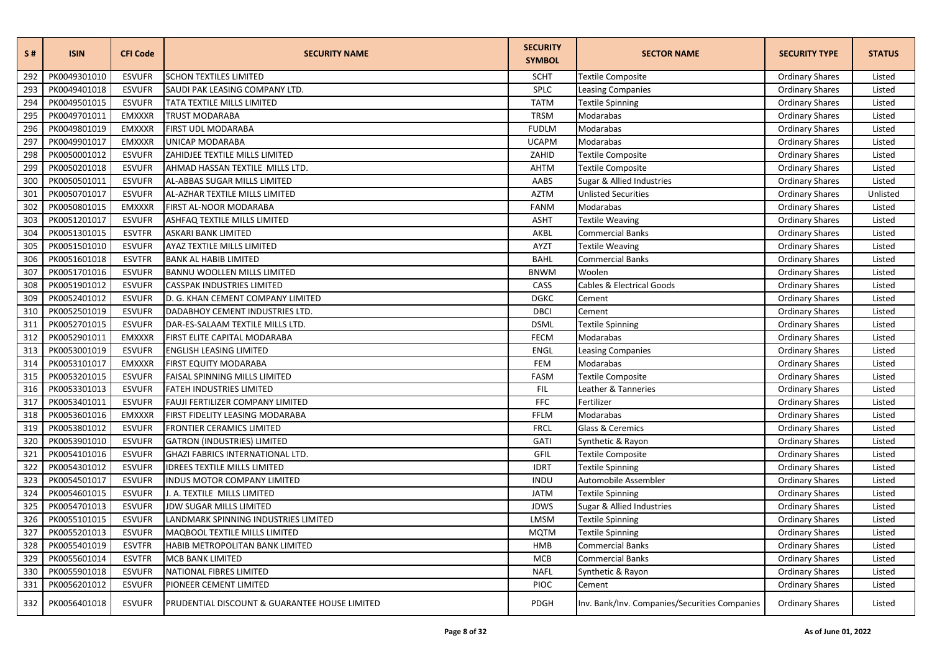| <b>S#</b> | <b>ISIN</b>  | <b>CFI Code</b> | <b>SECURITY NAME</b>                          | <b>SECURITY</b><br><b>SYMBOL</b> | <b>SECTOR NAME</b>                            | <b>SECURITY TYPE</b>   | <b>STATUS</b> |
|-----------|--------------|-----------------|-----------------------------------------------|----------------------------------|-----------------------------------------------|------------------------|---------------|
| 292       | PK0049301010 | <b>ESVUFR</b>   | <b>SCHON TEXTILES LIMITED</b>                 | <b>SCHT</b>                      | <b>Textile Composite</b>                      | <b>Ordinary Shares</b> | Listed        |
| 293       | PK0049401018 | <b>ESVUFR</b>   | SAUDI PAK LEASING COMPANY LTD.                | SPLC                             | <b>Leasing Companies</b>                      | <b>Ordinary Shares</b> | Listed        |
| 294       | PK0049501015 | <b>ESVUFR</b>   | TATA TEXTILE MILLS LIMITED                    | <b>TATM</b>                      | Textile Spinning                              | <b>Ordinary Shares</b> | Listed        |
| 295       | PK0049701011 | <b>EMXXXR</b>   | TRUST MODARABA                                | <b>TRSM</b>                      | Modarabas                                     | <b>Ordinary Shares</b> | Listed        |
| 296       | PK0049801019 | <b>EMXXXR</b>   | FIRST UDL MODARABA                            | <b>FUDLM</b>                     | Modarabas                                     | <b>Ordinary Shares</b> | Listed        |
| 297       | PK0049901017 | <b>EMXXXR</b>   | UNICAP MODARABA                               | <b>UCAPM</b>                     | Modarabas                                     | <b>Ordinary Shares</b> | Listed        |
| 298       | PK0050001012 | <b>ESVUFR</b>   | ZAHIDJEE TEXTILE MILLS LIMITED                | ZAHID                            | Textile Composite                             | <b>Ordinary Shares</b> | Listed        |
| 299       | PK0050201018 | <b>ESVUFR</b>   | AHMAD HASSAN TEXTILE MILLS LTD.               | <b>AHTM</b>                      | Textile Composite                             | <b>Ordinary Shares</b> | Listed        |
| 300       | PK0050501011 | <b>ESVUFR</b>   | AL-ABBAS SUGAR MILLS LIMITED                  | AABS                             | Sugar & Allied Industries                     | <b>Ordinary Shares</b> | Listed        |
| 301       | PK0050701017 | <b>ESVUFR</b>   | AL-AZHAR TEXTILE MILLS LIMITED                | <b>AZTM</b>                      | <b>Unlisted Securities</b>                    | <b>Ordinary Shares</b> | Unlisted      |
| 302       | PK0050801015 | <b>EMXXXR</b>   | FIRST AL-NOOR MODARABA                        | <b>FANM</b>                      | Modarabas                                     | <b>Ordinary Shares</b> | Listed        |
| 303       | PK0051201017 | <b>ESVUFR</b>   | ASHFAQ TEXTILE MILLS LIMITED                  | <b>ASHT</b>                      | <b>Textile Weaving</b>                        | <b>Ordinary Shares</b> | Listed        |
| 304       | PK0051301015 | <b>ESVTFR</b>   | ASKARI BANK LIMITED                           | AKBL                             | <b>Commercial Banks</b>                       | <b>Ordinary Shares</b> | Listed        |
| 305       | PK0051501010 | <b>ESVUFR</b>   | AYAZ TEXTILE MILLS LIMITED                    | AYZT                             | Textile Weaving                               | <b>Ordinary Shares</b> | Listed        |
| 306       | PK0051601018 | <b>ESVTFR</b>   | <b>BANK AL HABIB LIMITED</b>                  | <b>BAHL</b>                      | <b>Commercial Banks</b>                       | <b>Ordinary Shares</b> | Listed        |
| 307       | PK0051701016 | <b>ESVUFR</b>   | <b>BANNU WOOLLEN MILLS LIMITED</b>            | <b>BNWM</b>                      | Woolen                                        | <b>Ordinary Shares</b> | Listed        |
| 308       | PK0051901012 | <b>ESVUFR</b>   | <b>CASSPAK INDUSTRIES LIMITED</b>             | CASS                             | Cables & Electrical Goods                     | <b>Ordinary Shares</b> | Listed        |
| 309       | PK0052401012 | <b>ESVUFR</b>   | D. G. KHAN CEMENT COMPANY LIMITED             | <b>DGKC</b>                      | Cement                                        | <b>Ordinary Shares</b> | Listed        |
| 310       | PK0052501019 | <b>ESVUFR</b>   | DADABHOY CEMENT INDUSTRIES LTD.               | <b>DBCI</b>                      | Cement                                        | <b>Ordinary Shares</b> | Listed        |
| 311       | PK0052701015 | <b>ESVUFR</b>   | DAR-ES-SALAAM TEXTILE MILLS LTD.              | <b>DSML</b>                      | Textile Spinning                              | <b>Ordinary Shares</b> | Listed        |
| 312       | PK0052901011 | <b>EMXXXR</b>   | FIRST ELITE CAPITAL MODARABA                  | <b>FECM</b>                      | Modarabas                                     | <b>Ordinary Shares</b> | Listed        |
| 313       | PK0053001019 | <b>ESVUFR</b>   | <b>ENGLISH LEASING LIMITED</b>                | ENGL                             | Leasing Companies                             | <b>Ordinary Shares</b> | Listed        |
| 314       | PK0053101017 | <b>EMXXXR</b>   | FIRST EQUITY MODARABA                         | FEM                              | Modarabas                                     | <b>Ordinary Shares</b> | Listed        |
| 315       | PK0053201015 | <b>ESVUFR</b>   | FAISAL SPINNING MILLS LIMITED                 | FASM                             | Textile Composite                             | <b>Ordinary Shares</b> | Listed        |
| 316       | PK0053301013 | <b>ESVUFR</b>   | FATEH INDUSTRIES LIMITED                      | <b>FIL</b>                       | Leather & Tanneries                           | <b>Ordinary Shares</b> | Listed        |
| 317       | PK0053401011 | <b>ESVUFR</b>   | FAUJI FERTILIZER COMPANY LIMITED              | <b>FFC</b>                       | Fertilizer                                    | <b>Ordinary Shares</b> | Listed        |
| 318       | PK0053601016 | <b>EMXXXR</b>   | FIRST FIDELITY LEASING MODARABA               | <b>FFLM</b>                      | Modarabas                                     | <b>Ordinary Shares</b> | Listed        |
| 319       | PK0053801012 | <b>ESVUFR</b>   | <b>FRONTIER CERAMICS LIMITED</b>              | <b>FRCL</b>                      | Glass & Ceremics                              | <b>Ordinary Shares</b> | Listed        |
| 320       | PK0053901010 | <b>ESVUFR</b>   | <b>GATRON (INDUSTRIES) LIMITED</b>            | GATI                             | Synthetic & Rayon                             | <b>Ordinary Shares</b> | Listed        |
| 321       | PK0054101016 | <b>ESVUFR</b>   | GHAZI FABRICS INTERNATIONAL LTD.              | GFIL                             | Textile Composite                             | <b>Ordinary Shares</b> | Listed        |
| 322       | PK0054301012 | <b>ESVUFR</b>   | <b>IDREES TEXTILE MILLS LIMITED</b>           | <b>IDRT</b>                      | <b>Textile Spinning</b>                       | <b>Ordinary Shares</b> | Listed        |
| 323       | PK0054501017 | <b>ESVUFR</b>   | INDUS MOTOR COMPANY LIMITED                   | <b>INDU</b>                      | Automobile Assembler                          | <b>Ordinary Shares</b> | Listed        |
| 324       | PK0054601015 | <b>ESVUFR</b>   | J. A. TEXTILE MILLS LIMITED                   | <b>JATM</b>                      | Textile Spinning                              | <b>Ordinary Shares</b> | Listed        |
| 325       | PK0054701013 | <b>ESVUFR</b>   | <b>JDW SUGAR MILLS LIMITED</b>                | <b>JDWS</b>                      | Sugar & Allied Industries                     | <b>Ordinary Shares</b> | Listed        |
| 326       | PK0055101015 | <b>ESVUFR</b>   | LANDMARK SPINNING INDUSTRIES LIMITED          | LMSM                             | Textile Spinning                              | <b>Ordinary Shares</b> | Listed        |
| 327       | PK0055201013 | <b>ESVUFR</b>   | <b>MAQBOOL TEXTILE MILLS LIMITED</b>          | <b>MQTM</b>                      | <b>Textile Spinning</b>                       | <b>Ordinary Shares</b> | Listed        |
| 328       | PK0055401019 | <b>ESVTFR</b>   | HABIB METROPOLITAN BANK LIMITED               | HMB                              | <b>Commercial Banks</b>                       | <b>Ordinary Shares</b> | Listed        |
| 329       | PK0055601014 | <b>ESVTFR</b>   | MCB BANK LIMITED                              | <b>MCB</b>                       | <b>Commercial Banks</b>                       | <b>Ordinary Shares</b> | Listed        |
| 330       | PK0055901018 | <b>ESVUFR</b>   | NATIONAL FIBRES LIMITED                       | <b>NAFL</b>                      | Synthetic & Rayon                             | <b>Ordinary Shares</b> | Listed        |
| 331       | PK0056201012 | <b>ESVUFR</b>   | PIONEER CEMENT LIMITED                        | <b>PIOC</b>                      | Cement                                        | <b>Ordinary Shares</b> | Listed        |
| 332       | PK0056401018 | <b>ESVUFR</b>   | PRUDENTIAL DISCOUNT & GUARANTEE HOUSE LIMITED | PDGH                             | Inv. Bank/Inv. Companies/Securities Companies | <b>Ordinary Shares</b> | Listed        |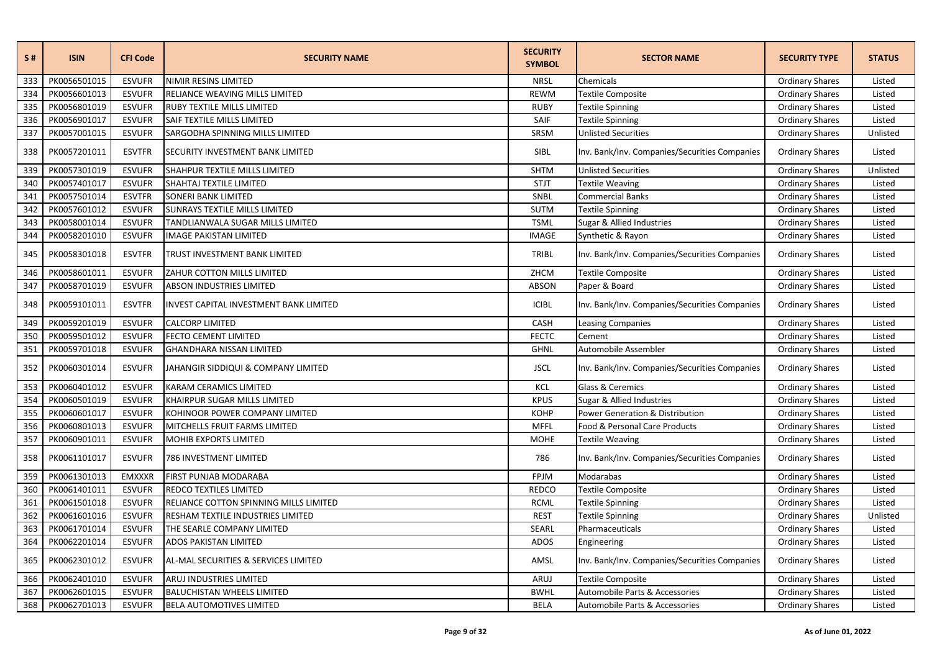| S#  | <b>ISIN</b>  | <b>CFI Code</b> | <b>SECURITY NAME</b>                   | <b>SECURITY</b><br><b>SYMBOL</b> | <b>SECTOR NAME</b>                            | <b>SECURITY TYPE</b>   | <b>STATUS</b> |
|-----|--------------|-----------------|----------------------------------------|----------------------------------|-----------------------------------------------|------------------------|---------------|
| 333 | PK0056501015 | <b>ESVUFR</b>   | NIMIR RESINS LIMITED                   | <b>NRSL</b>                      | Chemicals                                     | <b>Ordinary Shares</b> | Listed        |
| 334 | PK0056601013 | <b>ESVUFR</b>   | RELIANCE WEAVING MILLS LIMITED         | <b>REWM</b>                      | <b>Textile Composite</b>                      | <b>Ordinary Shares</b> | Listed        |
| 335 | PK0056801019 | <b>ESVUFR</b>   | RUBY TEXTILE MILLS LIMITED             | <b>RUBY</b>                      | <b>Textile Spinning</b>                       | <b>Ordinary Shares</b> | Listed        |
| 336 | PK0056901017 | <b>ESVUFR</b>   | SAIF TEXTILE MILLS LIMITED             | SAIF                             | <b>Textile Spinning</b>                       | <b>Ordinary Shares</b> | Listed        |
| 337 | PK0057001015 | <b>ESVUFR</b>   | SARGODHA SPINNING MILLS LIMITED        | SRSM                             | <b>Unlisted Securities</b>                    | <b>Ordinary Shares</b> | Unlisted      |
| 338 | PK0057201011 | <b>ESVTFR</b>   | SECURITY INVESTMENT BANK LIMITED       | <b>SIBL</b>                      | Inv. Bank/Inv. Companies/Securities Companies | <b>Ordinary Shares</b> | Listed        |
| 339 | PK0057301019 | <b>ESVUFR</b>   | SHAHPUR TEXTILE MILLS LIMITED          | <b>SHTM</b>                      | <b>Unlisted Securities</b>                    | <b>Ordinary Shares</b> | Unlisted      |
| 340 | PK0057401017 | <b>ESVUFR</b>   | SHAHTAJ TEXTILE LIMITED                | <b>STJT</b>                      | <b>Textile Weaving</b>                        | <b>Ordinary Shares</b> | Listed        |
| 341 | PK0057501014 | <b>ESVTFR</b>   | <b>SONERI BANK LIMITED</b>             | SNBL                             | <b>Commercial Banks</b>                       | <b>Ordinary Shares</b> | Listed        |
| 342 | PK0057601012 | <b>ESVUFR</b>   | SUNRAYS TEXTILE MILLS LIMITED          | <b>SUTM</b>                      | <b>Textile Spinning</b>                       | <b>Ordinary Shares</b> | Listed        |
| 343 | PK0058001014 | <b>ESVUFR</b>   | TANDLIANWALA SUGAR MILLS LIMITED       | <b>TSML</b>                      | Sugar & Allied Industries                     | <b>Ordinary Shares</b> | Listed        |
| 344 | PK0058201010 | <b>ESVUFR</b>   | <b>IMAGE PAKISTAN LIMITED</b>          | <b>IMAGE</b>                     | Synthetic & Rayon                             | Ordinary Shares        | Listed        |
| 345 | PK0058301018 | <b>ESVTFR</b>   | TRUST INVESTMENT BANK LIMITED          | TRIBL                            | Inv. Bank/Inv. Companies/Securities Companies | <b>Ordinary Shares</b> | Listed        |
| 346 | PK0058601011 | <b>ESVUFR</b>   | ZAHUR COTTON MILLS LIMITED             | ZHCM                             | Textile Composite                             | <b>Ordinary Shares</b> | Listed        |
| 347 | PK0058701019 | <b>ESVUFR</b>   | ABSON INDUSTRIES LIMITED               | <b>ABSON</b>                     | Paper & Board                                 | <b>Ordinary Shares</b> | Listed        |
| 348 | PK0059101011 | <b>ESVTFR</b>   | INVEST CAPITAL INVESTMENT BANK LIMITED | <b>ICIBL</b>                     | Inv. Bank/Inv. Companies/Securities Companies | <b>Ordinary Shares</b> | Listed        |
| 349 | PK0059201019 | <b>ESVUFR</b>   | <b>CALCORP LIMITED</b>                 | CASH                             | <b>Leasing Companies</b>                      | <b>Ordinary Shares</b> | Listed        |
| 350 | PK0059501012 | <b>ESVUFR</b>   | FECTO CEMENT LIMITED                   | <b>FECTC</b>                     | Cement                                        | <b>Ordinary Shares</b> | Listed        |
| 351 | PK0059701018 | <b>ESVUFR</b>   | <b>GHANDHARA NISSAN LIMITED</b>        | <b>GHNL</b>                      | Automobile Assembler                          | <b>Ordinary Shares</b> | Listed        |
| 352 | PK0060301014 | <b>ESVUFR</b>   | JAHANGIR SIDDIQUI & COMPANY LIMITED    | <b>JSCL</b>                      | Inv. Bank/Inv. Companies/Securities Companies | <b>Ordinary Shares</b> | Listed        |
| 353 | PK0060401012 | <b>ESVUFR</b>   | KARAM CERAMICS LIMITED                 | KCL                              | Glass & Ceremics                              | <b>Ordinary Shares</b> | Listed        |
| 354 | PK0060501019 | <b>ESVUFR</b>   | KHAIRPUR SUGAR MILLS LIMITED           | <b>KPUS</b>                      | Sugar & Allied Industries                     | <b>Ordinary Shares</b> | Listed        |
| 355 | PK0060601017 | <b>ESVUFR</b>   | KOHINOOR POWER COMPANY LIMITED         | <b>KOHP</b>                      | <b>Power Generation &amp; Distribution</b>    | <b>Ordinary Shares</b> | Listed        |
| 356 | PK0060801013 | <b>ESVUFR</b>   | MITCHELLS FRUIT FARMS LIMITED          | <b>MFFL</b>                      | Food & Personal Care Products                 | <b>Ordinary Shares</b> | Listed        |
| 357 | PK0060901011 | <b>ESVUFR</b>   | MOHIB EXPORTS LIMITED                  | <b>MOHE</b>                      | <b>Textile Weaving</b>                        | <b>Ordinary Shares</b> | Listed        |
| 358 | PK0061101017 | <b>ESVUFR</b>   | 786 INVESTMENT LIMITED                 | 786                              | Inv. Bank/Inv. Companies/Securities Companies | <b>Ordinary Shares</b> | Listed        |
| 359 | PK0061301013 | <b>EMXXXR</b>   | FIRST PUNJAB MODARABA                  | FPJM                             | Modarabas                                     | <b>Ordinary Shares</b> | Listed        |
| 360 | PK0061401011 | <b>ESVUFR</b>   | REDCO TEXTILES LIMITED                 | <b>REDCO</b>                     | Textile Composite                             | <b>Ordinary Shares</b> | Listed        |
| 361 | PK0061501018 | <b>ESVUFR</b>   | RELIANCE COTTON SPINNING MILLS LIMITED | <b>RCML</b>                      | <b>Textile Spinning</b>                       | <b>Ordinary Shares</b> | Listed        |
| 362 | PK0061601016 | <b>ESVUFR</b>   | RESHAM TEXTILE INDUSTRIES LIMITED      | <b>REST</b>                      | <b>Textile Spinning</b>                       | <b>Ordinary Shares</b> | Unlisted      |
| 363 | PK0061701014 | <b>ESVUFR</b>   | THE SEARLE COMPANY LIMITED             | SEARL                            | Pharmaceuticals                               | <b>Ordinary Shares</b> | Listed        |
| 364 | PK0062201014 | <b>ESVUFR</b>   | <b>ADOS PAKISTAN LIMITED</b>           | <b>ADOS</b>                      | Engineering                                   | <b>Ordinary Shares</b> | Listed        |
| 365 | PK0062301012 | <b>ESVUFR</b>   | AL-MAL SECURITIES & SERVICES LIMITED   | AMSL                             | Inv. Bank/Inv. Companies/Securities Companies | <b>Ordinary Shares</b> | Listed        |
| 366 | PK0062401010 | <b>ESVUFR</b>   | ARUJ INDUSTRIES LIMITED                | ARUJ                             | <b>Textile Composite</b>                      | <b>Ordinary Shares</b> | Listed        |
| 367 | PK0062601015 | <b>ESVUFR</b>   | <b>BALUCHISTAN WHEELS LIMITED</b>      | <b>BWHL</b>                      | Automobile Parts & Accessories                | <b>Ordinary Shares</b> | Listed        |
| 368 | PK0062701013 | <b>ESVUFR</b>   | <b>BELA AUTOMOTIVES LIMITED</b>        | <b>BELA</b>                      | Automobile Parts & Accessories                | <b>Ordinary Shares</b> | Listed        |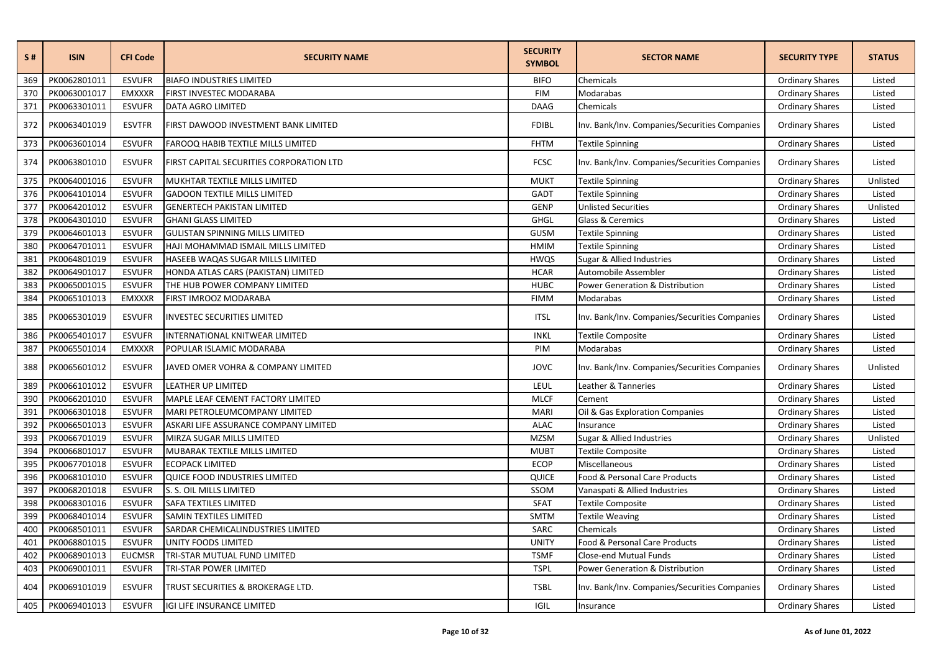| S#  | <b>ISIN</b>  | <b>CFI Code</b> | <b>SECURITY NAME</b>                     | <b>SECURITY</b><br><b>SYMBOL</b> | <b>SECTOR NAME</b>                            | <b>SECURITY TYPE</b>   | <b>STATUS</b> |
|-----|--------------|-----------------|------------------------------------------|----------------------------------|-----------------------------------------------|------------------------|---------------|
| 369 | PK0062801011 | <b>ESVUFR</b>   | <b>BIAFO INDUSTRIES LIMITED</b>          | <b>BIFO</b>                      | Chemicals                                     | <b>Ordinary Shares</b> | Listed        |
| 370 | PK0063001017 | <b>EMXXXR</b>   | FIRST INVESTEC MODARABA                  | <b>FIM</b>                       | Modarabas                                     | <b>Ordinary Shares</b> | Listed        |
| 371 | PK0063301011 | <b>ESVUFR</b>   | <b>DATA AGRO LIMITED</b>                 | <b>DAAG</b>                      | Chemicals                                     | <b>Ordinary Shares</b> | Listed        |
| 372 | PK0063401019 | <b>ESVTFR</b>   | FIRST DAWOOD INVESTMENT BANK LIMITED     | <b>FDIBL</b>                     | Inv. Bank/Inv. Companies/Securities Companies | <b>Ordinary Shares</b> | Listed        |
| 373 | PK0063601014 | <b>ESVUFR</b>   | FAROOQ HABIB TEXTILE MILLS LIMITED       | <b>FHTM</b>                      | <b>Textile Spinning</b>                       | <b>Ordinary Shares</b> | Listed        |
| 374 | PK0063801010 | <b>ESVUFR</b>   | FIRST CAPITAL SECURITIES CORPORATION LTD | <b>FCSC</b>                      | Inv. Bank/Inv. Companies/Securities Companies | <b>Ordinary Shares</b> | Listed        |
| 375 | PK0064001016 | <b>ESVUFR</b>   | MUKHTAR TEXTILE MILLS LIMITED            | <b>MUKT</b>                      | <b>Textile Spinning</b>                       | <b>Ordinary Shares</b> | Unlisted      |
| 376 | PK0064101014 | <b>ESVUFR</b>   | <b>GADOON TEXTILE MILLS LIMITED</b>      | GADT                             | <b>Textile Spinning</b>                       | <b>Ordinary Shares</b> | Listed        |
| 377 | PK0064201012 | <b>ESVUFR</b>   | <b>GENERTECH PAKISTAN LIMITED</b>        | <b>GENP</b>                      | <b>Unlisted Securities</b>                    | <b>Ordinary Shares</b> | Unlisted      |
| 378 | PK0064301010 | <b>ESVUFR</b>   | <b>GHANI GLASS LIMITED</b>               | <b>GHGL</b>                      | Glass & Ceremics                              | <b>Ordinary Shares</b> | Listed        |
| 379 | PK0064601013 | <b>ESVUFR</b>   | <b>GULISTAN SPINNING MILLS LIMITED</b>   | GUSM                             | <b>Textile Spinning</b>                       | <b>Ordinary Shares</b> | Listed        |
| 380 | PK0064701011 | <b>ESVUFR</b>   | HAJI MOHAMMAD ISMAIL MILLS LIMITED       | <b>HMIM</b>                      | <b>Textile Spinning</b>                       | <b>Ordinary Shares</b> | Listed        |
| 381 | PK0064801019 | <b>ESVUFR</b>   | HASEEB WAQAS SUGAR MILLS LIMITED         | HWQS                             | Sugar & Allied Industries                     | <b>Ordinary Shares</b> | Listed        |
| 382 | PK0064901017 | <b>ESVUFR</b>   | HONDA ATLAS CARS (PAKISTAN) LIMITED      | <b>HCAR</b>                      | Automobile Assembler                          | <b>Ordinary Shares</b> | Listed        |
| 383 | PK0065001015 | <b>ESVUFR</b>   | THE HUB POWER COMPANY LIMITED            | <b>HUBC</b>                      | Power Generation & Distribution               | <b>Ordinary Shares</b> | Listed        |
| 384 | PK0065101013 | <b>EMXXXR</b>   | FIRST IMROOZ MODARABA                    | <b>FIMM</b>                      | Modarabas                                     | <b>Ordinary Shares</b> | Listed        |
| 385 | PK0065301019 | <b>ESVUFR</b>   | <b>INVESTEC SECURITIES LIMITED</b>       | <b>ITSL</b>                      | Inv. Bank/Inv. Companies/Securities Companies | <b>Ordinary Shares</b> | Listed        |
| 386 | PK0065401017 | <b>ESVUFR</b>   | INTERNATIONAL KNITWEAR LIMITED           | <b>INKL</b>                      | <b>Textile Composite</b>                      | <b>Ordinary Shares</b> | Listed        |
| 387 | PK0065501014 | <b>EMXXXR</b>   | POPULAR ISLAMIC MODARABA                 | PIM                              | Modarabas                                     | <b>Ordinary Shares</b> | Listed        |
| 388 | PK0065601012 | <b>ESVUFR</b>   | JAVED OMER VOHRA & COMPANY LIMITED       | <b>JOVC</b>                      | Inv. Bank/Inv. Companies/Securities Companies | <b>Ordinary Shares</b> | Unlisted      |
| 389 | PK0066101012 | <b>ESVUFR</b>   | LEATHER UP LIMITED                       | LEUL                             | Leather & Tanneries                           | <b>Ordinary Shares</b> | Listed        |
| 390 | PK0066201010 | <b>ESVUFR</b>   | MAPLE LEAF CEMENT FACTORY LIMITED        | <b>MLCF</b>                      | Cement                                        | <b>Ordinary Shares</b> | Listed        |
| 391 | PK0066301018 | <b>ESVUFR</b>   | MARI PETROLEUMCOMPANY LIMITED            | <b>MARI</b>                      | Oil & Gas Exploration Companies               | <b>Ordinary Shares</b> | Listed        |
| 392 | PK0066501013 | <b>ESVUFR</b>   | ASKARI LIFE ASSURANCE COMPANY LIMITED    | <b>ALAC</b>                      | Insurance                                     | <b>Ordinary Shares</b> | Listed        |
| 393 | PK0066701019 | <b>ESVUFR</b>   | MIRZA SUGAR MILLS LIMITED                | <b>MZSM</b>                      | Sugar & Allied Industries                     | <b>Ordinary Shares</b> | Unlisted      |
| 394 | PK0066801017 | <b>ESVUFR</b>   | MUBARAK TEXTILE MILLS LIMITED            | <b>MUBT</b>                      | <b>Textile Composite</b>                      | <b>Ordinary Shares</b> | Listed        |
| 395 | PK0067701018 | <b>ESVUFR</b>   | <b>ECOPACK LIMITED</b>                   | <b>ECOP</b>                      | Miscellaneous                                 | <b>Ordinary Shares</b> | Listed        |
| 396 | PK0068101010 | <b>ESVUFR</b>   | QUICE FOOD INDUSTRIES LIMITED            | QUICE                            | Food & Personal Care Products                 | <b>Ordinary Shares</b> | Listed        |
| 397 | PK0068201018 | <b>ESVUFR</b>   | S. S. OIL MILLS LIMITED                  | SSOM                             | Vanaspati & Allied Industries                 | <b>Ordinary Shares</b> | Listed        |
| 398 | PK0068301016 | <b>ESVUFR</b>   | <b>SAFA TEXTILES LIMITED</b>             | <b>SFAT</b>                      | <b>Textile Composite</b>                      | <b>Ordinary Shares</b> | Listed        |
| 399 | PK0068401014 | <b>ESVUFR</b>   | <b>SAMIN TEXTILES LIMITED</b>            | <b>SMTM</b>                      | <b>Textile Weaving</b>                        | <b>Ordinary Shares</b> | Listed        |
| 400 | PK0068501011 | <b>ESVUFR</b>   | SARDAR CHEMICALINDUSTRIES LIMITED        | SARC                             | Chemicals                                     | <b>Ordinary Shares</b> | Listed        |
| 401 | PK0068801015 | <b>ESVUFR</b>   | UNITY FOODS LIMITED                      | <b>UNITY</b>                     | Food & Personal Care Products                 | <b>Ordinary Shares</b> | Listed        |
| 402 | PK0068901013 | <b>EUCMSR</b>   | TRI-STAR MUTUAL FUND LIMITED             | <b>TSMF</b>                      | Close-end Mutual Funds                        | <b>Ordinary Shares</b> | Listed        |
| 403 | PK0069001011 | <b>ESVUFR</b>   | TRI-STAR POWER LIMITED                   | <b>TSPL</b>                      | Power Generation & Distribution               | <b>Ordinary Shares</b> | Listed        |
| 404 | PK0069101019 | <b>ESVUFR</b>   | TRUST SECURITIES & BROKERAGE LTD.        | <b>TSBL</b>                      | Inv. Bank/Inv. Companies/Securities Companies | <b>Ordinary Shares</b> | Listed        |
| 405 | PK0069401013 | <b>ESVUFR</b>   | IGI LIFE INSURANCE LIMITED               | IGIL                             | Insurance                                     | <b>Ordinary Shares</b> | Listed        |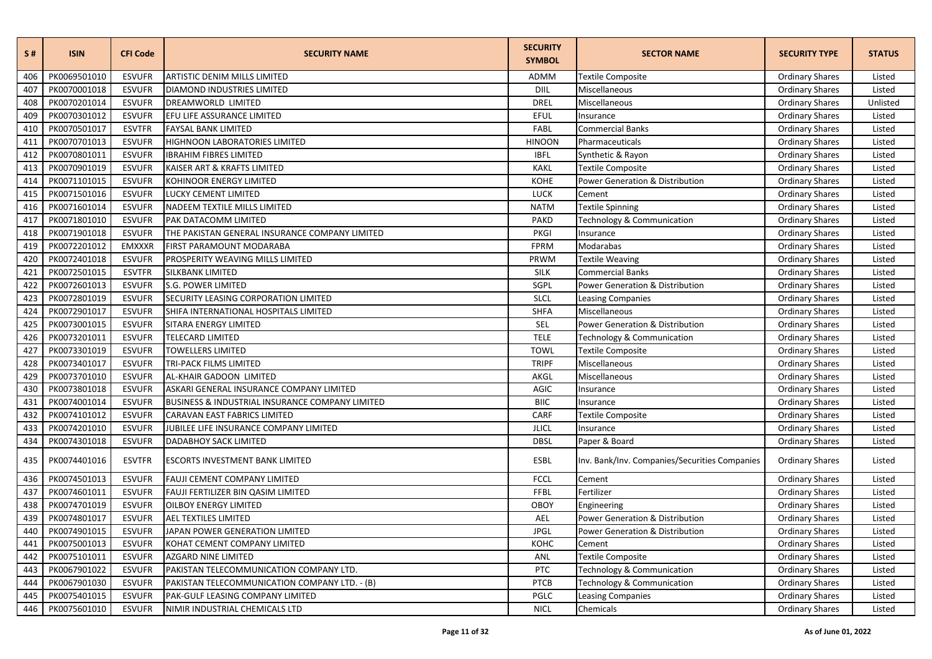| S#  | <b>ISIN</b>  | <b>CFI Code</b> | <b>SECURITY NAME</b>                            | <b>SECURITY</b><br><b>SYMBOL</b> | <b>SECTOR NAME</b>                            | <b>SECURITY TYPE</b>   | <b>STATUS</b> |
|-----|--------------|-----------------|-------------------------------------------------|----------------------------------|-----------------------------------------------|------------------------|---------------|
| 406 | PK0069501010 | <b>ESVUFR</b>   | <b>ARTISTIC DENIM MILLS LIMITED</b>             | ADMM                             | <b>Textile Composite</b>                      | <b>Ordinary Shares</b> | Listed        |
| 407 | PK0070001018 | <b>ESVUFR</b>   | <b>DIAMOND INDUSTRIES LIMITED</b>               | DIIL                             | Miscellaneous                                 | <b>Ordinary Shares</b> | Listed        |
| 408 | PK0070201014 | <b>ESVUFR</b>   | DREAMWORLD LIMITED                              | <b>DREL</b>                      | Miscellaneous                                 | <b>Ordinary Shares</b> | Unlisted      |
| 409 | PK0070301012 | <b>ESVUFR</b>   | EFU LIFE ASSURANCE LIMITED                      | EFUL                             | Insurance                                     | <b>Ordinary Shares</b> | Listed        |
| 410 | PK0070501017 | <b>ESVTFR</b>   | <b>FAYSAL BANK LIMITED</b>                      | FABL                             | <b>Commercial Banks</b>                       | <b>Ordinary Shares</b> | Listed        |
| 411 | PK0070701013 | <b>ESVUFR</b>   | HIGHNOON LABORATORIES LIMITED                   | <b>HINOON</b>                    | Pharmaceuticals                               | <b>Ordinary Shares</b> | Listed        |
| 412 | PK0070801011 | <b>ESVUFR</b>   | <b>IBRAHIM FIBRES LIMITED</b>                   | <b>IBFL</b>                      | Synthetic & Rayon                             | <b>Ordinary Shares</b> | Listed        |
| 413 | PK0070901019 | <b>ESVUFR</b>   | KAISER ART & KRAFTS LIMITED                     | <b>KAKL</b>                      | Textile Composite                             | <b>Ordinary Shares</b> | Listed        |
| 414 | PK0071101015 | <b>ESVUFR</b>   | KOHINOOR ENERGY LIMITED                         | <b>KOHE</b>                      | <b>Power Generation &amp; Distribution</b>    | <b>Ordinary Shares</b> | Listed        |
| 415 | PK0071501016 | <b>ESVUFR</b>   | LUCKY CEMENT LIMITED                            | <b>LUCK</b>                      | Cement                                        | <b>Ordinary Shares</b> | Listed        |
| 416 | PK0071601014 | <b>ESVUFR</b>   | NADEEM TEXTILE MILLS LIMITED                    | <b>NATM</b>                      | Textile Spinning                              | <b>Ordinary Shares</b> | Listed        |
| 417 | PK0071801010 | <b>ESVUFR</b>   | PAK DATACOMM LIMITED                            | <b>PAKD</b>                      | Technology & Communication                    | <b>Ordinary Shares</b> | Listed        |
| 418 | PK0071901018 | <b>ESVUFR</b>   | THE PAKISTAN GENERAL INSURANCE COMPANY LIMITED  | PKGI                             | Insurance                                     | <b>Ordinary Shares</b> | Listed        |
| 419 | PK0072201012 | <b>EMXXXR</b>   | FIRST PARAMOUNT MODARABA                        | FPRM                             | Modarabas                                     | <b>Ordinary Shares</b> | Listed        |
| 420 | PK0072401018 | <b>ESVUFR</b>   | PROSPERITY WEAVING MILLS LIMITED                | PRWM                             | Textile Weaving                               | <b>Ordinary Shares</b> | Listed        |
| 421 | PK0072501015 | <b>ESVTFR</b>   | SILKBANK LIMITED                                | <b>SILK</b>                      | <b>Commercial Banks</b>                       | <b>Ordinary Shares</b> | Listed        |
| 422 | PK0072601013 | <b>ESVUFR</b>   | S.G. POWER LIMITED                              | SGPL                             | <b>Power Generation &amp; Distribution</b>    | <b>Ordinary Shares</b> | Listed        |
| 423 | PK0072801019 | <b>ESVUFR</b>   | SECURITY LEASING CORPORATION LIMITED            | <b>SLCL</b>                      | <b>Leasing Companies</b>                      | <b>Ordinary Shares</b> | Listed        |
| 424 | PK0072901017 | <b>ESVUFR</b>   | SHIFA INTERNATIONAL HOSPITALS LIMITED           | <b>SHFA</b>                      | Miscellaneous                                 | <b>Ordinary Shares</b> | Listed        |
| 425 | PK0073001015 | <b>ESVUFR</b>   | SITARA ENERGY LIMITED                           | SEL                              | <b>Power Generation &amp; Distribution</b>    | <b>Ordinary Shares</b> | Listed        |
| 426 | PK0073201011 | <b>ESVUFR</b>   | TELECARD LIMITED                                | <b>TELE</b>                      | Technology & Communication                    | <b>Ordinary Shares</b> | Listed        |
| 427 | PK0073301019 | <b>ESVUFR</b>   | <b>TOWELLERS LIMITED</b>                        | <b>TOWL</b>                      | <b>Textile Composite</b>                      | <b>Ordinary Shares</b> | Listed        |
| 428 | PK0073401017 | <b>ESVUFR</b>   | TRI-PACK FILMS LIMITED                          | <b>TRIPF</b>                     | Miscellaneous                                 | <b>Ordinary Shares</b> | Listed        |
| 429 | PK0073701010 | <b>ESVUFR</b>   | AL-KHAIR GADOON LIMITED                         | AKGL                             | Miscellaneous                                 | <b>Ordinary Shares</b> | Listed        |
| 430 | PK0073801018 | <b>ESVUFR</b>   | ASKARI GENERAL INSURANCE COMPANY LIMITED        | <b>AGIC</b>                      | Insurance                                     | <b>Ordinary Shares</b> | Listed        |
| 431 | PK0074001014 | <b>ESVUFR</b>   | BUSINESS & INDUSTRIAL INSURANCE COMPANY LIMITED | <b>BIIC</b>                      | Insurance                                     | <b>Ordinary Shares</b> | Listed        |
| 432 | PK0074101012 | <b>ESVUFR</b>   | CARAVAN EAST FABRICS LIMITED                    | CARF                             | Textile Composite                             | <b>Ordinary Shares</b> | Listed        |
| 433 | PK0074201010 | <b>ESVUFR</b>   | JUBILEE LIFE INSURANCE COMPANY LIMITED          | <b>JLICL</b>                     | Insurance                                     | <b>Ordinary Shares</b> | Listed        |
| 434 | PK0074301018 | <b>ESVUFR</b>   | DADABHOY SACK LIMITED                           | <b>DBSL</b>                      | Paper & Board                                 | <b>Ordinary Shares</b> | Listed        |
| 435 | PK0074401016 | <b>ESVTFR</b>   | <b>ESCORTS INVESTMENT BANK LIMITED</b>          | ESBL                             | Inv. Bank/Inv. Companies/Securities Companies | <b>Ordinary Shares</b> | Listed        |
| 436 | PK0074501013 | <b>ESVUFR</b>   | <b>FAUJI CEMENT COMPANY LIMITED</b>             | <b>FCCL</b>                      | Cement                                        | <b>Ordinary Shares</b> | Listed        |
| 437 | PK0074601011 | <b>ESVUFR</b>   | FAUJI FERTILIZER BIN QASIM LIMITED              | FFBL                             | Fertilizer                                    | <b>Ordinary Shares</b> | Listed        |
| 438 | PK0074701019 | <b>ESVUFR</b>   | OILBOY ENERGY LIMITED                           | <b>OBOY</b>                      | Engineering                                   | <b>Ordinary Shares</b> | Listed        |
| 439 | PK0074801017 | <b>ESVUFR</b>   | AEL TEXTILES LIMITED                            | AEL                              | <b>Power Generation &amp; Distribution</b>    | <b>Ordinary Shares</b> | Listed        |
| 440 | PK0074901015 | <b>ESVUFR</b>   | JAPAN POWER GENERATION LIMITED                  | <b>JPGL</b>                      | <b>Power Generation &amp; Distribution</b>    | <b>Ordinary Shares</b> | Listed        |
| 441 | PK0075001013 | <b>ESVUFR</b>   | KOHAT CEMENT COMPANY LIMITED                    | конс                             | Cement                                        | <b>Ordinary Shares</b> | Listed        |
| 442 | PK0075101011 | <b>ESVUFR</b>   | <b>AZGARD NINE LIMITED</b>                      | ANL                              | Textile Composite                             | <b>Ordinary Shares</b> | Listed        |
| 443 | PK0067901022 | <b>ESVUFR</b>   | PAKISTAN TELECOMMUNICATION COMPANY LTD.         | PTC                              | <b>Technology &amp; Communication</b>         | <b>Ordinary Shares</b> | Listed        |
| 444 | PK0067901030 | <b>ESVUFR</b>   | PAKISTAN TELECOMMUNICATION COMPANY LTD. - (B)   | PTCB                             | Technology & Communication                    | <b>Ordinary Shares</b> | Listed        |
| 445 | PK0075401015 | <b>ESVUFR</b>   | PAK-GULF LEASING COMPANY LIMITED                | PGLC                             | <b>Leasing Companies</b>                      | <b>Ordinary Shares</b> | Listed        |
| 446 | PK0075601010 | <b>ESVUFR</b>   | NIMIR INDUSTRIAL CHEMICALS LTD                  | <b>NICL</b>                      | Chemicals                                     | <b>Ordinary Shares</b> | Listed        |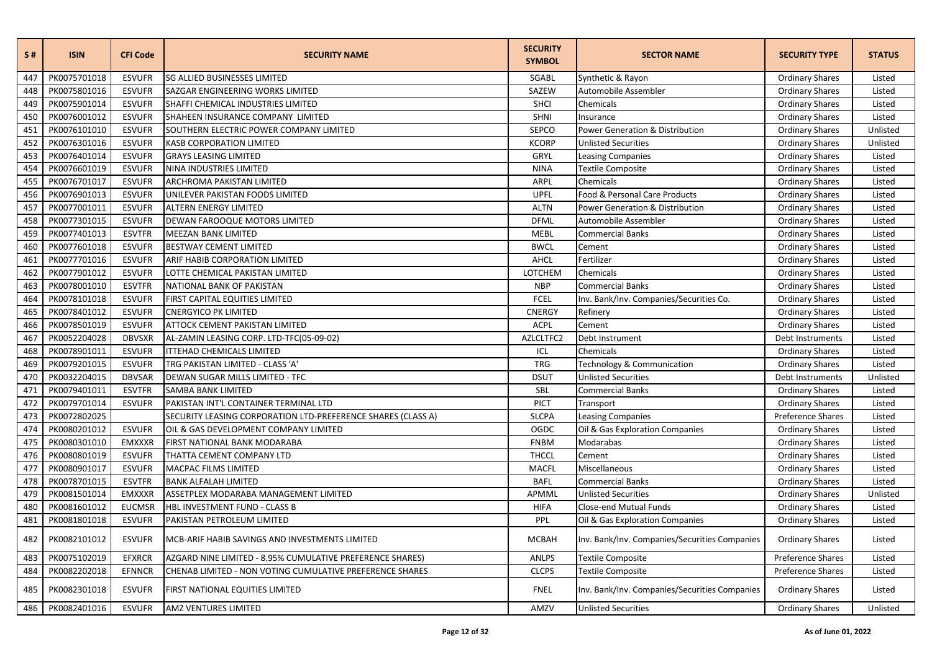| S#  | <b>ISIN</b>  | <b>CFI Code</b> | <b>SECURITY NAME</b>                                         | <b>SECURITY</b><br><b>SYMBOL</b> | <b>SECTOR NAME</b>                            | <b>SECURITY TYPE</b>   | <b>STATUS</b> |
|-----|--------------|-----------------|--------------------------------------------------------------|----------------------------------|-----------------------------------------------|------------------------|---------------|
| 447 | PK0075701018 | <b>ESVUFR</b>   | <b>SG ALLIED BUSINESSES LIMITED</b>                          | SGABL                            | Synthetic & Rayon                             | <b>Ordinary Shares</b> | Listed        |
| 448 | PK0075801016 | <b>ESVUFR</b>   | SAZGAR ENGINEERING WORKS LIMITED                             | SAZEW                            | Automobile Assembler                          | <b>Ordinary Shares</b> | Listed        |
| 449 | PK0075901014 | <b>ESVUFR</b>   | SHAFFI CHEMICAL INDUSTRIES LIMITED                           | SHCI                             | Chemicals                                     | <b>Ordinary Shares</b> | Listed        |
| 450 | PK0076001012 | <b>ESVUFR</b>   | SHAHEEN INSURANCE COMPANY LIMITED                            | SHNI                             | Insurance                                     | <b>Ordinary Shares</b> | Listed        |
| 451 | PK0076101010 | <b>ESVUFR</b>   | SOUTHERN ELECTRIC POWER COMPANY LIMITED                      | SEPCO                            | Power Generation & Distribution               | <b>Ordinary Shares</b> | Unlisted      |
| 452 | PK0076301016 | <b>ESVUFR</b>   | <b>KASB CORPORATION LIMITED</b>                              | <b>KCORP</b>                     | <b>Unlisted Securities</b>                    | <b>Ordinary Shares</b> | Unlisted      |
| 453 | PK0076401014 | <b>ESVUFR</b>   | <b>GRAYS LEASING LIMITED</b>                                 | GRYL                             | Leasing Companies                             | <b>Ordinary Shares</b> | Listed        |
| 454 | PK0076601019 | <b>ESVUFR</b>   | NINA INDUSTRIES LIMITED                                      | <b>NINA</b>                      | <b>Textile Composite</b>                      | <b>Ordinary Shares</b> | Listed        |
| 455 | PK0076701017 | <b>ESVUFR</b>   | ARCHROMA PAKISTAN LIMITED                                    | ARPL                             | Chemicals                                     | <b>Ordinary Shares</b> | Listed        |
| 456 | PK0076901013 | <b>ESVUFR</b>   | UNILEVER PAKISTAN FOODS LIMITED                              | <b>UPFL</b>                      | Food & Personal Care Products                 | <b>Ordinary Shares</b> | Listed        |
| 457 | PK0077001011 | <b>ESVUFR</b>   | ALTERN ENERGY LIMITED                                        | <b>ALTN</b>                      | Power Generation & Distribution               | <b>Ordinary Shares</b> | Listed        |
| 458 | PK0077301015 | <b>ESVUFR</b>   | DEWAN FAROOQUE MOTORS LIMITED                                | <b>DFML</b>                      | Automobile Assembler                          | <b>Ordinary Shares</b> | Listed        |
| 459 | PK0077401013 | <b>ESVTFR</b>   | MEEZAN BANK LIMITED                                          | <b>MEBL</b>                      | <b>Commercial Banks</b>                       | <b>Ordinary Shares</b> | Listed        |
| 460 | PK0077601018 | <b>ESVUFR</b>   | BESTWAY CEMENT LIMITED                                       | <b>BWCL</b>                      | Cement                                        | <b>Ordinary Shares</b> | Listed        |
| 461 | PK0077701016 | <b>ESVUFR</b>   | ARIF HABIB CORPORATION LIMITED                               | AHCL                             | Fertilizer                                    | <b>Ordinary Shares</b> | Listed        |
| 462 | PK0077901012 | <b>ESVUFR</b>   | LOTTE CHEMICAL PAKISTAN LIMITED                              | LOTCHEM                          | Chemicals                                     | <b>Ordinary Shares</b> | Listed        |
| 463 | PK0078001010 | <b>ESVTFR</b>   | NATIONAL BANK OF PAKISTAN                                    | <b>NBP</b>                       | <b>Commercial Banks</b>                       | <b>Ordinary Shares</b> | Listed        |
| 464 | PK0078101018 | <b>ESVUFR</b>   | FIRST CAPITAL EQUITIES LIMITED                               | <b>FCEL</b>                      | Inv. Bank/Inv. Companies/Securities Co.       | <b>Ordinary Shares</b> | Listed        |
| 465 | PK0078401012 | <b>ESVUFR</b>   | <b>CNERGYICO PK LIMITED</b>                                  | <b>CNERGY</b>                    | Refinery                                      | <b>Ordinary Shares</b> | Listed        |
| 466 | PK0078501019 | <b>ESVUFR</b>   | ATTOCK CEMENT PAKISTAN LIMITED                               | <b>ACPL</b>                      | Cement                                        | <b>Ordinary Shares</b> | Listed        |
| 467 | PK0052204028 | <b>DBVSXR</b>   | AL-ZAMIN LEASING CORP. LTD-TFC(05-09-02)                     | AZLCLTFC2                        | Debt Instrument                               | Debt Instruments       | Listed        |
| 468 | PK0078901011 | <b>ESVUFR</b>   | <b>ITTEHAD CHEMICALS LIMITED</b>                             | ICL                              | Chemicals                                     | <b>Ordinary Shares</b> | Listed        |
| 469 | PK0079201015 | <b>ESVUFR</b>   | TRG PAKISTAN LIMITED - CLASS 'A'                             | <b>TRG</b>                       | Technology & Communication                    | <b>Ordinary Shares</b> | Listed        |
| 470 | PK0032204015 | <b>DBVSAR</b>   | DEWAN SUGAR MILLS LIMITED - TFC                              | <b>DSUT</b>                      | <b>Unlisted Securities</b>                    | Debt Instruments       | Unlisted      |
| 471 | PK0079401011 | <b>ESVTFR</b>   | SAMBA BANK LIMITED                                           | SBL                              | <b>Commercial Banks</b>                       | <b>Ordinary Shares</b> | Listed        |
| 472 | PK0079701014 | <b>ESVUFR</b>   | PAKISTAN INT'L CONTAINER TERMINAL LTD                        | <b>PICT</b>                      | Transport                                     | <b>Ordinary Shares</b> | Listed        |
| 473 | PK0072802025 |                 | SECURITY LEASING CORPORATION LTD-PREFERENCE SHARES (CLASS A) | <b>SLCPA</b>                     | <b>Leasing Companies</b>                      | Preference Shares      | Listed        |
| 474 | PK0080201012 | <b>ESVUFR</b>   | OIL & GAS DEVELOPMENT COMPANY LIMITED                        | OGDC                             | Oil & Gas Exploration Companies               | <b>Ordinary Shares</b> | Listed        |
| 475 | PK0080301010 | <b>EMXXXR</b>   | FIRST NATIONAL BANK MODARABA                                 | <b>FNBM</b>                      | Modarabas                                     | <b>Ordinary Shares</b> | Listed        |
| 476 | PK0080801019 | <b>ESVUFR</b>   | THATTA CEMENT COMPANY LTD                                    | <b>THCCL</b>                     | Cement                                        | <b>Ordinary Shares</b> | Listed        |
| 477 | PK0080901017 | <b>ESVUFR</b>   | MACPAC FILMS LIMITED                                         | <b>MACFL</b>                     | Miscellaneous                                 | <b>Ordinary Shares</b> | Listed        |
| 478 | PK0078701015 | <b>ESVTFR</b>   | <b>BANK ALFALAH LIMITED</b>                                  | <b>BAFL</b>                      | <b>Commercial Banks</b>                       | <b>Ordinary Shares</b> | Listed        |
| 479 | PK0081501014 | <b>EMXXXR</b>   | ASSETPLEX MODARABA MANAGEMENT LIMITED                        | APMML                            | <b>Unlisted Securities</b>                    | <b>Ordinary Shares</b> | Unlisted      |
| 480 | PK0081601012 | <b>EUCMSR</b>   | HBL INVESTMENT FUND - CLASS B                                | <b>HIFA</b>                      | Close-end Mutual Funds                        | <b>Ordinary Shares</b> | Listed        |
| 481 | PK0081801018 | <b>ESVUFR</b>   | PAKISTAN PETROLEUM LIMITED                                   | PPL                              | Oil & Gas Exploration Companies               | <b>Ordinary Shares</b> | Listed        |
| 482 | PK0082101012 | <b>ESVUFR</b>   | MCB-ARIF HABIB SAVINGS AND INVESTMENTS LIMITED               | <b>MCBAH</b>                     | Inv. Bank/Inv. Companies/Securities Companies | <b>Ordinary Shares</b> | Listed        |
| 483 | PK0075102019 | <b>EFXRCR</b>   | AZGARD NINE LIMITED - 8.95% CUMULATIVE PREFERENCE SHARES)    | <b>ANLPS</b>                     | Textile Composite                             | Preference Shares      | Listed        |
| 484 | PK0082202018 | <b>EFNNCR</b>   | CHENAB LIMITED - NON VOTING CUMULATIVE PREFERENCE SHARES     | <b>CLCPS</b>                     | <b>Textile Composite</b>                      | Preference Shares      | Listed        |
| 485 | PK0082301018 | <b>ESVUFR</b>   | FIRST NATIONAL EQUITIES LIMITED                              | <b>FNEL</b>                      | Inv. Bank/Inv. Companies/Securities Companies | <b>Ordinary Shares</b> | Listed        |
| 486 | PK0082401016 | <b>ESVUFR</b>   | <b>AMZ VENTURES LIMITED</b>                                  | AMZV                             | <b>Unlisted Securities</b>                    | <b>Ordinary Shares</b> | Unlisted      |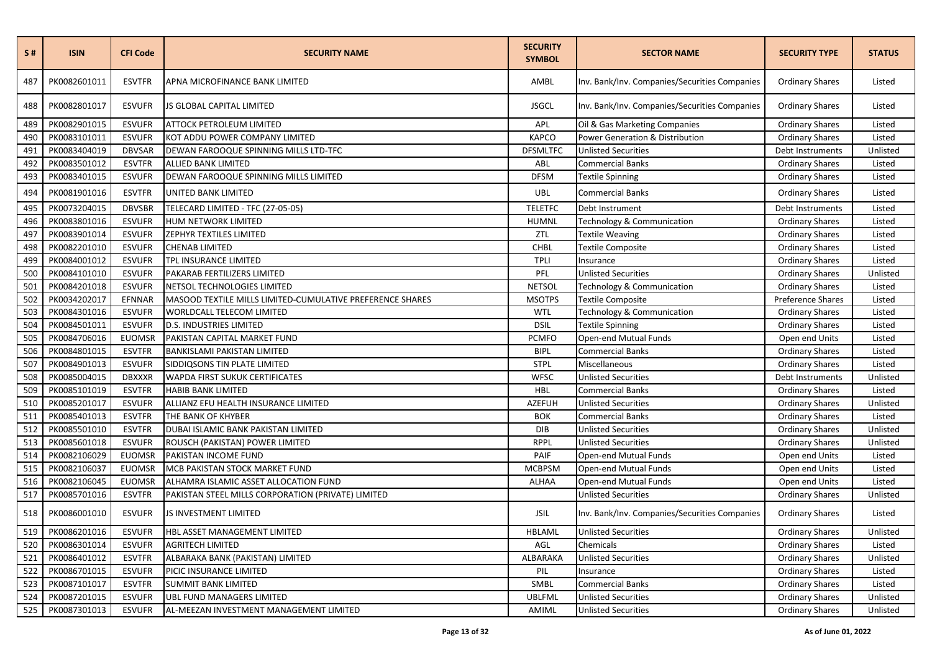| S#  | <b>ISIN</b>  | <b>CFI Code</b> | <b>SECURITY NAME</b>                                      | <b>SECURITY</b><br><b>SYMBOL</b> | <b>SECTOR NAME</b>                            | <b>SECURITY TYPE</b>   | <b>STATUS</b> |
|-----|--------------|-----------------|-----------------------------------------------------------|----------------------------------|-----------------------------------------------|------------------------|---------------|
| 487 | PK0082601011 | <b>ESVTFR</b>   | APNA MICROFINANCE BANK LIMITED                            | AMBL                             | Inv. Bank/Inv. Companies/Securities Companies | <b>Ordinary Shares</b> | Listed        |
| 488 | PK0082801017 | <b>ESVUFR</b>   | JS GLOBAL CAPITAL LIMITED                                 | <b>JSGCL</b>                     | Inv. Bank/Inv. Companies/Securities Companies | <b>Ordinary Shares</b> | Listed        |
| 489 | PK0082901015 | <b>ESVUFR</b>   | <b>ATTOCK PETROLEUM LIMITED</b>                           | APL                              | Oil & Gas Marketing Companies                 | <b>Ordinary Shares</b> | Listed        |
| 490 | PK0083101011 | <b>ESVUFR</b>   | KOT ADDU POWER COMPANY LIMITED                            | <b>KAPCO</b>                     | Power Generation & Distribution               | <b>Ordinary Shares</b> | Listed        |
| 491 | PK0083404019 | <b>DBVSAR</b>   | DEWAN FAROOQUE SPINNING MILLS LTD-TFC                     | <b>DFSMLTFC</b>                  | <b>Unlisted Securities</b>                    | Debt Instruments       | Unlisted      |
| 492 | PK0083501012 | <b>ESVTFR</b>   | <b>ALLIED BANK LIMITED</b>                                | ABL                              | Commercial Banks                              | <b>Ordinary Shares</b> | Listed        |
| 493 | PK0083401015 | <b>ESVUFR</b>   | DEWAN FAROOQUE SPINNING MILLS LIMITED                     | <b>DFSM</b>                      | Textile Spinning                              | <b>Ordinary Shares</b> | Listed        |
| 494 | PK0081901016 | <b>ESVTFR</b>   | UNITED BANK LIMITED                                       | <b>UBL</b>                       | Commercial Banks                              | <b>Ordinary Shares</b> | Listed        |
| 495 | PK0073204015 | <b>DBVSBR</b>   | TELECARD LIMITED - TFC (27-05-05)                         | <b>TELETFC</b>                   | Debt Instrument                               | Debt Instruments       | Listed        |
| 496 | PK0083801016 | <b>ESVUFR</b>   | HUM NETWORK LIMITED                                       | <b>HUMNL</b>                     | Technology & Communication                    | <b>Ordinary Shares</b> | Listed        |
| 497 | PK0083901014 | <b>ESVUFR</b>   | ZEPHYR TEXTILES LIMITED                                   | ZTL                              | <b>Textile Weaving</b>                        | <b>Ordinary Shares</b> | Listed        |
| 498 | PK0082201010 | <b>ESVUFR</b>   | <b>CHENAB LIMITED</b>                                     | CHBL                             | <b>Textile Composite</b>                      | <b>Ordinary Shares</b> | Listed        |
| 499 | PK0084001012 | <b>ESVUFR</b>   | TPL INSURANCE LIMITED                                     | <b>TPLI</b>                      | Insurance                                     | <b>Ordinary Shares</b> | Listed        |
| 500 | PK0084101010 | <b>ESVUFR</b>   | PAKARAB FERTILIZERS LIMITED                               | PFL                              | <b>Unlisted Securities</b>                    | Ordinary Shares        | Unlisted      |
| 501 | PK0084201018 | <b>ESVUFR</b>   | NETSOL TECHNOLOGIES LIMITED                               | <b>NETSOL</b>                    | Technology & Communication                    | <b>Ordinary Shares</b> | Listed        |
| 502 | PK0034202017 | EFNNAR          | MASOOD TEXTILE MILLS LIMITED-CUMULATIVE PREFERENCE SHARES | <b>MSOTPS</b>                    | <b>Textile Composite</b>                      | Preference Shares      | Listed        |
| 503 | PK0084301016 | <b>ESVUFR</b>   | WORLDCALL TELECOM LIMITED                                 | WTL                              | Technology & Communication                    | <b>Ordinary Shares</b> | Listed        |
| 504 | PK0084501011 | <b>ESVUFR</b>   | <b>D.S. INDUSTRIES LIMITED</b>                            | <b>DSIL</b>                      | Textile Spinning                              | <b>Ordinary Shares</b> | Listed        |
| 505 | PK0084706016 | <b>EUOMSR</b>   | PAKISTAN CAPITAL MARKET FUND                              | <b>PCMFO</b>                     | Open-end Mutual Funds                         | Open end Units         | Listed        |
| 506 | PK0084801015 | <b>ESVTFR</b>   | <b>BANKISLAMI PAKISTAN LIMITED</b>                        | <b>BIPL</b>                      | <b>Commercial Banks</b>                       | <b>Ordinary Shares</b> | Listed        |
| 507 | PK0084901013 | <b>ESVUFR</b>   | SIDDIQSONS TIN PLATE LIMITED                              | <b>STPL</b>                      | Miscellaneous                                 | <b>Ordinary Shares</b> | Listed        |
| 508 | PK0085004015 | <b>DBXXXR</b>   | WAPDA FIRST SUKUK CERTIFICATES                            | <b>WFSC</b>                      | <b>Unlisted Securities</b>                    | Debt Instruments       | Unlisted      |
| 509 | PK0085101019 | <b>ESVTFR</b>   | <b>HABIB BANK LIMITED</b>                                 | HBL                              | <b>Commercial Banks</b>                       | <b>Ordinary Shares</b> | Listed        |
| 510 | PK0085201017 | <b>ESVUFR</b>   | ALLIANZ EFU HEALTH INSURANCE LIMITED                      | <b>AZEFUH</b>                    | <b>Unlisted Securities</b>                    | <b>Ordinary Shares</b> | Unlisted      |
| 511 | PK0085401013 | <b>ESVTFR</b>   | THE BANK OF KHYBER                                        | <b>BOK</b>                       | Commercial Banks                              | <b>Ordinary Shares</b> | Listed        |
| 512 | PK0085501010 | <b>ESVTFR</b>   | DUBAI ISLAMIC BANK PAKISTAN LIMITED                       | DIB                              | <b>Unlisted Securities</b>                    | <b>Ordinary Shares</b> | Unlisted      |
| 513 | PK0085601018 | <b>ESVUFR</b>   | ROUSCH (PAKISTAN) POWER LIMITED                           | <b>RPPL</b>                      | <b>Unlisted Securities</b>                    | <b>Ordinary Shares</b> | Unlisted      |
| 514 | PK0082106029 | <b>EUOMSR</b>   | PAKISTAN INCOME FUND                                      | PAIF                             | Open-end Mutual Funds                         | Open end Units         | Listed        |
| 515 | PK0082106037 | <b>EUOMSR</b>   | MCB PAKISTAN STOCK MARKET FUND                            | <b>MCBPSM</b>                    | Open-end Mutual Funds                         | Open end Units         | Listed        |
| 516 | PK0082106045 | <b>EUOMSR</b>   | ALHAMRA ISLAMIC ASSET ALLOCATION FUND                     | ALHAA                            | Open-end Mutual Funds                         | Open end Units         | Listed        |
| 517 | PK0085701016 | <b>ESVTFR</b>   | PAKISTAN STEEL MILLS CORPORATION (PRIVATE) LIMITED        |                                  | <b>Unlisted Securities</b>                    | <b>Ordinary Shares</b> | Unlisted      |
| 518 | PK0086001010 | <b>ESVUFR</b>   | JS INVESTMENT LIMITED                                     | <b>JSIL</b>                      | Inv. Bank/Inv. Companies/Securities Companies | <b>Ordinary Shares</b> | Listed        |
| 519 | PK0086201016 | <b>ESVUFR</b>   | HBL ASSET MANAGEMENT LIMITED                              | HBLAML                           | <b>Unlisted Securities</b>                    | <b>Ordinary Shares</b> | Unlisted      |
| 520 | PK0086301014 | <b>ESVUFR</b>   | <b>AGRITECH LIMITED</b>                                   | AGL                              | Chemicals                                     | <b>Ordinary Shares</b> | Listed        |
| 521 | PK0086401012 | <b>ESVTFR</b>   | ALBARAKA BANK (PAKISTAN) LIMITED                          | ALBARAKA                         | <b>Unlisted Securities</b>                    | <b>Ordinary Shares</b> | Unlisted      |
| 522 | PK0086701015 | <b>ESVUFR</b>   | PICIC INSURANCE LIMITED                                   | PIL                              | Insurance                                     | <b>Ordinary Shares</b> | Listed        |
| 523 | PK0087101017 | <b>ESVTFR</b>   | <b>SUMMIT BANK LIMITED</b>                                | SMBL                             | Commercial Banks                              | <b>Ordinary Shares</b> | Listed        |
| 524 | PK0087201015 | <b>ESVUFR</b>   | <b>UBL FUND MANAGERS LIMITED</b>                          | <b>UBLFML</b>                    | <b>Unlisted Securities</b>                    | <b>Ordinary Shares</b> | Unlisted      |
| 525 | PK0087301013 | <b>ESVUFR</b>   | AL-MEEZAN INVESTMENT MANAGEMENT LIMITED                   | AMIML                            | <b>Unlisted Securities</b>                    | <b>Ordinary Shares</b> | Unlisted      |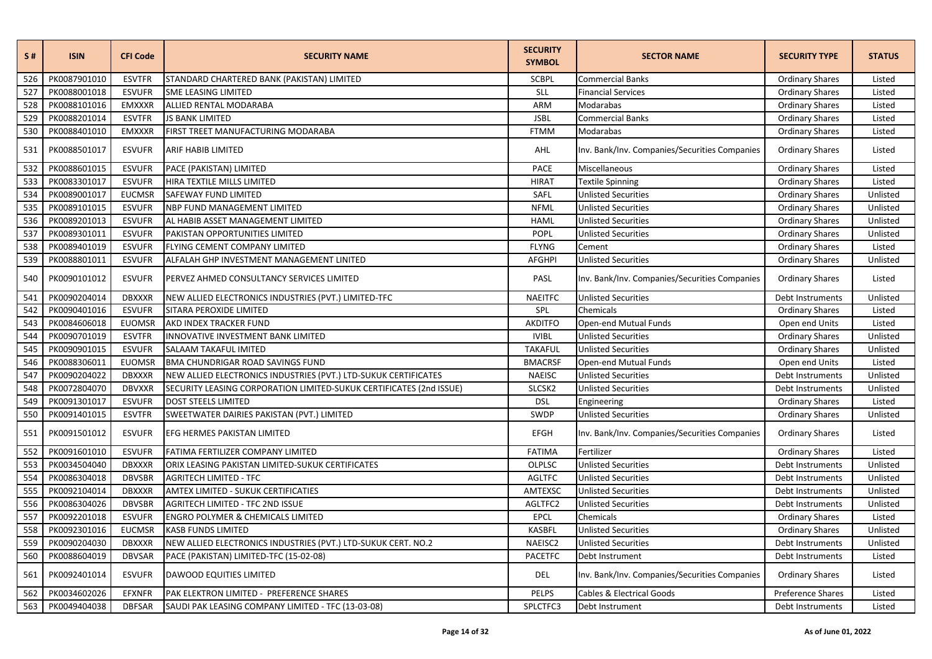| S#  | <b>ISIN</b>  | <b>CFI Code</b> | <b>SECURITY NAME</b>                                                | <b>SECURITY</b><br><b>SYMBOL</b> | <b>SECTOR NAME</b>                            | <b>SECURITY TYPE</b>   | <b>STATUS</b> |
|-----|--------------|-----------------|---------------------------------------------------------------------|----------------------------------|-----------------------------------------------|------------------------|---------------|
| 526 | PK0087901010 | <b>ESVTFR</b>   | STANDARD CHARTERED BANK (PAKISTAN) LIMITED                          | <b>SCBPL</b>                     | <b>Commercial Banks</b>                       | <b>Ordinary Shares</b> | Listed        |
| 527 | PK0088001018 | <b>ESVUFR</b>   | SME LEASING LIMITED                                                 | SLL                              | <b>Financial Services</b>                     | <b>Ordinary Shares</b> | Listed        |
| 528 | PK0088101016 | <b>EMXXXR</b>   | ALLIED RENTAL MODARABA                                              | ARM                              | Modarabas                                     | <b>Ordinary Shares</b> | Listed        |
| 529 | PK0088201014 | <b>ESVTFR</b>   | <b>JS BANK LIMITED</b>                                              | <b>JSBL</b>                      | <b>Commercial Banks</b>                       | <b>Ordinary Shares</b> | Listed        |
| 530 | PK0088401010 | <b>EMXXXR</b>   | FIRST TREET MANUFACTURING MODARABA                                  | <b>FTMM</b>                      | Modarabas                                     | <b>Ordinary Shares</b> | Listed        |
| 531 | PK0088501017 | <b>ESVUFR</b>   | ARIF HABIB LIMITED                                                  | AHL                              | Inv. Bank/Inv. Companies/Securities Companies | <b>Ordinary Shares</b> | Listed        |
| 532 | PK0088601015 | <b>ESVUFR</b>   | PACE (PAKISTAN) LIMITED                                             | <b>PACE</b>                      | Miscellaneous                                 | <b>Ordinary Shares</b> | Listed        |
| 533 | PK0083301017 | <b>ESVUFR</b>   | HIRA TEXTILE MILLS LIMITED                                          | <b>HIRAT</b>                     | <b>Textile Spinning</b>                       | <b>Ordinary Shares</b> | Listed        |
| 534 | PK0089001017 | <b>EUCMSR</b>   | <b>SAFEWAY FUND LIMITED</b>                                         | SAFL                             | <b>Unlisted Securities</b>                    | <b>Ordinary Shares</b> | Unlisted      |
| 535 | PK0089101015 | <b>ESVUFR</b>   | NBP FUND MANAGEMENT LIMITED                                         | <b>NFML</b>                      | <b>Unlisted Securities</b>                    | <b>Ordinary Shares</b> | Unlisted      |
| 536 | PK0089201013 | <b>ESVUFR</b>   | AL HABIB ASSET MANAGEMENT LIMITED                                   | <b>HAML</b>                      | <b>Unlisted Securities</b>                    | <b>Ordinary Shares</b> | Unlisted      |
| 537 | PK0089301011 | <b>ESVUFR</b>   | PAKISTAN OPPORTUNITIES LIMITED                                      | <b>POPL</b>                      | <b>Unlisted Securities</b>                    | <b>Ordinary Shares</b> | Unlisted      |
| 538 | PK0089401019 | <b>ESVUFR</b>   | FLYING CEMENT COMPANY LIMITED                                       | <b>FLYNG</b>                     | Cement                                        | <b>Ordinary Shares</b> | Listed        |
| 539 | PK0088801011 | <b>ESVUFR</b>   | ALFALAH GHP INVESTMENT MANAGEMENT LINITED                           | <b>AFGHPI</b>                    | <b>Unlisted Securities</b>                    | <b>Ordinary Shares</b> | Unlisted      |
| 540 | PK0090101012 | <b>ESVUFR</b>   | PERVEZ AHMED CONSULTANCY SERVICES LIMITED                           | PASL                             | Inv. Bank/Inv. Companies/Securities Companies | <b>Ordinary Shares</b> | Listed        |
| 541 | PK0090204014 | <b>DBXXXR</b>   | NEW ALLIED ELECTRONICS INDUSTRIES (PVT.) LIMITED-TFC                | <b>NAEITFC</b>                   | <b>Unlisted Securities</b>                    | Debt Instruments       | Unlisted      |
| 542 | PK0090401016 | <b>ESVUFR</b>   | SITARA PEROXIDE LIMITED                                             | SPL                              | Chemicals                                     | <b>Ordinary Shares</b> | Listed        |
| 543 | PK0084606018 | <b>EUOMSR</b>   | AKD INDEX TRACKER FUND                                              | <b>AKDITFO</b>                   | Open-end Mutual Funds                         | Open end Units         | Listed        |
| 544 | PK0090701019 | <b>ESVTFR</b>   | INNOVATIVE INVESTMENT BANK LIMITED                                  | <b>IVIBL</b>                     | <b>Unlisted Securities</b>                    | <b>Ordinary Shares</b> | Unlisted      |
| 545 | PK0090901015 | <b>ESVUFR</b>   | <b>SALAAM TAKAFUL IMITED</b>                                        | <b>TAKAFUL</b>                   | <b>Unlisted Securities</b>                    | <b>Ordinary Shares</b> | Unlisted      |
| 546 | PK0088306011 | <b>EUOMSR</b>   | BMA CHUNDRIGAR ROAD SAVINGS FUND                                    | <b>BMACRSF</b>                   | Open-end Mutual Funds                         | Open end Units         | Listed        |
| 547 | PK0090204022 | <b>DBXXXR</b>   | NEW ALLIED ELECTRONICS INDUSTRIES (PVT.) LTD-SUKUK CERTIFICATES     | <b>NAEISC</b>                    | <b>Unlisted Securities</b>                    | Debt Instruments       | Unlisted      |
| 548 | PK0072804070 | <b>DBVXXR</b>   | SECURITY LEASING CORPORATION LIMITED-SUKUK CERTIFICATES (2nd ISSUE) | SLCSK2                           | <b>Unlisted Securities</b>                    | Debt Instruments       | Unlisted      |
| 549 | PK0091301017 | <b>ESVUFR</b>   | DOST STEELS LIMITED                                                 | <b>DSL</b>                       | Engineering                                   | <b>Ordinary Shares</b> | Listed        |
| 550 | PK0091401015 | <b>ESVTFR</b>   | SWEETWATER DAIRIES PAKISTAN (PVT.) LIMITED                          | SWDP                             | <b>Unlisted Securities</b>                    | <b>Ordinary Shares</b> | Unlisted      |
| 551 | PK0091501012 | <b>ESVUFR</b>   | EFG HERMES PAKISTAN LIMITED                                         | <b>EFGH</b>                      | Inv. Bank/Inv. Companies/Securities Companies | <b>Ordinary Shares</b> | Listed        |
| 552 | PK0091601010 | <b>ESVUFR</b>   | FATIMA FERTILIZER COMPANY LIMITED                                   | <b>FATIMA</b>                    | Fertilizer                                    | <b>Ordinary Shares</b> | Listed        |
| 553 | PK0034504040 | <b>DBXXXR</b>   | ORIX LEASING PAKISTAN LIMITED-SUKUK CERTIFICATES                    | OLPLSC                           | <b>Unlisted Securities</b>                    | Debt Instruments       | Unlisted      |
| 554 | PK0086304018 | <b>DBVSBR</b>   | <b>AGRITECH LIMITED - TFC</b>                                       | <b>AGLTFC</b>                    | <b>Unlisted Securities</b>                    | Debt Instruments       | Unlisted      |
| 555 | PK0092104014 | <b>DBXXXR</b>   | AMTEX LIMITED - SUKUK CERTIFICATIES                                 | AMTEXSC                          | <b>Unlisted Securities</b>                    | Debt Instruments       | Unlisted      |
| 556 | PK0086304026 | <b>DBVSBR</b>   | <b>AGRITECH LIMITED - TFC 2ND ISSUE</b>                             | AGLTFC2                          | <b>Unlisted Securities</b>                    | Debt Instruments       | Unlisted      |
| 557 | PK0092201018 | <b>ESVUFR</b>   | ENGRO POLYMER & CHEMICALS LIMITED                                   | EPCL                             | Chemicals                                     | <b>Ordinary Shares</b> | Listed        |
| 558 | PK0092301016 | <b>EUCMSR</b>   | <b>KASB FUNDS LIMITED</b>                                           | <b>KASBFL</b>                    | <b>Unlisted Securities</b>                    | <b>Ordinary Shares</b> | Unlisted      |
| 559 | PK0090204030 | <b>DBXXXR</b>   | NEW ALLIED ELECTRONICS INDUSTRIES (PVT.) LTD-SUKUK CERT. NO.2       | NAEISC2                          | <b>Unlisted Securities</b>                    | Debt Instruments       | Unlisted      |
| 560 | PK0088604019 | <b>DBVSAR</b>   | PACE (PAKISTAN) LIMITED-TFC (15-02-08)                              | <b>PACETFC</b>                   | Debt Instrument                               | Debt Instruments       | Listed        |
| 561 | PK0092401014 | <b>ESVUFR</b>   | DAWOOD EQUITIES LIMITED                                             | DEL                              | Inv. Bank/Inv. Companies/Securities Companies | <b>Ordinary Shares</b> | Listed        |
| 562 | PK0034602026 | <b>EFXNFR</b>   | PAK ELEKTRON LIMITED - PREFERENCE SHARES                            | <b>PELPS</b>                     | Cables & Electrical Goods                     | Preference Shares      | Listed        |
| 563 | PK0049404038 | <b>DBFSAR</b>   | SAUDI PAK LEASING COMPANY LIMITED - TFC (13-03-08)                  | SPLCTFC3                         | Debt Instrument                               | Debt Instruments       | Listed        |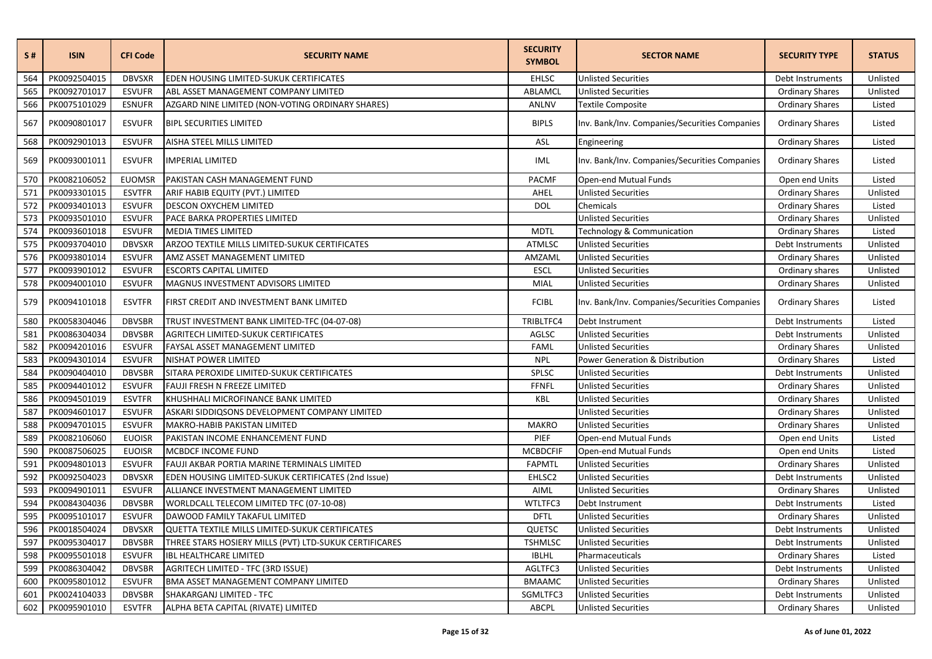| S#  | <b>ISIN</b>  | <b>CFI Code</b> | <b>SECURITY NAME</b>                                   | <b>SECURITY</b><br><b>SYMBOL</b> | <b>SECTOR NAME</b>                            | <b>SECURITY TYPE</b>   | <b>STATUS</b> |
|-----|--------------|-----------------|--------------------------------------------------------|----------------------------------|-----------------------------------------------|------------------------|---------------|
| 564 | PK0092504015 | <b>DBVSXR</b>   | EDEN HOUSING LIMITED-SUKUK CERTIFICATES                | <b>EHLSC</b>                     | <b>Unlisted Securities</b>                    | Debt Instruments       | Unlisted      |
| 565 | PK0092701017 | <b>ESVUFR</b>   | ABL ASSET MANAGEMENT COMPANY LIMITED                   | ABLAMCL                          | <b>Unlisted Securities</b>                    | <b>Ordinary Shares</b> | Unlisted      |
| 566 | PK0075101029 | <b>ESNUFR</b>   | AZGARD NINE LIMITED (NON-VOTING ORDINARY SHARES)       | ANLNV                            | <b>Textile Composite</b>                      | <b>Ordinary Shares</b> | Listed        |
| 567 | PK0090801017 | <b>ESVUFR</b>   | <b>BIPL SECURITIES LIMITED</b>                         | <b>BIPLS</b>                     | Inv. Bank/Inv. Companies/Securities Companies | <b>Ordinary Shares</b> | Listed        |
| 568 | PK0092901013 | <b>ESVUFR</b>   | AISHA STEEL MILLS LIMITED                              | ASL                              | Engineering                                   | <b>Ordinary Shares</b> | Listed        |
| 569 | PK0093001011 | <b>ESVUFR</b>   | <b>IMPERIAL LIMITED</b>                                | IML                              | Inv. Bank/Inv. Companies/Securities Companies | <b>Ordinary Shares</b> | Listed        |
| 570 | PK0082106052 | <b>EUOMSR</b>   | PAKISTAN CASH MANAGEMENT FUND                          | <b>PACMF</b>                     | Open-end Mutual Funds                         | Open end Units         | Listed        |
| 571 | PK0093301015 | <b>ESVTFR</b>   | ARIF HABIB EQUITY (PVT.) LIMITED                       | AHEL                             | <b>Unlisted Securities</b>                    | <b>Ordinary Shares</b> | Unlisted      |
| 572 | PK0093401013 | <b>ESVUFR</b>   | DESCON OXYCHEM LIMITED                                 | <b>DOL</b>                       | Chemicals                                     | <b>Ordinary Shares</b> | Listed        |
| 573 | PK0093501010 | <b>ESVUFR</b>   | PACE BARKA PROPERTIES LIMITED                          |                                  | <b>Unlisted Securities</b>                    | <b>Ordinary Shares</b> | Unlisted      |
| 574 | PK0093601018 | <b>ESVUFR</b>   | MEDIA TIMES LIMITED                                    | <b>MDTL</b>                      | Technology & Communication                    | <b>Ordinary Shares</b> | Listed        |
| 575 | PK0093704010 | <b>DBVSXR</b>   | ARZOO TEXTILE MILLS LIMITED-SUKUK CERTIFICATES         | <b>ATMLSC</b>                    | <b>Unlisted Securities</b>                    | Debt Instruments       | Unlisted      |
| 576 | PK0093801014 | <b>ESVUFR</b>   | AMZ ASSET MANAGEMENT LIMITED                           | AMZAML                           | <b>Unlisted Securities</b>                    | <b>Ordinary Shares</b> | Unlisted      |
| 577 | PK0093901012 | <b>ESVUFR</b>   | <b>ESCORTS CAPITAL LIMITED</b>                         | <b>ESCL</b>                      | <b>Unlisted Securities</b>                    | Ordinary shares        | Unlisted      |
| 578 | PK0094001010 | <b>ESVUFR</b>   | MAGNUS INVESTMENT ADVISORS LIMITED                     | MIAL                             | <b>Unlisted Securities</b>                    | <b>Ordinary Shares</b> | Unlisted      |
| 579 | PK0094101018 | <b>ESVTFR</b>   | FIRST CREDIT AND INVESTMENT BANK LIMITED               | <b>FCIBL</b>                     | Inv. Bank/Inv. Companies/Securities Companies | <b>Ordinary Shares</b> | Listed        |
| 580 | PK0058304046 | <b>DBVSBR</b>   | TRUST INVESTMENT BANK LIMITED-TFC (04-07-08)           | TRIBLTFC4                        | Debt Instrument                               | Debt Instruments       | Listed        |
| 581 | PK0086304034 | <b>DBVSBR</b>   | AGRITECH LIMITED-SUKUK CERTIFICATES                    | AGLSC                            | <b>Unlisted Securities</b>                    | Debt Instruments       | Unlisted      |
| 582 | PK0094201016 | <b>ESVUFR</b>   | FAYSAL ASSET MANAGEMENT LIMITED                        | FAML                             | <b>Unlisted Securities</b>                    | <b>Ordinary Shares</b> | Unlisted      |
| 583 | PK0094301014 | <b>ESVUFR</b>   | NISHAT POWER LIMITED                                   | <b>NPL</b>                       | <b>Power Generation &amp; Distribution</b>    | <b>Ordinary Shares</b> | Listed        |
| 584 | PK0090404010 | <b>DBVSBR</b>   | SITARA PEROXIDE LIMITED-SUKUK CERTIFICATES             | SPLSC                            | <b>Unlisted Securities</b>                    | Debt Instruments       | Unlisted      |
| 585 | PK0094401012 | <b>ESVUFR</b>   | FAUJI FRESH N FREEZE LIMITED                           | <b>FFNFL</b>                     | <b>Unlisted Securities</b>                    | <b>Ordinary Shares</b> | Unlisted      |
| 586 | PK0094501019 | <b>ESVTFR</b>   | KHUSHHALI MICROFINANCE BANK LIMITED                    | KBL                              | <b>Unlisted Securities</b>                    | <b>Ordinary Shares</b> | Unlisted      |
| 587 | PK0094601017 | <b>ESVUFR</b>   | ASKARI SIDDIQSONS DEVELOPMENT COMPANY LIMITED          |                                  | <b>Unlisted Securities</b>                    | <b>Ordinary Shares</b> | Unlisted      |
| 588 | PK0094701015 | <b>ESVUFR</b>   | MAKRO-HABIB PAKISTAN LIMITED                           | <b>MAKRO</b>                     | <b>Unlisted Securities</b>                    | <b>Ordinary Shares</b> | Unlisted      |
| 589 | PK0082106060 | <b>EUOISR</b>   | PAKISTAN INCOME ENHANCEMENT FUND                       | PIEF                             | Open-end Mutual Funds                         | Open end Units         | Listed        |
| 590 | PK0087506025 | <b>EUOISR</b>   | MCBDCF INCOME FUND                                     | <b>MCBDCFIF</b>                  | Open-end Mutual Funds                         | Open end Units         | Listed        |
| 591 | PK0094801013 | <b>ESVUFR</b>   | FAUJI AKBAR PORTIA MARINE TERMINALS LIMITED            | <b>FAPMTL</b>                    | <b>Unlisted Securities</b>                    | <b>Ordinary Shares</b> | Unlisted      |
| 592 | PK0092504023 | <b>DBVSXR</b>   | EDEN HOUSING LIMITED-SUKUK CERTIFICATES (2nd Issue)    | EHLSC2                           | <b>Unlisted Securities</b>                    | Debt Instruments       | Unlisted      |
| 593 | PK0094901011 | <b>ESVUFR</b>   | ALLIANCE INVESTMENT MANAGEMENT LIMITED                 | AIML                             | <b>Unlisted Securities</b>                    | <b>Ordinary Shares</b> | Unlisted      |
| 594 | PK0084304036 | <b>DBVSBR</b>   | WORLDCALL TELECOM LIMITED TFC (07-10-08)               | WTLTFC3                          | Debt Instrument                               | Debt Instruments       | Listed        |
| 595 | PK0095101017 | <b>ESVUFR</b>   | DAWOOD FAMILY TAKAFUL LIMITED                          | <b>DFTL</b>                      | <b>Unlisted Securities</b>                    | <b>Ordinary Shares</b> | Unlisted      |
| 596 | PK0018504024 | <b>DBVSXR</b>   | QUETTA TEXTILE MILLS LIMITED-SUKUK CERTIFICATES        | QUETSC                           | <b>Unlisted Securities</b>                    | Debt Instruments       | Unlisted      |
| 597 | PK0095304017 | <b>DBVSBR</b>   | THREE STARS HOSIERY MILLS (PVT) LTD-SUKUK CERTIFICARES | <b>TSHMLSC</b>                   | <b>Unlisted Securities</b>                    | Debt Instruments       | Unlisted      |
| 598 | PK0095501018 | <b>ESVUFR</b>   | <b>IBL HEALTHCARE LIMITED</b>                          | <b>IBLHL</b>                     | Pharmaceuticals                               | <b>Ordinary Shares</b> | Listed        |
| 599 | PK0086304042 | <b>DBVSBR</b>   | <b>AGRITECH LIMITED - TFC (3RD ISSUE)</b>              | AGLTFC3                          | <b>Unlisted Securities</b>                    | Debt Instruments       | Unlisted      |
| 600 | PK0095801012 | <b>ESVUFR</b>   | BMA ASSET MANAGEMENT COMPANY LIMITED                   | <b>BMAAMC</b>                    | <b>Unlisted Securities</b>                    | <b>Ordinary Shares</b> | Unlisted      |
| 601 | PK0024104033 | <b>DBVSBR</b>   | SHAKARGANJ LIMITED - TFC                               | SGMLTFC3                         | <b>Unlisted Securities</b>                    | Debt Instruments       | Unlisted      |
| 602 | PK0095901010 | <b>ESVTFR</b>   | ALPHA BETA CAPITAL (RIVATE) LIMITED                    | <b>ABCPL</b>                     | <b>Unlisted Securities</b>                    | <b>Ordinary Shares</b> | Unlisted      |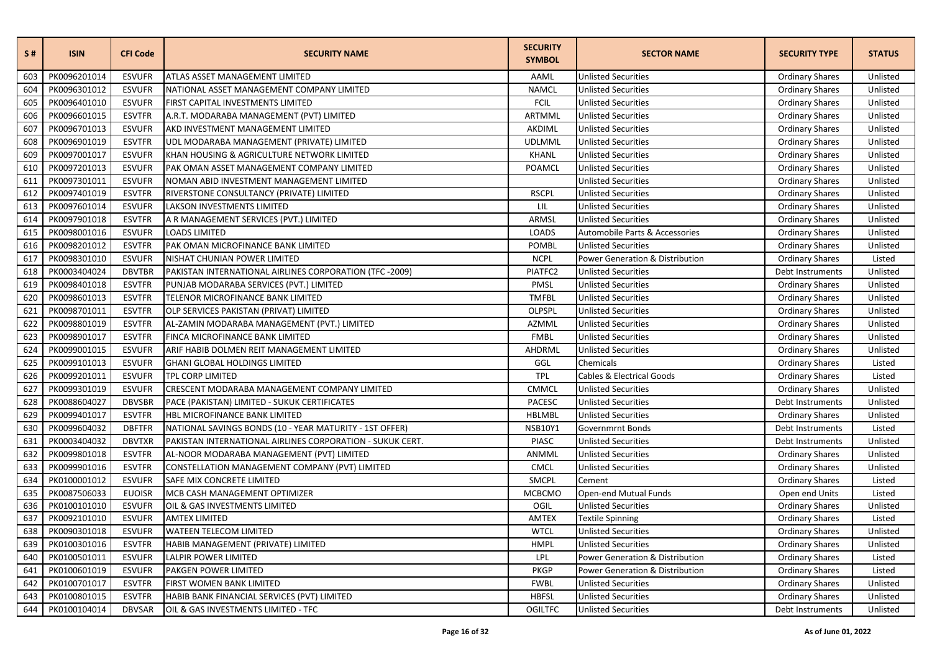| <b>S#</b> | <b>ISIN</b>  | <b>CFI Code</b> | <b>SECURITY NAME</b>                                      | <b>SECURITY</b><br><b>SYMBOL</b> | <b>SECTOR NAME</b>                         | <b>SECURITY TYPE</b>   | <b>STATUS</b> |
|-----------|--------------|-----------------|-----------------------------------------------------------|----------------------------------|--------------------------------------------|------------------------|---------------|
| 603       | PK0096201014 | <b>ESVUFR</b>   | ATLAS ASSET MANAGEMENT LIMITED                            | AAML                             | <b>Unlisted Securities</b>                 | <b>Ordinary Shares</b> | Unlisted      |
| 604       | PK0096301012 | <b>ESVUFR</b>   | NATIONAL ASSET MANAGEMENT COMPANY LIMITED                 | <b>NAMCL</b>                     | <b>Unlisted Securities</b>                 | <b>Ordinary Shares</b> | Unlisted      |
| 605       | PK0096401010 | <b>ESVUFR</b>   | FIRST CAPITAL INVESTMENTS LIMITED                         | <b>FCIL</b>                      | <b>Unlisted Securities</b>                 | <b>Ordinary Shares</b> | Unlisted      |
| 606       | PK0096601015 | <b>ESVTFR</b>   | A.R.T. MODARABA MANAGEMENT (PVT) LIMITED                  | ARTMML                           | <b>Unlisted Securities</b>                 | <b>Ordinary Shares</b> | Unlisted      |
| 607       | PK0096701013 | <b>ESVUFR</b>   | AKD INVESTMENT MANAGEMENT LIMITED                         | AKDIML                           | <b>Unlisted Securities</b>                 | <b>Ordinary Shares</b> | Unlisted      |
| 608       | PK0096901019 | <b>ESVTFR</b>   | UDL MODARABA MANAGEMENT (PRIVATE) LIMITED                 | <b>UDLMML</b>                    | <b>Unlisted Securities</b>                 | <b>Ordinary Shares</b> | Unlisted      |
| 609       | PK0097001017 | <b>ESVUFR</b>   | KHAN HOUSING & AGRICULTURE NETWORK LIMITED                | <b>KHANL</b>                     | <b>Unlisted Securities</b>                 | <b>Ordinary Shares</b> | Unlisted      |
| 610       | PK0097201013 | <b>ESVUFR</b>   | PAK OMAN ASSET MANAGEMENT COMPANY LIMITED                 | POAMCL                           | <b>Unlisted Securities</b>                 | <b>Ordinary Shares</b> | Unlisted      |
| 611       | PK0097301011 | <b>ESVUFR</b>   | NOMAN ABID INVESTMENT MANAGEMENT LIMITED                  |                                  | <b>Unlisted Securities</b>                 | <b>Ordinary Shares</b> | Unlisted      |
| 612       | PK0097401019 | <b>ESVTFR</b>   | RIVERSTONE CONSULTANCY (PRIVATE) LIMITED                  | <b>RSCPL</b>                     | <b>Unlisted Securities</b>                 | <b>Ordinary Shares</b> | Unlisted      |
| 613       | PK0097601014 | <b>ESVUFR</b>   | LAKSON INVESTMENTS LIMITED                                | LIL                              | <b>Unlisted Securities</b>                 | <b>Ordinary Shares</b> | Unlisted      |
| 614       | PK0097901018 | <b>ESVTFR</b>   | A R MANAGEMENT SERVICES (PVT.) LIMITED                    | ARMSL                            | <b>Unlisted Securities</b>                 | <b>Ordinary Shares</b> | Unlisted      |
| 615       | PK0098001016 | <b>ESVUFR</b>   | <b>LOADS LIMITED</b>                                      | <b>LOADS</b>                     | Automobile Parts & Accessories             | <b>Ordinary Shares</b> | Unlisted      |
| 616       | PK0098201012 | <b>ESVTFR</b>   | PAK OMAN MICROFINANCE BANK LIMITED                        | POMBL                            | <b>Unlisted Securities</b>                 | <b>Ordinary Shares</b> | Unlisted      |
| 617       | PK0098301010 | <b>ESVUFR</b>   | NISHAT CHUNIAN POWER LIMITED                              | <b>NCPL</b>                      | <b>Power Generation &amp; Distribution</b> | <b>Ordinary Shares</b> | Listed        |
| 618       | PK0003404024 | <b>DBVTBR</b>   | PAKISTAN INTERNATIONAL AIRLINES CORPORATION (TFC-2009)    | PIATFC2                          | <b>Unlisted Securities</b>                 | Debt Instruments       | Unlisted      |
| 619       | PK0098401018 | <b>ESVTFR</b>   | PUNJAB MODARABA SERVICES (PVT.) LIMITED                   | PMSL                             | <b>Unlisted Securities</b>                 | <b>Ordinary Shares</b> | Unlisted      |
| 620       | PK0098601013 | <b>ESVTFR</b>   | TELENOR MICROFINANCE BANK LIMITED                         | <b>TMFBL</b>                     | <b>Unlisted Securities</b>                 | <b>Ordinary Shares</b> | Unlisted      |
| 621       | PK0098701011 | <b>ESVTFR</b>   | OLP SERVICES PAKISTAN (PRIVAT) LIMITED                    | OLPSPL                           | <b>Unlisted Securities</b>                 | <b>Ordinary Shares</b> | Unlisted      |
| 622       | PK0098801019 | <b>ESVTFR</b>   | AL-ZAMIN MODARABA MANAGEMENT (PVT.) LIMITED               | AZMML                            | <b>Unlisted Securities</b>                 | <b>Ordinary Shares</b> | Unlisted      |
| 623       | PK0098901017 | <b>ESVTFR</b>   | FINCA MICROFINANCE BANK LIMITED                           | <b>FMBL</b>                      | <b>Unlisted Securities</b>                 | <b>Ordinary Shares</b> | Unlisted      |
| 624       | PK0099001015 | <b>ESVUFR</b>   | ARIF HABIB DOLMEN REIT MANAGEMENT LIMITED                 | AHDRML                           | <b>Unlisted Securities</b>                 | <b>Ordinary Shares</b> | Unlisted      |
| 625       | PK0099101013 | <b>ESVUFR</b>   | <b>GHANI GLOBAL HOLDINGS LIMITED</b>                      | GGL                              | Chemicals                                  | <b>Ordinary Shares</b> | Listed        |
| 626       | PK0099201011 | <b>ESVUFR</b>   | TPL CORP LIMITED                                          | <b>TPL</b>                       | Cables & Electrical Goods                  | <b>Ordinary Shares</b> | Listed        |
| 627       | PK0099301019 | <b>ESVUFR</b>   | CRESCENT MODARABA MANAGEMENT COMPANY LIMITED              | <b>CMMCL</b>                     | <b>Unlisted Securities</b>                 | <b>Ordinary Shares</b> | Unlisted      |
| 628       | PK0088604027 | <b>DBVSBR</b>   | PACE (PAKISTAN) LIMITED - SUKUK CERTIFICATES              | <b>PACESC</b>                    | <b>Unlisted Securities</b>                 | Debt Instruments       | Unlisted      |
| 629       | PK0099401017 | <b>ESVTFR</b>   | HBL MICROFINANCE BANK LIMITED                             | <b>HBLMBL</b>                    | <b>Unlisted Securities</b>                 | <b>Ordinary Shares</b> | Unlisted      |
| 630       | PK0099604032 | <b>DBFTFR</b>   | NATIONAL SAVINGS BONDS (10 - YEAR MATURITY - 1ST OFFER)   | <b>NSB10Y1</b>                   | <b>Governmrnt Bonds</b>                    | Debt Instruments       | Listed        |
| 631       | PK0003404032 | <b>DBVTXR</b>   | PAKISTAN INTERNATIONAL AIRLINES CORPORATION - SUKUK CERT. | <b>PIASC</b>                     | <b>Unlisted Securities</b>                 | Debt Instruments       | Unlisted      |
| 632       | PK0099801018 | <b>ESVTFR</b>   | AL-NOOR MODARABA MANAGEMENT (PVT) LIMITED                 | ANMML                            | <b>Unlisted Securities</b>                 | <b>Ordinary Shares</b> | Unlisted      |
| 633       | PK0099901016 | <b>ESVTFR</b>   | CONSTELLATION MANAGEMENT COMPANY (PVT) LIMITED            | <b>CMCL</b>                      | <b>Unlisted Securities</b>                 | <b>Ordinary Shares</b> | Unlisted      |
| 634       | PK0100001012 | <b>ESVUFR</b>   | SAFE MIX CONCRETE LIMITED                                 | <b>SMCPL</b>                     | Cement                                     | <b>Ordinary Shares</b> | Listed        |
| 635       | PK0087506033 | <b>EUOISR</b>   | MCB CASH MANAGEMENT OPTIMIZER                             | <b>MCBCMO</b>                    | Open-end Mutual Funds                      | Open end Units         | Listed        |
| 636       | PK0100101010 | <b>ESVUFR</b>   | OIL & GAS INVESTMENTS LIMITED                             | OGIL                             | <b>Unlisted Securities</b>                 | <b>Ordinary Shares</b> | Unlisted      |
| 637       | PK0092101010 | <b>ESVUFR</b>   | <b>AMTEX LIMITED</b>                                      | <b>AMTEX</b>                     | Textile Spinning                           | <b>Ordinary Shares</b> | Listed        |
| 638       | PK0090301018 | <b>ESVUFR</b>   | <b>WATEEN TELECOM LIMITED</b>                             | <b>WTCL</b>                      | <b>Unlisted Securities</b>                 | <b>Ordinary Shares</b> | Unlisted      |
| 639       | PK0100301016 | <b>ESVTFR</b>   | HABIB MANAGEMENT (PRIVATE) LIMITED                        | <b>HMPL</b>                      | <b>Unlisted Securities</b>                 | <b>Ordinary Shares</b> | Unlisted      |
| 640       | PK0100501011 | <b>ESVUFR</b>   | <b>LALPIR POWER LIMITED</b>                               | LPL                              | Power Generation & Distribution            | <b>Ordinary Shares</b> | Listed        |
| 641       | PK0100601019 | <b>ESVUFR</b>   | PAKGEN POWER LIMITED                                      | <b>PKGP</b>                      | Power Generation & Distribution            | <b>Ordinary Shares</b> | Listed        |
| 642       | PK0100701017 | <b>ESVTFR</b>   | FIRST WOMEN BANK LIMITED                                  | <b>FWBL</b>                      | <b>Unlisted Securities</b>                 | <b>Ordinary Shares</b> | Unlisted      |
| 643       | PK0100801015 | <b>ESVTFR</b>   | HABIB BANK FINANCIAL SERVICES (PVT) LIMITED               | <b>HBFSL</b>                     | <b>Unlisted Securities</b>                 | <b>Ordinary Shares</b> | Unlisted      |
| 644       | PK0100104014 | <b>DBVSAR</b>   | OIL & GAS INVESTMENTS LIMITED - TFC                       | <b>OGILTFC</b>                   | <b>Unlisted Securities</b>                 | Debt Instruments       | Unlisted      |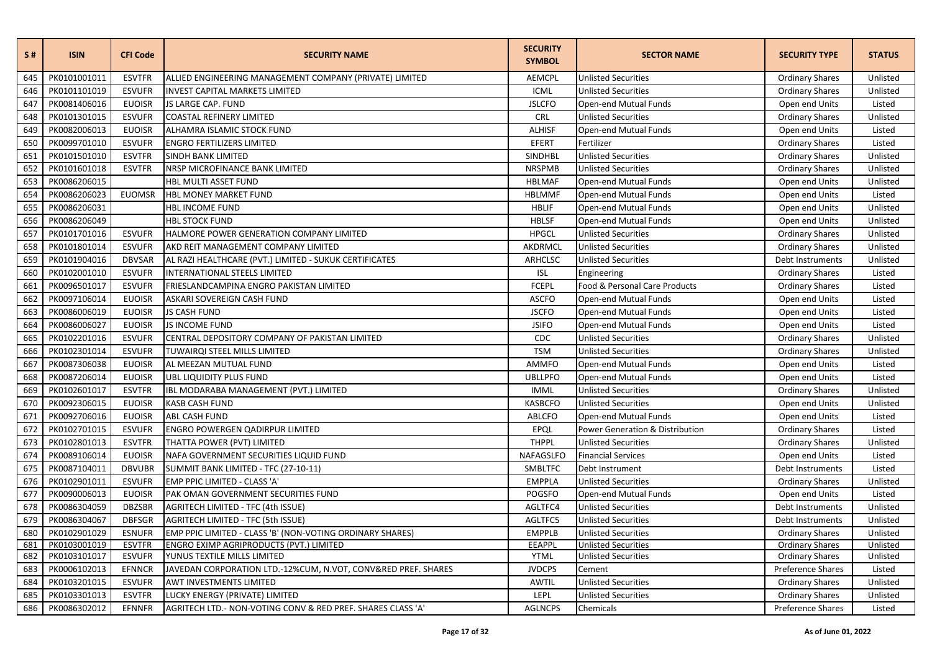| S#  | <b>ISIN</b>  | <b>CFI Code</b> | <b>SECURITY NAME</b>                                          | <b>SECURITY</b><br><b>SYMBOL</b> | <b>SECTOR NAME</b>              | <b>SECURITY TYPE</b>   | <b>STATUS</b> |
|-----|--------------|-----------------|---------------------------------------------------------------|----------------------------------|---------------------------------|------------------------|---------------|
| 645 | PK0101001011 | <b>ESVTFR</b>   | ALLIED ENGINEERING MANAGEMENT COMPANY (PRIVATE) LIMITED       | <b>AEMCPL</b>                    | <b>Unlisted Securities</b>      | <b>Ordinary Shares</b> | Unlisted      |
| 646 | PK0101101019 | <b>ESVUFR</b>   | <b>INVEST CAPITAL MARKETS LIMITED</b>                         | ICML                             | <b>Unlisted Securities</b>      | <b>Ordinary Shares</b> | Unlisted      |
| 647 | PK0081406016 | <b>EUOISR</b>   | JS LARGE CAP. FUND                                            | <b>JSLCFO</b>                    | Open-end Mutual Funds           | Open end Units         | Listed        |
| 648 | PK0101301015 | <b>ESVUFR</b>   | <b>COASTAL REFINERY LIMITED</b>                               | CRL                              | <b>Unlisted Securities</b>      | <b>Ordinary Shares</b> | Unlisted      |
| 649 | PK0082006013 | <b>EUOISR</b>   | ALHAMRA ISLAMIC STOCK FUND                                    | <b>ALHISF</b>                    | Open-end Mutual Funds           | Open end Units         | Listed        |
| 650 | PK0099701010 | <b>ESVUFR</b>   | <b>ENGRO FERTILIZERS LIMITED</b>                              | EFERT                            | Fertilizer                      | <b>Ordinary Shares</b> | Listed        |
| 651 | PK0101501010 | <b>ESVTFR</b>   | SINDH BANK LIMITED                                            | <b>SINDHBL</b>                   | <b>Unlisted Securities</b>      | <b>Ordinary Shares</b> | Unlisted      |
| 652 | PK0101601018 | <b>ESVTFR</b>   | NRSP MICROFINANCE BANK LIMITED                                | <b>NRSPMB</b>                    | <b>Unlisted Securities</b>      | <b>Ordinary Shares</b> | Unlisted      |
| 653 | PK0086206015 |                 | HBL MULTI ASSET FUND                                          | <b>HBLMAF</b>                    | Open-end Mutual Funds           | Open end Units         | Unlisted      |
| 654 | PK0086206023 | <b>EUOMSR</b>   | HBL MONEY MARKET FUND                                         | <b>HBLMMF</b>                    | Open-end Mutual Funds           | Open end Units         | Listed        |
| 655 | PK0086206031 |                 | HBL INCOME FUND                                               | <b>HBLIF</b>                     | Open-end Mutual Funds           | Open end Units         | Unlisted      |
| 656 | PK0086206049 |                 | <b>HBL STOCK FUND</b>                                         | <b>HBLSF</b>                     | Open-end Mutual Funds           | Open end Units         | Unlisted      |
| 657 | PK0101701016 | <b>ESVUFR</b>   | HALMORE POWER GENERATION COMPANY LIMITED                      | <b>HPGCL</b>                     | <b>Unlisted Securities</b>      | <b>Ordinary Shares</b> | Unlisted      |
| 658 | PK0101801014 | <b>ESVUFR</b>   | AKD REIT MANAGEMENT COMPANY LIMITED                           | AKDRMCL                          | <b>Unlisted Securities</b>      | <b>Ordinary Shares</b> | Unlisted      |
| 659 | PK0101904016 | <b>DBVSAR</b>   | AL RAZI HEALTHCARE (PVT.) LIMITED - SUKUK CERTIFICATES        | <b>ARHCLSC</b>                   | <b>Unlisted Securities</b>      | Debt Instruments       | Unlisted      |
| 660 | PK0102001010 | <b>ESVUFR</b>   | INTERNATIONAL STEELS LIMITED                                  | <b>ISL</b>                       | Engineering                     | <b>Ordinary Shares</b> | Listed        |
| 661 | PK0096501017 | <b>ESVUFR</b>   | FRIESLANDCAMPINA ENGRO PAKISTAN LIMITED                       | <b>FCEPL</b>                     | Food & Personal Care Products   | <b>Ordinary Shares</b> | Listed        |
| 662 | PK0097106014 | <b>EUOISR</b>   | ASKARI SOVEREIGN CASH FUND                                    | <b>ASCFO</b>                     | Open-end Mutual Funds           | Open end Units         | Listed        |
| 663 | PK0086006019 | <b>EUOISR</b>   | <b>JS CASH FUND</b>                                           | <b>JSCFO</b>                     | Open-end Mutual Funds           | Open end Units         | Listed        |
| 664 | PK0086006027 | <b>EUOISR</b>   | <b>JS INCOME FUND</b>                                         | <b>JSIFO</b>                     | Open-end Mutual Funds           | Open end Units         | Listed        |
| 665 | PK0102201016 | <b>ESVUFR</b>   | CENTRAL DEPOSITORY COMPANY OF PAKISTAN LIMITED                | CDC                              | <b>Unlisted Securities</b>      | <b>Ordinary Shares</b> | Unlisted      |
| 666 | PK0102301014 | <b>ESVUFR</b>   | TUWAIRQI STEEL MILLS LIMITED                                  | <b>TSM</b>                       | <b>Unlisted Securities</b>      | <b>Ordinary Shares</b> | Unlisted      |
| 667 | PK0087306038 | <b>EUOISR</b>   | AL MEEZAN MUTUAL FUND                                         | <b>AMMFO</b>                     | Open-end Mutual Funds           | Open end Units         | Listed        |
| 668 | PK0087206014 | <b>EUOISR</b>   | UBL LIQUIDITY PLUS FUND                                       | <b>UBLLPFO</b>                   | Open-end Mutual Funds           | Open end Units         | Listed        |
| 669 | PK0102601017 | <b>ESVTFR</b>   | IBL MODARABA MANAGEMENT (PVT.) LIMITED                        | <b>IMML</b>                      | <b>Unlisted Securities</b>      | <b>Ordinary Shares</b> | Unlisted      |
| 670 | PK0092306015 | <b>EUOISR</b>   | <b>KASB CASH FUND</b>                                         | <b>KASBCFO</b>                   | <b>Unlisted Securities</b>      | Open end Units         | Unlisted      |
| 671 | PK0092706016 | <b>EUOISR</b>   | <b>ABL CASH FUND</b>                                          | <b>ABLCFO</b>                    | Open-end Mutual Funds           | Open end Units         | Listed        |
| 672 | PK0102701015 | <b>ESVUFR</b>   | <b>ENGRO POWERGEN QADIRPUR LIMITED</b>                        | EPQL                             | Power Generation & Distribution | <b>Ordinary Shares</b> | Listed        |
| 673 | PK0102801013 | <b>ESVTFR</b>   | THATTA POWER (PVT) LIMITED                                    | <b>THPPL</b>                     | <b>Unlisted Securities</b>      | <b>Ordinary Shares</b> | Unlisted      |
| 674 | PK0089106014 | <b>EUOISR</b>   | NAFA GOVERNMENT SECURITIES LIQUID FUND                        | NAFAGSLFO                        | <b>Financial Services</b>       | Open end Units         | Listed        |
| 675 | PK0087104011 | <b>DBVUBR</b>   | SUMMIT BANK LIMITED - TFC (27-10-11)                          | SMBLTFC                          | Debt Instrument                 | Debt Instruments       | Listed        |
| 676 | PK0102901011 | <b>ESVUFR</b>   | EMP PPIC LIMITED - CLASS 'A'                                  | <b>EMPPLA</b>                    | <b>Unlisted Securities</b>      | <b>Ordinary Shares</b> | Unlisted      |
| 677 | PK0090006013 | <b>EUOISR</b>   | PAK OMAN GOVERNMENT SECURITIES FUND                           | <b>POGSFO</b>                    | Open-end Mutual Funds           | Open end Units         | Listed        |
| 678 | PK0086304059 | <b>DBZSBR</b>   | <b>AGRITECH LIMITED - TFC (4th ISSUE)</b>                     | AGLTFC4                          | <b>Unlisted Securities</b>      | Debt Instruments       | Unlisted      |
| 679 | PK0086304067 | <b>DBFSGR</b>   | AGRITECH LIMITED - TFC (5th ISSUE)                            | AGLTFC5                          | <b>Unlisted Securities</b>      | Debt Instruments       | Unlisted      |
| 680 | PK0102901029 | <b>ESNUFR</b>   | EMP PPIC LIMITED - CLASS 'B' (NON-VOTING ORDINARY SHARES)     | <b>EMPPLB</b>                    | <b>Unlisted Securities</b>      | <b>Ordinary Shares</b> | Unlisted      |
| 681 | PK0103001019 | <b>ESVTFR</b>   | ENGRO EXIMP AGRIPRODUCTS (PVT.) LIMITED                       | EEAPPL                           | <b>Unlisted Securities</b>      | <b>Ordinary Shares</b> | Unlisted      |
| 682 | PK0103101017 | <b>ESVUFR</b>   | YUNUS TEXTILE MILLS LIMITED                                   | <b>YTML</b>                      | <b>Unlisted Securities</b>      | <b>Ordinary Shares</b> | Unlisted      |
| 683 | PK0006102013 | <b>EFNNCR</b>   | JAVEDAN CORPORATION LTD.-12%CUM, N.VOT, CONV&RED PREF. SHARES | <b>JVDCPS</b>                    | Cement                          | Preference Shares      | Listed        |
| 684 | PK0103201015 | <b>ESVUFR</b>   | AWT INVESTMENTS LIMITED                                       | AWTIL                            | <b>Unlisted Securities</b>      | <b>Ordinary Shares</b> | Unlisted      |
| 685 | PK0103301013 | <b>ESVTFR</b>   | LUCKY ENERGY (PRIVATE) LIMITED                                | LEPL                             | <b>Unlisted Securities</b>      | <b>Ordinary Shares</b> | Unlisted      |
| 686 | PK0086302012 | EFNNFR          | AGRITECH LTD.- NON-VOTING CONV & RED PREF. SHARES CLASS 'A'   | <b>AGLNCPS</b>                   | Chemicals                       | Preference Shares      | Listed        |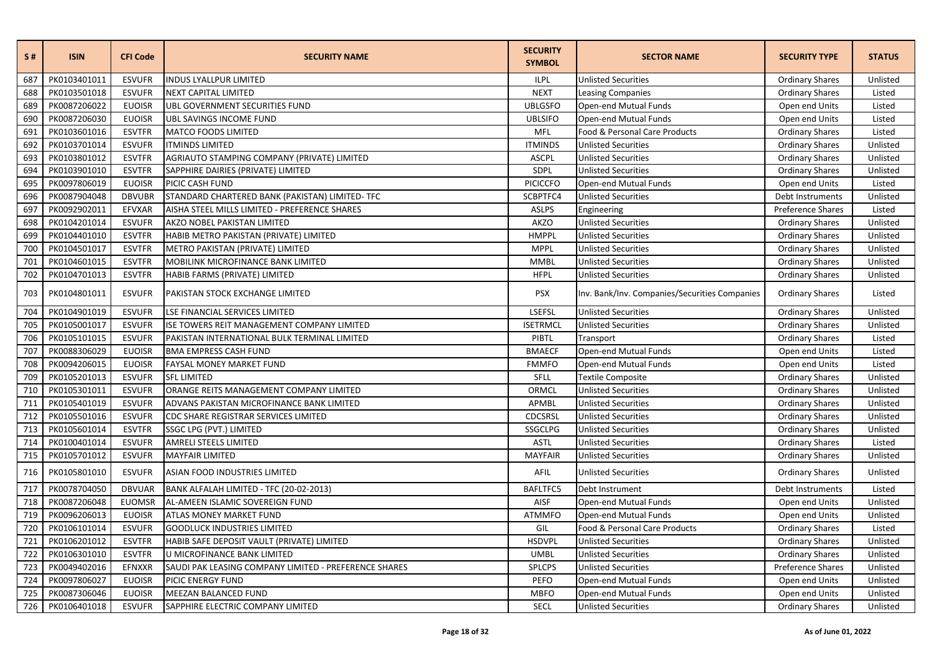| S#  | <b>ISIN</b>  | <b>CFI Code</b> | <b>SECURITY NAME</b>                                  | <b>SECURITY</b><br><b>SYMBOL</b> | <b>SECTOR NAME</b>                            | <b>SECURITY TYPE</b>   | <b>STATUS</b> |
|-----|--------------|-----------------|-------------------------------------------------------|----------------------------------|-----------------------------------------------|------------------------|---------------|
| 687 | PK0103401011 | <b>ESVUFR</b>   | <b>INDUS LYALLPUR LIMITED</b>                         | <b>ILPL</b>                      | <b>Unlisted Securities</b>                    | <b>Ordinary Shares</b> | Unlisted      |
| 688 | PK0103501018 | <b>ESVUFR</b>   | <b>NEXT CAPITAL LIMITED</b>                           | <b>NEXT</b>                      | <b>Leasing Companies</b>                      | <b>Ordinary Shares</b> | Listed        |
| 689 | PK0087206022 | <b>EUOISR</b>   | UBL GOVERNMENT SECURITIES FUND                        | <b>UBLGSFO</b>                   | Open-end Mutual Funds                         | Open end Units         | Listed        |
| 690 | PK0087206030 | <b>EUOISR</b>   | UBL SAVINGS INCOME FUND                               | <b>UBLSIFO</b>                   | Open-end Mutual Funds                         | Open end Units         | Listed        |
| 691 | PK0103601016 | <b>ESVTFR</b>   | <b>MATCO FOODS LIMITED</b>                            | MFL                              | Food & Personal Care Products                 | <b>Ordinary Shares</b> | Listed        |
| 692 | PK0103701014 | <b>ESVUFR</b>   | <b>ITMINDS LIMITED</b>                                | <b>ITMINDS</b>                   | <b>Unlisted Securities</b>                    | <b>Ordinary Shares</b> | Unlisted      |
| 693 | PK0103801012 | <b>ESVTFR</b>   | AGRIAUTO STAMPING COMPANY (PRIVATE) LIMITED           | <b>ASCPL</b>                     | <b>Unlisted Securities</b>                    | <b>Ordinary Shares</b> | Unlisted      |
| 694 | PK0103901010 | <b>ESVTFR</b>   | SAPPHIRE DAIRIES (PRIVATE) LIMITED                    | SDPL                             | <b>Unlisted Securities</b>                    | <b>Ordinary Shares</b> | Unlisted      |
| 695 | PK0097806019 | <b>EUOISR</b>   | PICIC CASH FUND                                       | <b>PICICCFO</b>                  | Open-end Mutual Funds                         | Open end Units         | Listed        |
| 696 | PK0087904048 | <b>DBVUBR</b>   | STANDARD CHARTERED BANK (PAKISTAN) LIMITED- TFC       | SCBPTFC4                         | <b>Unlisted Securities</b>                    | Debt Instruments       | Unlisted      |
| 697 | PK0092902011 | EFVXAR          | AISHA STEEL MILLS LIMITED - PREFERENCE SHARES         | <b>ASLPS</b>                     | Engineering                                   | Preference Shares      | Listed        |
| 698 | PK0104201014 | <b>ESVUFR</b>   | AKZO NOBEL PAKISTAN LIMITED                           | <b>AKZO</b>                      | <b>Unlisted Securities</b>                    | <b>Ordinary Shares</b> | Unlisted      |
| 699 | PK0104401010 | <b>ESVTFR</b>   | HABIB METRO PAKISTAN (PRIVATE) LIMITED                | <b>HMPPL</b>                     | <b>Unlisted Securities</b>                    | <b>Ordinary Shares</b> | Unlisted      |
| 700 | PK0104501017 | <b>ESVTFR</b>   | METRO PAKISTAN (PRIVATE) LIMITED                      | <b>MPPL</b>                      | <b>Unlisted Securities</b>                    | <b>Ordinary Shares</b> | Unlisted      |
| 701 | PK0104601015 | <b>ESVTFR</b>   | MOBILINK MICROFINANCE BANK LIMITED                    | <b>MMBL</b>                      | <b>Unlisted Securities</b>                    | <b>Ordinary Shares</b> | Unlisted      |
| 702 | PK0104701013 | <b>ESVTFR</b>   | HABIB FARMS (PRIVATE) LIMITED                         | <b>HFPL</b>                      | <b>Unlisted Securities</b>                    | <b>Ordinary Shares</b> | Unlisted      |
| 703 | PK0104801011 | <b>ESVUFR</b>   | PAKISTAN STOCK EXCHANGE LIMITED                       | <b>PSX</b>                       | Inv. Bank/Inv. Companies/Securities Companies | <b>Ordinary Shares</b> | Listed        |
| 704 | PK0104901019 | <b>ESVUFR</b>   | LSE FINANCIAL SERVICES LIMITED                        | <b>LSEFSL</b>                    | <b>Unlisted Securities</b>                    | <b>Ordinary Shares</b> | Unlisted      |
| 705 | PK0105001017 | <b>ESVUFR</b>   | ISE TOWERS REIT MANAGEMENT COMPANY LIMITED            | <b>ISETRMCL</b>                  | <b>Unlisted Securities</b>                    | <b>Ordinary Shares</b> | Unlisted      |
| 706 | PK0105101015 | <b>ESVUFR</b>   | PAKISTAN INTERNATIONAL BULK TERMINAL LIMITED          | PIBTL                            | Transport                                     | <b>Ordinary Shares</b> | Listed        |
| 707 | PK0088306029 | <b>EUOISR</b>   | <b>BMA EMPRESS CASH FUND</b>                          | <b>BMAECF</b>                    | Open-end Mutual Funds                         | Open end Units         | Listed        |
| 708 | PK0094206015 | <b>EUOISR</b>   | <b>FAYSAL MONEY MARKET FUND</b>                       | <b>FMMFO</b>                     | Open-end Mutual Funds                         | Open end Units         | Listed        |
| 709 | PK0105201013 | <b>ESVUFR</b>   | <b>SFL LIMITED</b>                                    | SFLL                             | <b>Textile Composite</b>                      | <b>Ordinary Shares</b> | Unlisted      |
| 710 | PK0105301011 | <b>ESVUFR</b>   | ORANGE REITS MANAGEMENT COMPANY LIMITED               | ORMCL                            | <b>Unlisted Securities</b>                    | <b>Ordinary Shares</b> | Unlisted      |
| 711 | PK0105401019 | <b>ESVUFR</b>   | ADVANS PAKISTAN MICROFINANCE BANK LIMITED             | APMBL                            | <b>Unlisted Securities</b>                    | <b>Ordinary Shares</b> | Unlisted      |
| 712 | PK0105501016 | <b>ESVUFR</b>   | CDC SHARE REGISTRAR SERVICES LIMITED                  | CDCSRSL                          | <b>Unlisted Securities</b>                    | <b>Ordinary Shares</b> | Unlisted      |
| 713 | PK0105601014 | <b>ESVTFR</b>   | SSGC LPG (PVT.) LIMITED                               | <b>SSGCLPG</b>                   | <b>Unlisted Securities</b>                    | <b>Ordinary Shares</b> | Unlisted      |
| 714 | PK0100401014 | <b>ESVUFR</b>   | <b>AMRELI STEELS LIMITED</b>                          | <b>ASTL</b>                      | <b>Unlisted Securities</b>                    | <b>Ordinary Shares</b> | Listed        |
| 715 | PK0105701012 | <b>ESVUFR</b>   | <b>MAYFAIR LIMITED</b>                                | <b>MAYFAIR</b>                   | <b>Unlisted Securities</b>                    | <b>Ordinary Shares</b> | Unlisted      |
| 716 | PK0105801010 | <b>ESVUFR</b>   | ASIAN FOOD INDUSTRIES LIMITED                         | AFIL                             | <b>Unlisted Securities</b>                    | <b>Ordinary Shares</b> | Unlisted      |
| 717 | PK0078704050 | <b>DBVUAR</b>   | BANK ALFALAH LIMITED - TFC (20-02-2013)               | <b>BAFLTFC5</b>                  | Debt Instrument                               | Debt Instruments       | Listed        |
| 718 | PK0087206048 | <b>EUOMSR</b>   | AL-AMEEN ISLAMIC SOVEREIGN FUND                       | <b>AISF</b>                      | Open-end Mutual Funds                         | Open end Units         | Unlisted      |
| 719 | PK0096206013 | <b>EUOISR</b>   | <b>ATLAS MONEY MARKET FUND</b>                        | <b>ATMMFO</b>                    | Open-end Mutual Funds                         | Open end Units         | Unlisted      |
| 720 | PK0106101014 | <b>ESVUFR</b>   | <b>GOODLUCK INDUSTRIES LIMITED</b>                    | GIL                              | Food & Personal Care Products                 | <b>Ordinary Shares</b> | Listed        |
| 721 | PK0106201012 | <b>ESVTFR</b>   | HABIB SAFE DEPOSIT VAULT (PRIVATE) LIMITED            | <b>HSDVPL</b>                    | <b>Unlisted Securities</b>                    | <b>Ordinary Shares</b> | Unlisted      |
| 722 | PK0106301010 | <b>ESVTFR</b>   | U MICROFINANCE BANK LIMITED                           | <b>UMBL</b>                      | <b>Unlisted Securities</b>                    | <b>Ordinary Shares</b> | Unlisted      |
| 723 | PK0049402016 | EFNXXR          | SAUDI PAK LEASING COMPANY LIMITED - PREFERENCE SHARES | SPLCPS                           | <b>Unlisted Securities</b>                    | Preference Shares      | Unlisted      |
| 724 | PK0097806027 | <b>EUOISR</b>   | PICIC ENERGY FUND                                     | PEFO                             | Open-end Mutual Funds                         | Open end Units         | Unlisted      |
| 725 | PK0087306046 | <b>EUOISR</b>   | MEEZAN BALANCED FUND                                  | <b>MBFO</b>                      | Open-end Mutual Funds                         | Open end Units         | Unlisted      |
| 726 | PK0106401018 | <b>ESVUFR</b>   | SAPPHIRE ELECTRIC COMPANY LIMITED                     | <b>SECL</b>                      | <b>Unlisted Securities</b>                    | <b>Ordinary Shares</b> | Unlisted      |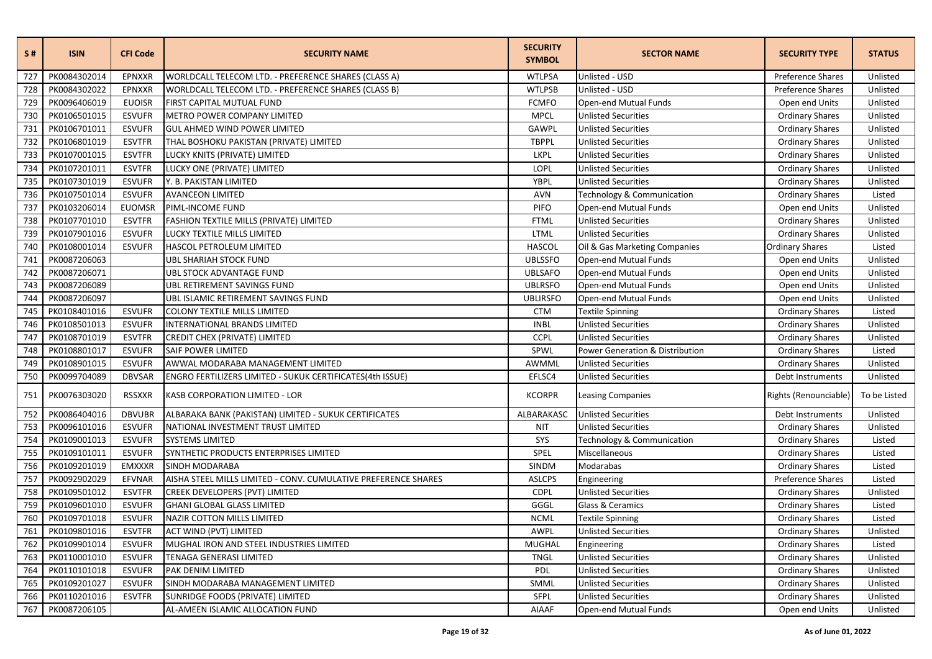| S#  | <b>ISIN</b>  | <b>CFI Code</b> | <b>SECURITY NAME</b>                                           | <b>SECURITY</b><br><b>SYMBOL</b> | <b>SECTOR NAME</b>              | <b>SECURITY TYPE</b>   | <b>STATUS</b> |
|-----|--------------|-----------------|----------------------------------------------------------------|----------------------------------|---------------------------------|------------------------|---------------|
| 727 | PK0084302014 | EPNXXR          | WORLDCALL TELECOM LTD. - PREFERENCE SHARES (CLASS A)           | <b>WTLPSA</b>                    | Unlisted - USD                  | Preference Shares      | Unlisted      |
| 728 | PK0084302022 | <b>EPNXXR</b>   | WORLDCALL TELECOM LTD. - PREFERENCE SHARES (CLASS B)           | <b>WTLPSB</b>                    | Unlisted - USD                  | Preference Shares      | Unlisted      |
| 729 | PK0096406019 | <b>EUOISR</b>   | FIRST CAPITAL MUTUAL FUND                                      | <b>FCMFO</b>                     | Open-end Mutual Funds           | Open end Units         | Unlisted      |
| 730 | PK0106501015 | <b>ESVUFR</b>   | METRO POWER COMPANY LIMITED                                    | <b>MPCL</b>                      | <b>Unlisted Securities</b>      | <b>Ordinary Shares</b> | Unlisted      |
| 731 | PK0106701011 | <b>ESVUFR</b>   | <b>GUL AHMED WIND POWER LIMITED</b>                            | <b>GAWPL</b>                     | <b>Unlisted Securities</b>      | <b>Ordinary Shares</b> | Unlisted      |
| 732 | PK0106801019 | <b>ESVTFR</b>   | THAL BOSHOKU PAKISTAN (PRIVATE) LIMITED                        | <b>TBPPL</b>                     | <b>Unlisted Securities</b>      | <b>Ordinary Shares</b> | Unlisted      |
| 733 | PK0107001015 | <b>ESVTFR</b>   | LUCKY KNITS (PRIVATE) LIMITED                                  | LKPL                             | <b>Unlisted Securities</b>      | <b>Ordinary Shares</b> | Unlisted      |
| 734 | PK0107201011 | <b>ESVTFR</b>   | LUCKY ONE (PRIVATE) LIMITED                                    | LOPL                             | <b>Unlisted Securities</b>      | <b>Ordinary Shares</b> | Unlisted      |
| 735 | PK0107301019 | <b>ESVUFR</b>   | Y. B. PAKISTAN LIMITED                                         | YBPL                             | <b>Unlisted Securities</b>      | <b>Ordinary Shares</b> | Unlisted      |
| 736 | PK0107501014 | <b>ESVUFR</b>   | <b>AVANCEON LIMITED</b>                                        | <b>AVN</b>                       | Technology & Communication      | <b>Ordinary Shares</b> | Listed        |
| 737 | PK0103206014 | <b>EUOMSR</b>   | PIML-INCOME FUND                                               | <b>PIFO</b>                      | Open-end Mutual Funds           | Open end Units         | Unlisted      |
| 738 | PK0107701010 | <b>ESVTFR</b>   | FASHION TEXTILE MILLS (PRIVATE) LIMITED                        | <b>FTML</b>                      | <b>Unlisted Securities</b>      | <b>Ordinary Shares</b> | Unlisted      |
| 739 | PK0107901016 | <b>ESVUFR</b>   | LUCKY TEXTILE MILLS LIMITED                                    | <b>LTML</b>                      | <b>Unlisted Securities</b>      | <b>Ordinary Shares</b> | Unlisted      |
| 740 | PK0108001014 | <b>ESVUFR</b>   | HASCOL PETROLEUM LIMITED                                       | <b>HASCOL</b>                    | Oil & Gas Marketing Companies   | Ordinary Shares        | Listed        |
| 741 | PK0087206063 |                 | <b>UBL SHARIAH STOCK FUND</b>                                  | <b>UBLSSFO</b>                   | Open-end Mutual Funds           | Open end Units         | Unlisted      |
| 742 | PK0087206071 |                 | <b>UBL STOCK ADVANTAGE FUND</b>                                | <b>UBLSAFO</b>                   | Open-end Mutual Funds           | Open end Units         | Unlisted      |
| 743 | PK0087206089 |                 | UBL RETIREMENT SAVINGS FUND                                    | <b>UBLRSFO</b>                   | Open-end Mutual Funds           | Open end Units         | Unlisted      |
| 744 | PK0087206097 |                 | UBL ISLAMIC RETIREMENT SAVINGS FUND                            | <b>UBLIRSFO</b>                  | Open-end Mutual Funds           | Open end Units         | Unlisted      |
| 745 | PK0108401016 | <b>ESVUFR</b>   | <b>COLONY TEXTILE MILLS LIMITED</b>                            | <b>CTM</b>                       | <b>Textile Spinning</b>         | <b>Ordinary Shares</b> | Listed        |
| 746 | PK0108501013 | <b>ESVUFR</b>   | INTERNATIONAL BRANDS LIMITED                                   | <b>INBL</b>                      | <b>Unlisted Securities</b>      | <b>Ordinary Shares</b> | Unlisted      |
| 747 | PK0108701019 | <b>ESVTFR</b>   | CREDIT CHEX (PRIVATE) LIMITED                                  | <b>CCPL</b>                      | <b>Unlisted Securities</b>      | <b>Ordinary Shares</b> | Unlisted      |
| 748 | PK0108801017 | <b>ESVUFR</b>   | <b>SAIF POWER LIMITED</b>                                      | SPWL                             | Power Generation & Distribution | <b>Ordinary Shares</b> | Listed        |
| 749 | PK0108901015 | <b>ESVUFR</b>   | AWWAL MODARABA MANAGEMENT LIMITED                              | AWMML                            | <b>Unlisted Securities</b>      | <b>Ordinary Shares</b> | Unlisted      |
| 750 | PK0099704089 | <b>DBVSAR</b>   | ENGRO FERTILIZERS LIMITED - SUKUK CERTIFICATES(4th ISSUE)      | EFLSC4                           | <b>Unlisted Securities</b>      | Debt Instruments       | Unlisted      |
| 751 | PK0076303020 | <b>RSSXXR</b>   | KASB CORPORATION LIMITED - LOR                                 | <b>KCORPR</b>                    | <b>Leasing Companies</b>        | Rights (Renounciable)  | To be Listed  |
| 752 | PK0086404016 | <b>DBVUBR</b>   | ALBARAKA BANK (PAKISTAN) LIMITED - SUKUK CERTIFICATES          | ALBARAKASC                       | <b>Unlisted Securities</b>      | Debt Instruments       | Unlisted      |
| 753 | PK0096101016 | <b>ESVUFR</b>   | NATIONAL INVESTMENT TRUST LIMITED                              | <b>NIT</b>                       | <b>Unlisted Securities</b>      | <b>Ordinary Shares</b> | Unlisted      |
| 754 | PK0109001013 | <b>ESVUFR</b>   | <b>SYSTEMS LIMITED</b>                                         | SYS                              | Technology & Communication      | <b>Ordinary Shares</b> | Listed        |
| 755 | PK0109101011 | <b>ESVUFR</b>   | SYNTHETIC PRODUCTS ENTERPRISES LIMITED                         | SPEL                             | Miscellaneous                   | <b>Ordinary Shares</b> | Listed        |
| 756 | PK0109201019 | <b>EMXXXR</b>   | <b>SINDH MODARABA</b>                                          | SINDM                            | Modarabas                       | <b>Ordinary Shares</b> | Listed        |
| 757 | PK0092902029 | <b>EFVNAR</b>   | AISHA STEEL MILLS LIMITED - CONV. CUMULATIVE PREFERENCE SHARES | <b>ASLCPS</b>                    | Engineering                     | Preference Shares      | Listed        |
| 758 | PK0109501012 | <b>ESVTFR</b>   | CREEK DEVELOPERS (PVT) LIMITED                                 | <b>CDPL</b>                      | <b>Unlisted Securities</b>      | <b>Ordinary Shares</b> | Unlisted      |
| 759 | PK0109601010 | <b>ESVUFR</b>   | <b>GHANI GLOBAL GLASS LIMITED</b>                              | GGGL                             | Glass & Ceramics                | <b>Ordinary Shares</b> | Listed        |
| 760 | PK0109701018 | <b>ESVUFR</b>   | <b>NAZIR COTTON MILLS LIMITED</b>                              | <b>NCML</b>                      | <b>Textile Spinning</b>         | <b>Ordinary Shares</b> | Listed        |
| 761 | PK0109801016 | <b>ESVTFR</b>   | ACT WIND (PVT) LIMITED                                         | AWPL                             | <b>Unlisted Securities</b>      | <b>Ordinary Shares</b> | Unlisted      |
| 762 | PK0109901014 | <b>ESVUFR</b>   | MUGHAL IRON AND STEEL INDUSTRIES LIMITED                       | <b>MUGHAL</b>                    | Engineering                     | <b>Ordinary Shares</b> | Listed        |
| 763 | PK0110001010 | <b>ESVUFR</b>   | TENAGA GENERASI LIMITED                                        | <b>TNGL</b>                      | <b>Unlisted Securities</b>      | <b>Ordinary Shares</b> | Unlisted      |
| 764 | PK0110101018 | <b>ESVUFR</b>   | PAK DENIM LIMITED                                              | <b>PDL</b>                       | <b>Unlisted Securities</b>      | <b>Ordinary Shares</b> | Unlisted      |
| 765 | PK0109201027 | <b>ESVUFR</b>   | SINDH MODARABA MANAGEMENT LIMITED                              | SMML                             | <b>Unlisted Securities</b>      | <b>Ordinary Shares</b> | Unlisted      |
| 766 | PK0110201016 | <b>ESVTFR</b>   | SUNRIDGE FOODS (PRIVATE) LIMITED                               | SFPL                             | <b>Unlisted Securities</b>      | <b>Ordinary Shares</b> | Unlisted      |
| 767 | PK0087206105 |                 | AL-AMEEN ISLAMIC ALLOCATION FUND                               | AIAAF                            | Open-end Mutual Funds           | Open end Units         | Unlisted      |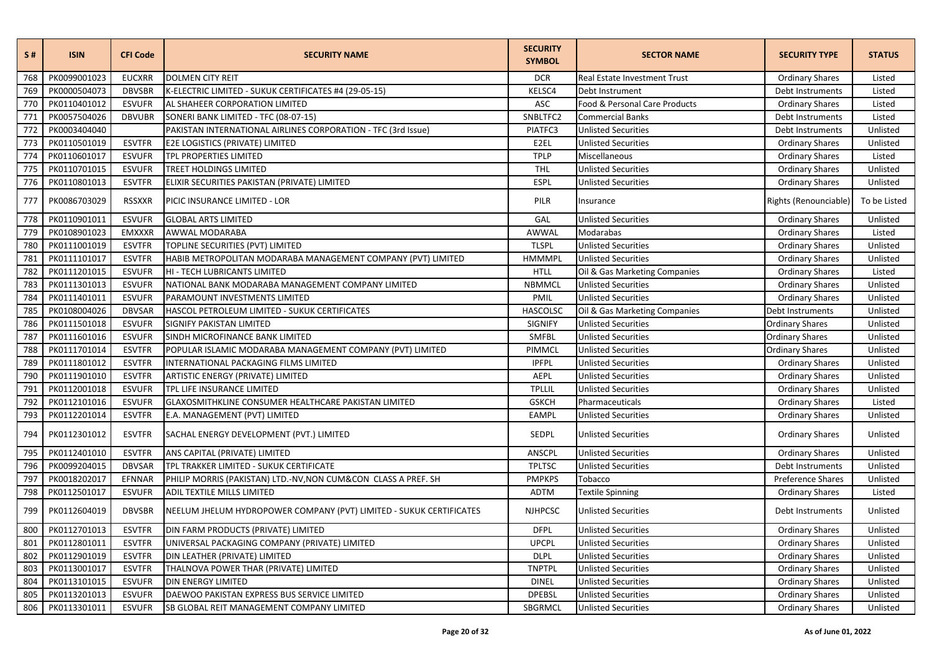| S#  | <b>ISIN</b>  | <b>CFI Code</b> | <b>SECURITY NAME</b>                                                | <b>SECURITY</b><br><b>SYMBOL</b> | <b>SECTOR NAME</b>            | <b>SECURITY TYPE</b>   | <b>STATUS</b> |
|-----|--------------|-----------------|---------------------------------------------------------------------|----------------------------------|-------------------------------|------------------------|---------------|
| 768 | PK0099001023 | <b>EUCXRR</b>   | <b>DOLMEN CITY REIT</b>                                             | <b>DCR</b>                       | Real Estate Investment Trust  | <b>Ordinary Shares</b> | Listed        |
| 769 | PK0000504073 | <b>DBVSBR</b>   | K-ELECTRIC LIMITED - SUKUK CERTIFICATES #4 (29-05-15)               | KELSC4                           | Debt Instrument               | Debt Instruments       | Listed        |
| 770 | PK0110401012 | <b>ESVUFR</b>   | AL SHAHEER CORPORATION LIMITED                                      | <b>ASC</b>                       | Food & Personal Care Products | <b>Ordinary Shares</b> | Listed        |
| 771 | PK0057504026 | <b>DBVUBR</b>   | SONERI BANK LIMITED - TFC (08-07-15)                                | SNBLTFC2                         | <b>Commercial Banks</b>       | Debt Instruments       | Listed        |
| 772 | PK0003404040 |                 | PAKISTAN INTERNATIONAL AIRLINES CORPORATION - TFC (3rd Issue)       | PIATFC3                          | <b>Unlisted Securities</b>    | Debt Instruments       | Unlisted      |
| 773 | PK0110501019 | <b>ESVTFR</b>   | E2E LOGISTICS (PRIVATE) LIMITED                                     | E2EL                             | <b>Unlisted Securities</b>    | <b>Ordinary Shares</b> | Unlisted      |
| 774 | PK0110601017 | <b>ESVUFR</b>   | TPL PROPERTIES LIMITED                                              | <b>TPLP</b>                      | Miscellaneous                 | <b>Ordinary Shares</b> | Listed        |
| 775 | PK0110701015 | <b>ESVUFR</b>   | TREET HOLDINGS LIMITED                                              | <b>THL</b>                       | <b>Unlisted Securities</b>    | <b>Ordinary Shares</b> | Unlisted      |
| 776 | PK0110801013 | <b>ESVTFR</b>   | ELIXIR SECURITIES PAKISTAN (PRIVATE) LIMITED                        | <b>ESPL</b>                      | <b>Unlisted Securities</b>    | <b>Ordinary Shares</b> | Unlisted      |
| 777 | PK0086703029 | <b>RSSXXR</b>   | PICIC INSURANCE LIMITED - LOR                                       | PILR                             | Insurance                     | Rights (Renounciable)  | To be Listed  |
| 778 | PK0110901011 | <b>ESVUFR</b>   | <b>GLOBAL ARTS LIMITED</b>                                          | GAL                              | <b>Unlisted Securities</b>    | <b>Ordinary Shares</b> | Unlisted      |
| 779 | PK0108901023 | <b>EMXXXR</b>   | AWWAL MODARABA                                                      | AWWAL                            | Modarabas                     | <b>Ordinary Shares</b> | Listed        |
| 780 | PK0111001019 | <b>ESVTFR</b>   | TOPLINE SECURITIES (PVT) LIMITED                                    | <b>TLSPL</b>                     | <b>Unlisted Securities</b>    | <b>Ordinary Shares</b> | Unlisted      |
| 781 | PK0111101017 | <b>ESVTFR</b>   | HABIB METROPOLITAN MODARABA MANAGEMENT COMPANY (PVT) LIMITED        | <b>HMMMPL</b>                    | <b>Unlisted Securities</b>    | <b>Ordinary Shares</b> | Unlisted      |
| 782 | PK0111201015 | <b>ESVUFR</b>   | HI - TECH LUBRICANTS LIMITED                                        | <b>HTLL</b>                      | Oil & Gas Marketing Companies | <b>Ordinary Shares</b> | Listed        |
| 783 | PK0111301013 | <b>ESVUFR</b>   | NATIONAL BANK MODARABA MANAGEMENT COMPANY LIMITED                   | <b>NBMMCL</b>                    | <b>Unlisted Securities</b>    | <b>Ordinary Shares</b> | Unlisted      |
| 784 | PK0111401011 | <b>ESVUFR</b>   | PARAMOUNT INVESTMENTS LIMITED                                       | PMIL                             | <b>Unlisted Securities</b>    | <b>Ordinary Shares</b> | Unlisted      |
| 785 | PK0108004026 | <b>DBVSAR</b>   | HASCOL PETROLEUM LIMITED - SUKUK CERTIFICATES                       | HASCOLSC                         | Oil & Gas Marketing Companies | Debt Instruments       | Unlisted      |
| 786 | PK0111501018 | <b>ESVUFR</b>   | SIGNIFY PAKISTAN LIMITED                                            | <b>SIGNIFY</b>                   | <b>Unlisted Securities</b>    | <b>Ordinary Shares</b> | Unlisted      |
| 787 | PK0111601016 | <b>ESVUFR</b>   | SINDH MICROFINANCE BANK LIMITED                                     | <b>SMFBL</b>                     | <b>Unlisted Securities</b>    | <b>Ordinary Shares</b> | Unlisted      |
| 788 | PK0111701014 | <b>ESVTFR</b>   | POPULAR ISLAMIC MODARABA MANAGEMENT COMPANY (PVT) LIMITED           | PIMMCL                           | <b>Unlisted Securities</b>    | <b>Ordinary Shares</b> | Unlisted      |
| 789 | PK0111801012 | <b>ESVTFR</b>   | INTERNATIONAL PACKAGING FILMS LIMITED                               | <b>IPFPL</b>                     | <b>Unlisted Securities</b>    | <b>Ordinary Shares</b> | Unlisted      |
| 790 | PK0111901010 | <b>ESVTFR</b>   | ARTISTIC ENERGY (PRIVATE) LIMITED                                   | AEPL                             | <b>Unlisted Securities</b>    | <b>Ordinary Shares</b> | Unlisted      |
| 791 | PK0112001018 | <b>ESVUFR</b>   | TPL LIFE INSURANCE LIMITED                                          | <b>TPLLIL</b>                    | <b>Unlisted Securities</b>    | <b>Ordinary Shares</b> | Unlisted      |
| 792 | PK0112101016 | <b>ESVUFR</b>   | GLAXOSMITHKLINE CONSUMER HEALTHCARE PAKISTAN LIMITED                | <b>GSKCH</b>                     | Pharmaceuticals               | <b>Ordinary Shares</b> | Listed        |
| 793 | PK0112201014 | <b>ESVTFR</b>   | E.A. MANAGEMENT (PVT) LIMITED                                       | <b>EAMPL</b>                     | <b>Unlisted Securities</b>    | <b>Ordinary Shares</b> | Unlisted      |
| 794 | PK0112301012 | <b>ESVTFR</b>   | SACHAL ENERGY DEVELOPMENT (PVT.) LIMITED                            | SEDPL                            | <b>Unlisted Securities</b>    | <b>Ordinary Shares</b> | Unlisted      |
| 795 | PK0112401010 | <b>ESVTFR</b>   | ANS CAPITAL (PRIVATE) LIMITED                                       | ANSCPL                           | <b>Unlisted Securities</b>    | <b>Ordinary Shares</b> | Unlisted      |
| 796 | PK0099204015 | <b>DBVSAR</b>   | TPL TRAKKER LIMITED - SUKUK CERTIFICATE                             | <b>TPLTSC</b>                    | <b>Unlisted Securities</b>    | Debt Instruments       | Unlisted      |
| 797 | PK0018202017 | EFNNAR          | PHILIP MORRIS (PAKISTAN) LTD.-NV, NON CUM&CON CLASS A PREF. SH      | <b>PMPKPS</b>                    | Tobacco                       | Preference Shares      | Unlisted      |
| 798 | PK0112501017 | <b>ESVUFR</b>   | ADIL TEXTILE MILLS LIMITED                                          | <b>ADTM</b>                      | <b>Textile Spinning</b>       | <b>Ordinary Shares</b> | Listed        |
| 799 | PK0112604019 | <b>DBVSBR</b>   | NEELUM JHELUM HYDROPOWER COMPANY (PVT) LIMITED - SUKUK CERTIFICATES | <b>NJHPCSC</b>                   | <b>Unlisted Securities</b>    | Debt Instruments       | Unlisted      |
| 800 | PK0112701013 | <b>ESVTFR</b>   | DIN FARM PRODUCTS (PRIVATE) LIMITED                                 | <b>DFPL</b>                      | <b>Unlisted Securities</b>    | <b>Ordinary Shares</b> | Unlisted      |
| 801 | PK0112801011 | <b>ESVTFR</b>   | UNIVERSAL PACKAGING COMPANY (PRIVATE) LIMITED                       | <b>UPCPL</b>                     | <b>Unlisted Securities</b>    | <b>Ordinary Shares</b> | Unlisted      |
| 802 | PK0112901019 | <b>ESVTFR</b>   | DIN LEATHER (PRIVATE) LIMITED                                       | <b>DLPL</b>                      | <b>Unlisted Securities</b>    | <b>Ordinary Shares</b> | Unlisted      |
| 803 | PK0113001017 | <b>ESVTFR</b>   | THALNOVA POWER THAR (PRIVATE) LIMITED                               | <b>TNPTPL</b>                    | <b>Unlisted Securities</b>    | <b>Ordinary Shares</b> | Unlisted      |
| 804 | PK0113101015 | <b>ESVUFR</b>   | <b>DIN ENERGY LIMITED</b>                                           | <b>DINEL</b>                     | <b>Unlisted Securities</b>    | <b>Ordinary Shares</b> | Unlisted      |
| 805 | PK0113201013 | <b>ESVUFR</b>   | DAEWOO PAKISTAN EXPRESS BUS SERVICE LIMITED                         | <b>DPEBSL</b>                    | <b>Unlisted Securities</b>    | <b>Ordinary Shares</b> | Unlisted      |
| 806 | PK0113301011 | <b>ESVUFR</b>   | SB GLOBAL REIT MANAGEMENT COMPANY LIMITED                           | SBGRMCL                          | <b>Unlisted Securities</b>    | <b>Ordinary Shares</b> | Unlisted      |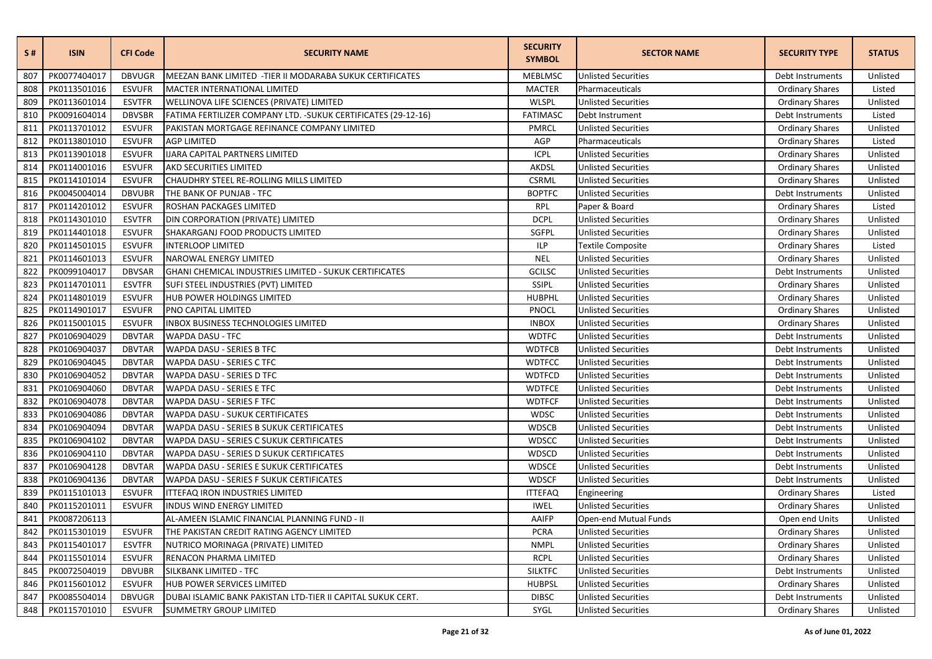| S#  | <b>ISIN</b>  | <b>CFI Code</b> | <b>SECURITY NAME</b>                                           | <b>SECURITY</b><br><b>SYMBOL</b> | <b>SECTOR NAME</b>         | <b>SECURITY TYPE</b>   | <b>STATUS</b> |
|-----|--------------|-----------------|----------------------------------------------------------------|----------------------------------|----------------------------|------------------------|---------------|
| 807 | PK0077404017 | <b>DBVUGR</b>   | MEEZAN BANK LIMITED - TIER II MODARABA SUKUK CERTIFICATES      | <b>MEBLMSC</b>                   | <b>Unlisted Securities</b> | Debt Instruments       | Unlisted      |
| 808 | PK0113501016 | <b>ESVUFR</b>   | MACTER INTERNATIONAL LIMITED                                   | <b>MACTER</b>                    | Pharmaceuticals            | <b>Ordinary Shares</b> | Listed        |
| 809 | PK0113601014 | <b>ESVTFR</b>   | WELLINOVA LIFE SCIENCES (PRIVATE) LIMITED                      | <b>WLSPL</b>                     | <b>Unlisted Securities</b> | <b>Ordinary Shares</b> | Unlisted      |
| 810 | PK0091604014 | <b>DBVSBR</b>   | FATIMA FERTILIZER COMPANY LTD. - SUKUK CERTIFICATES (29-12-16) | <b>FATIMASC</b>                  | Debt Instrument            | Debt Instruments       | Listed        |
| 811 | PK0113701012 | <b>ESVUFR</b>   | PAKISTAN MORTGAGE REFINANCE COMPANY LIMITED                    | PMRCL                            | <b>Unlisted Securities</b> | <b>Ordinary Shares</b> | Unlisted      |
| 812 | PK0113801010 | <b>ESVUFR</b>   | <b>AGP LIMITED</b>                                             | AGP                              | Pharmaceuticals            | <b>Ordinary Shares</b> | Listed        |
| 813 | PK0113901018 | <b>ESVUFR</b>   | <b>IJARA CAPITAL PARTNERS LIMITED</b>                          | <b>ICPL</b>                      | <b>Unlisted Securities</b> | <b>Ordinary Shares</b> | Unlisted      |
| 814 | PK0114001016 | <b>ESVUFR</b>   | <b>AKD SECURITIES LIMITED</b>                                  | AKDSL                            | <b>Unlisted Securities</b> | <b>Ordinary Shares</b> | Unlisted      |
| 815 | PK0114101014 | <b>ESVUFR</b>   | CHAUDHRY STEEL RE-ROLLING MILLS LIMITED                        | <b>CSRML</b>                     | <b>Unlisted Securities</b> | <b>Ordinary Shares</b> | Unlisted      |
| 816 | PK0045004014 | <b>DBVUBR</b>   | THE BANK OF PUNJAB - TFC                                       | <b>BOPTFC</b>                    | <b>Unlisted Securities</b> | Debt Instruments       | Unlisted      |
| 817 | PK0114201012 | <b>ESVUFR</b>   | ROSHAN PACKAGES LIMITED                                        | <b>RPL</b>                       | Paper & Board              | <b>Ordinary Shares</b> | Listed        |
| 818 | PK0114301010 | <b>ESVTFR</b>   | DIN CORPORATION (PRIVATE) LIMITED                              | <b>DCPL</b>                      | <b>Unlisted Securities</b> | <b>Ordinary Shares</b> | Unlisted      |
| 819 | PK0114401018 | <b>ESVUFR</b>   | SHAKARGANJ FOOD PRODUCTS LIMITED                               | SGFPL                            | <b>Unlisted Securities</b> | <b>Ordinary Shares</b> | Unlisted      |
| 820 | PK0114501015 | <b>ESVUFR</b>   | <b>INTERLOOP LIMITED</b>                                       | <b>ILP</b>                       | <b>Textile Composite</b>   | <b>Ordinary Shares</b> | Listed        |
| 821 | PK0114601013 | <b>ESVUFR</b>   | NAROWAL ENERGY LIMITED                                         | <b>NEL</b>                       | <b>Unlisted Securities</b> | <b>Ordinary Shares</b> | Unlisted      |
| 822 | PK0099104017 | <b>DBVSAR</b>   | GHANI CHEMICAL INDUSTRIES LIMITED - SUKUK CERTIFICATES         | GCILSC                           | <b>Unlisted Securities</b> | Debt Instruments       | Unlisted      |
| 823 | PK0114701011 | <b>ESVTFR</b>   | SUFI STEEL INDUSTRIES (PVT) LIMITED                            | <b>SSIPL</b>                     | <b>Unlisted Securities</b> | <b>Ordinary Shares</b> | Unlisted      |
| 824 | PK0114801019 | <b>ESVUFR</b>   | HUB POWER HOLDINGS LIMITED                                     | <b>HUBPHL</b>                    | <b>Unlisted Securities</b> | <b>Ordinary Shares</b> | Unlisted      |
| 825 | PK0114901017 | <b>ESVUFR</b>   | PNO CAPITAL LIMITED                                            | <b>PNOCL</b>                     | <b>Unlisted Securities</b> | <b>Ordinary Shares</b> | Unlisted      |
| 826 | PK0115001015 | <b>ESVUFR</b>   | INBOX BUSINESS TECHNOLOGIES LIMITED                            | <b>INBOX</b>                     | <b>Unlisted Securities</b> | <b>Ordinary Shares</b> | Unlisted      |
| 827 | PK0106904029 | <b>DBVTAR</b>   | <b>WAPDA DASU - TFC</b>                                        | <b>WDTFC</b>                     | <b>Unlisted Securities</b> | Debt Instruments       | Unlisted      |
| 828 | PK0106904037 | <b>DBVTAR</b>   | WAPDA DASU - SERIES B TFC                                      | <b>WDTFCB</b>                    | <b>Unlisted Securities</b> | Debt Instruments       | Unlisted      |
| 829 | PK0106904045 | <b>DBVTAR</b>   | WAPDA DASU - SERIES C TFC                                      | <b>WDTFCC</b>                    | <b>Unlisted Securities</b> | Debt Instruments       | Unlisted      |
| 830 | PK0106904052 | <b>DBVTAR</b>   | WAPDA DASU - SERIES D TFC                                      | <b>WDTFCD</b>                    | <b>Unlisted Securities</b> | Debt Instruments       | Unlisted      |
| 831 | PK0106904060 | <b>DBVTAR</b>   | WAPDA DASU - SERIES E TFC                                      | <b>WDTFCE</b>                    | <b>Unlisted Securities</b> | Debt Instruments       | Unlisted      |
| 832 | PK0106904078 | <b>DBVTAR</b>   | WAPDA DASU - SERIES F TFC                                      | <b>WDTFCF</b>                    | <b>Unlisted Securities</b> | Debt Instruments       | Unlisted      |
| 833 | PK0106904086 | <b>DBVTAR</b>   | WAPDA DASU - SUKUK CERTIFICATES                                | <b>WDSC</b>                      | <b>Unlisted Securities</b> | Debt Instruments       | Unlisted      |
| 834 | PK0106904094 | <b>DBVTAR</b>   | WAPDA DASU - SERIES B SUKUK CERTIFICATES                       | <b>WDSCB</b>                     | <b>Unlisted Securities</b> | Debt Instruments       | Unlisted      |
| 835 | PK0106904102 | <b>DBVTAR</b>   | WAPDA DASU - SERIES C SUKUK CERTIFICATES                       | <b>WDSCC</b>                     | <b>Unlisted Securities</b> | Debt Instruments       | Unlisted      |
| 836 | PK0106904110 | <b>DBVTAR</b>   | WAPDA DASU - SERIES D SUKUK CERTIFICATES                       | <b>WDSCD</b>                     | <b>Unlisted Securities</b> | Debt Instruments       | Unlisted      |
| 837 | PK0106904128 | <b>DBVTAR</b>   | WAPDA DASU - SERIES E SUKUK CERTIFICATES                       | <b>WDSCE</b>                     | <b>Unlisted Securities</b> | Debt Instruments       | Unlisted      |
| 838 | PK0106904136 | <b>DBVTAR</b>   | WAPDA DASU - SERIES F SUKUK CERTIFICATES                       | <b>WDSCF</b>                     | <b>Unlisted Securities</b> | Debt Instruments       | Unlisted      |
| 839 | PK0115101013 | <b>ESVUFR</b>   | <b>ITTEFAQ IRON INDUSTRIES LIMITED</b>                         | <b>ITTEFAQ</b>                   | Engineering                | <b>Ordinary Shares</b> | Listed        |
| 840 | PK0115201011 | <b>ESVUFR</b>   | <b>INDUS WIND ENERGY LIMITED</b>                               | <b>IWEL</b>                      | <b>Unlisted Securities</b> | <b>Ordinary Shares</b> | Unlisted      |
| 841 | PK0087206113 |                 | AL-AMEEN ISLAMIC FINANCIAL PLANNING FUND - II                  | AAIFP                            | Open-end Mutual Funds      | Open end Units         | Unlisted      |
| 842 | PK0115301019 | <b>ESVUFR</b>   | THE PAKISTAN CREDIT RATING AGENCY LIMITED                      | <b>PCRA</b>                      | <b>Unlisted Securities</b> | <b>Ordinary Shares</b> | Unlisted      |
| 843 | PK0115401017 | <b>ESVTFR</b>   | NUTRICO MORINAGA (PRIVATE) LIMITED                             | <b>NMPL</b>                      | <b>Unlisted Securities</b> | <b>Ordinary Shares</b> | Unlisted      |
| 844 | PK0115501014 | <b>ESVUFR</b>   | RENACON PHARMA LIMITED                                         | <b>RCPL</b>                      | <b>Unlisted Securities</b> | <b>Ordinary Shares</b> | Unlisted      |
| 845 | PK0072504019 | <b>DBVUBR</b>   | SILKBANK LIMITED - TFC                                         | <b>SILKTFC</b>                   | <b>Unlisted Securities</b> | Debt Instruments       | Unlisted      |
| 846 | PK0115601012 | <b>ESVUFR</b>   | HUB POWER SERVICES LIMITED                                     | <b>HUBPSL</b>                    | <b>Unlisted Securities</b> | <b>Ordinary Shares</b> | Unlisted      |
| 847 | PK0085504014 | <b>DBVUGR</b>   | DUBAI ISLAMIC BANK PAKISTAN LTD-TIER II CAPITAL SUKUK CERT.    | <b>DIBSC</b>                     | <b>Unlisted Securities</b> | Debt Instruments       | Unlisted      |
| 848 | PK0115701010 | <b>ESVUFR</b>   | <b>SUMMETRY GROUP LIMITED</b>                                  | SYGL                             | <b>Unlisted Securities</b> | <b>Ordinary Shares</b> | Unlisted      |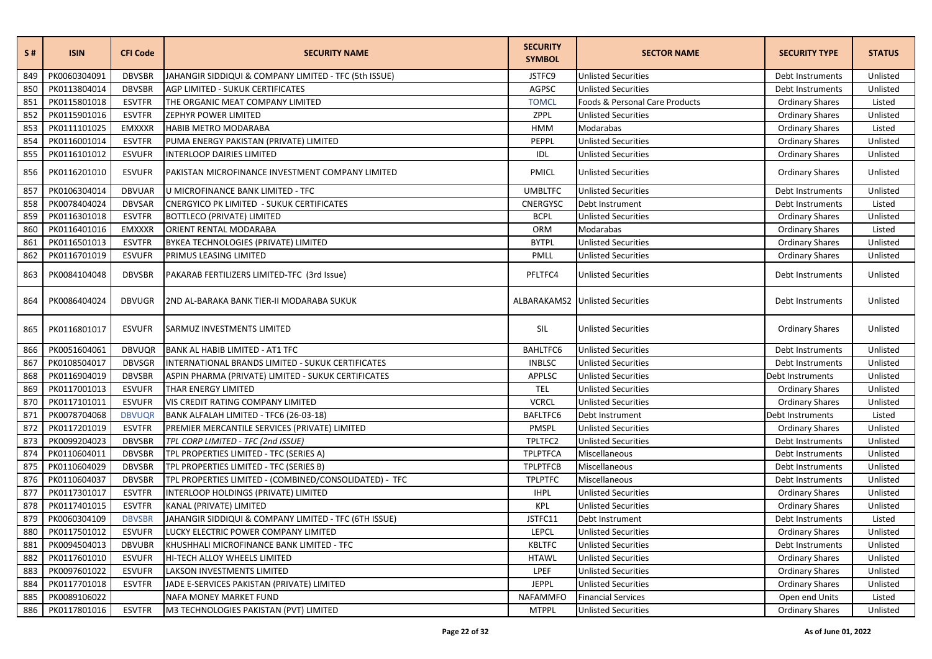| S#  | <b>ISIN</b>  | <b>CFI Code</b> | <b>SECURITY NAME</b>                                   | <b>SECURITY</b><br><b>SYMBOL</b> | <b>SECTOR NAME</b>                     | <b>SECURITY TYPE</b>   | <b>STATUS</b> |
|-----|--------------|-----------------|--------------------------------------------------------|----------------------------------|----------------------------------------|------------------------|---------------|
| 849 | PK0060304091 | <b>DBVSBR</b>   | JAHANGIR SIDDIQUI & COMPANY LIMITED - TFC (5th ISSUE)  | JSTFC9                           | <b>Unlisted Securities</b>             | Debt Instruments       | Unlisted      |
| 850 | PK0113804014 | <b>DBVSBR</b>   | AGP LIMITED - SUKUK CERTIFICATES                       | AGPSC                            | <b>Unlisted Securities</b>             | Debt Instruments       | Unlisted      |
| 851 | PK0115801018 | <b>ESVTFR</b>   | THE ORGANIC MEAT COMPANY LIMITED                       | <b>TOMCL</b>                     | Foods & Personal Care Products         | <b>Ordinary Shares</b> | Listed        |
| 852 | PK0115901016 | <b>ESVTFR</b>   | ZEPHYR POWER LIMITED                                   | ZPPL                             | <b>Unlisted Securities</b>             | <b>Ordinary Shares</b> | Unlisted      |
| 853 | PK0111101025 | EMXXXR          | HABIB METRO MODARABA                                   | <b>HMM</b>                       | Modarabas                              | <b>Ordinary Shares</b> | Listed        |
| 854 | PK0116001014 | <b>ESVTFR</b>   | PUMA ENERGY PAKISTAN (PRIVATE) LIMITED                 | PEPPL                            | <b>Unlisted Securities</b>             | <b>Ordinary Shares</b> | Unlisted      |
| 855 | PK0116101012 | <b>ESVUFR</b>   | <b>INTERLOOP DAIRIES LIMITED</b>                       | IDL                              | <b>Unlisted Securities</b>             | <b>Ordinary Shares</b> | Unlisted      |
| 856 | PK0116201010 | <b>ESVUFR</b>   | PAKISTAN MICROFINANCE INVESTMENT COMPANY LIMITED       | <b>PMICL</b>                     | <b>Unlisted Securities</b>             | <b>Ordinary Shares</b> | Unlisted      |
| 857 | PK0106304014 | <b>DBVUAR</b>   | U MICROFINANCE BANK LIMITED - TFC                      | <b>UMBLTFC</b>                   | <b>Unlisted Securities</b>             | Debt Instruments       | Unlisted      |
| 858 | PK0078404024 | DBVSAR          | <b>CNERGYICO PK LIMITED - SUKUK CERTIFICATES</b>       | CNERGYSC                         | Debt Instrument                        | Debt Instruments       | Listed        |
| 859 | PK0116301018 | <b>ESVTFR</b>   | <b>BOTTLECO (PRIVATE) LIMITED</b>                      | <b>BCPL</b>                      | <b>Unlisted Securities</b>             | <b>Ordinary Shares</b> | Unlisted      |
| 860 | PK0116401016 | <b>EMXXXR</b>   | ORIENT RENTAL MODARABA                                 | ORM                              | Modarabas                              | <b>Ordinary Shares</b> | Listed        |
| 861 | PK0116501013 | <b>ESVTFR</b>   | BYKEA TECHNOLOGIES (PRIVATE) LIMITED                   | <b>BYTPL</b>                     | <b>Unlisted Securities</b>             | <b>Ordinary Shares</b> | Unlisted      |
| 862 | PK0116701019 | <b>ESVUFR</b>   | PRIMUS LEASING LIMITED                                 | PMLL                             | <b>Unlisted Securities</b>             | <b>Ordinary Shares</b> | Unlisted      |
| 863 | PK0084104048 | <b>DBVSBR</b>   | PAKARAB FERTILIZERS LIMITED-TFC (3rd Issue)            | PFLTFC4                          | <b>Unlisted Securities</b>             | Debt Instruments       | Unlisted      |
| 864 | PK0086404024 | <b>DBVUGR</b>   | 2ND AL-BARAKA BANK TIER-II MODARABA SUKUK              |                                  | <b>ALBARAKAMS2</b> Unlisted Securities | Debt Instruments       | Unlisted      |
| 865 | PK0116801017 | <b>ESVUFR</b>   | SARMUZ INVESTMENTS LIMITED                             | SIL                              | <b>Unlisted Securities</b>             | <b>Ordinary Shares</b> | Unlisted      |
| 866 | PK0051604061 | <b>DBVUQR</b>   | BANK AL HABIB LIMITED - AT1 TFC                        | BAHLTFC6                         | <b>Unlisted Securities</b>             | Debt Instruments       | Unlisted      |
| 867 | PK0108504017 | <b>DBVSGR</b>   | INTERNATIONAL BRANDS LIMITED - SUKUK CERTIFICATES      | <b>INBLSC</b>                    | <b>Unlisted Securities</b>             | Debt Instruments       | Unlisted      |
| 868 | PK0116904019 | <b>DBVSBR</b>   | ASPIN PHARMA (PRIVATE) LIMITED - SUKUK CERTIFICATES    | APPLSC                           | <b>Unlisted Securities</b>             | Debt Instruments       | Unlisted      |
| 869 | PK0117001013 | <b>ESVUFR</b>   | THAR ENERGY LIMITED                                    | <b>TEL</b>                       | <b>Unlisted Securities</b>             | <b>Ordinary Shares</b> | Unlisted      |
| 870 | PK0117101011 | <b>ESVUFR</b>   | VIS CREDIT RATING COMPANY LIMITED                      | <b>VCRCL</b>                     | <b>Unlisted Securities</b>             | <b>Ordinary Shares</b> | Unlisted      |
| 871 | PK0078704068 | <b>DBVUQR</b>   | BANK ALFALAH LIMITED - TFC6 (26-03-18)                 | BAFLTFC6                         | Debt Instrument                        | Debt Instruments       | Listed        |
| 872 | PK0117201019 | <b>ESVTFR</b>   | PREMIER MERCANTILE SERVICES (PRIVATE) LIMITED          | PMSPL                            | <b>Unlisted Securities</b>             | <b>Ordinary Shares</b> | Unlisted      |
| 873 | PK0099204023 | <b>DBVSBR</b>   | TPL CORP LIMITED - TFC (2nd ISSUE)                     | TPLTFC2                          | <b>Unlisted Securities</b>             | Debt Instruments       | Unlisted      |
| 874 | PK0110604011 | <b>DBVSBR</b>   | TPL PROPERTIES LIMITED - TFC (SERIES A)                | <b>TPLPTFCA</b>                  | Miscellaneous                          | Debt Instruments       | Unlisted      |
| 875 | PK0110604029 | <b>DBVSBR</b>   | TPL PROPERTIES LIMITED - TFC (SERIES B)                | <b>TPLPTFCB</b>                  | Miscellaneous                          | Debt Instruments       | Unlisted      |
| 876 | PK0110604037 | <b>DBVSBR</b>   | TPL PROPERTIES LIMITED - (COMBINED/CONSOLIDATED) - TFC | <b>TPLPTFC</b>                   | Miscellaneous                          | Debt Instruments       | Unlisted      |
| 877 | PK0117301017 | <b>ESVTFR</b>   | INTERLOOP HOLDINGS (PRIVATE) LIMITED                   | <b>IHPL</b>                      | <b>Unlisted Securities</b>             | <b>Ordinary Shares</b> | Unlisted      |
| 878 | PK0117401015 | <b>ESVTFR</b>   | KANAL (PRIVATE) LIMITED                                | <b>KPL</b>                       | <b>Unlisted Securities</b>             | <b>Ordinary Shares</b> | Unlisted      |
| 879 | PK0060304109 | <b>DBVSBR</b>   | JAHANGIR SIDDIQUI & COMPANY LIMITED - TFC (6TH ISSUE)  | JSTFC11                          | Debt Instrument                        | Debt Instruments       | Listed        |
| 880 | PK0117501012 | <b>ESVUFR</b>   | LUCKY ELECTRIC POWER COMPANY LIMITED                   | <b>LEPCL</b>                     | <b>Unlisted Securities</b>             | <b>Ordinary Shares</b> | Unlisted      |
| 881 | PK0094504013 | <b>DBVUBR</b>   | KHUSHHALI MICROFINANCE BANK LIMITED - TFC              | <b>KBLTFC</b>                    | <b>Unlisted Securities</b>             | Debt Instruments       | Unlisted      |
| 882 | PK0117601010 | <b>ESVUFR</b>   | HI-TECH ALLOY WHEELS LIMITED                           | <b>HTAWL</b>                     | <b>Unlisted Securities</b>             | <b>Ordinary Shares</b> | Unlisted      |
| 883 | PK0097601022 | <b>ESVUFR</b>   | LAKSON INVESTMENTS LIMITED                             | LPEF                             | <b>Unlisted Securities</b>             | <b>Ordinary Shares</b> | Unlisted      |
| 884 | PK0117701018 | <b>ESVTFR</b>   | JADE E-SERVICES PAKISTAN (PRIVATE) LIMITED             | JEPPL                            | <b>Unlisted Securities</b>             | <b>Ordinary Shares</b> | Unlisted      |
| 885 | PK0089106022 |                 | NAFA MONEY MARKET FUND                                 | NAFAMMFO                         | <b>Financial Services</b>              | Open end Units         | Listed        |
| 886 | PK0117801016 | <b>ESVTFR</b>   | M3 TECHNOLOGIES PAKISTAN (PVT) LIMITED                 | <b>MTPPL</b>                     | <b>Unlisted Securities</b>             | <b>Ordinary Shares</b> | Unlisted      |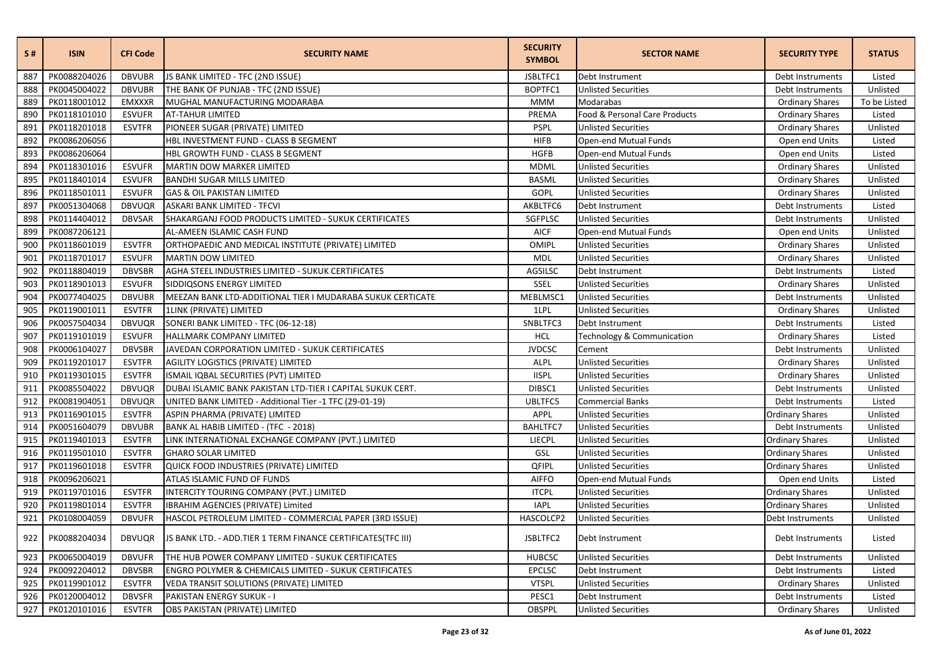| S#  | <b>ISIN</b>  | <b>CFI Code</b> | <b>SECURITY NAME</b>                                              | <b>SECURITY</b><br><b>SYMBOL</b> | <b>SECTOR NAME</b>            | <b>SECURITY TYPE</b>   | <b>STATUS</b> |
|-----|--------------|-----------------|-------------------------------------------------------------------|----------------------------------|-------------------------------|------------------------|---------------|
| 887 | PK0088204026 | <b>DBVUBR</b>   | JS BANK LIMITED - TFC (2ND ISSUE)                                 | JSBLTFC1                         | Debt Instrument               | Debt Instruments       | Listed        |
| 888 | PK0045004022 | <b>DBVUBR</b>   | THE BANK OF PUNJAB - TFC (2ND ISSUE)                              | BOPTFC1                          | <b>Unlisted Securities</b>    | Debt Instruments       | Unlisted      |
| 889 | PK0118001012 | <b>EMXXXR</b>   | MUGHAL MANUFACTURING MODARABA                                     | <b>MMM</b>                       | Modarabas                     | <b>Ordinary Shares</b> | To be Listed  |
| 890 | PK0118101010 | <b>ESVUFR</b>   | <b>AT-TAHUR LIMITED</b>                                           | PREMA                            | Food & Personal Care Products | <b>Ordinary Shares</b> | Listed        |
| 891 | PK0118201018 | <b>ESVTFR</b>   | PIONEER SUGAR (PRIVATE) LIMITED                                   | <b>PSPL</b>                      | <b>Unlisted Securities</b>    | <b>Ordinary Shares</b> | Unlisted      |
| 892 | PK0086206056 |                 | HBL INVESTMENT FUND - CLASS B SEGMENT                             | <b>HIFB</b>                      | Open-end Mutual Funds         | Open end Units         | Listed        |
| 893 | PK0086206064 |                 | HBL GROWTH FUND - CLASS B SEGMENT                                 | <b>HGFB</b>                      | Open-end Mutual Funds         | Open end Units         | Listed        |
| 894 | PK0118301016 | <b>ESVUFR</b>   | MARTIN DOW MARKER LIMITED                                         | <b>MDML</b>                      | <b>Unlisted Securities</b>    | <b>Ordinary Shares</b> | Unlisted      |
| 895 | PK0118401014 | <b>ESVUFR</b>   | <b>BANDHI SUGAR MILLS LIMITED</b>                                 | <b>BASML</b>                     | <b>Unlisted Securities</b>    | <b>Ordinary Shares</b> | Unlisted      |
| 896 | PK0118501011 | <b>ESVUFR</b>   | <b>GAS &amp; OIL PAKISTAN LIMITED</b>                             | GOPL                             | <b>Unlisted Securities</b>    | <b>Ordinary Shares</b> | Unlisted      |
| 897 | PK0051304068 | <b>DBVUQR</b>   | ASKARI BANK LIMITED - TFCVI                                       | AKBLTFC6                         | Debt Instrument               | Debt Instruments       | Listed        |
| 898 | PK0114404012 | <b>DBVSAR</b>   | SHAKARGANJ FOOD PRODUCTS LIMITED - SUKUK CERTIFICATES             | SGFPLSC                          | <b>Unlisted Securities</b>    | Debt Instruments       | Unlisted      |
| 899 | PK0087206121 |                 | AL-AMEEN ISLAMIC CASH FUND                                        | <b>AICF</b>                      | Open-end Mutual Funds         | Open end Units         | Unlisted      |
| 900 | PK0118601019 | <b>ESVTFR</b>   | ORTHOPAEDIC AND MEDICAL INSTITUTE (PRIVATE) LIMITED               | OMIPL                            | <b>Unlisted Securities</b>    | <b>Ordinary Shares</b> | Unlisted      |
| 901 | PK0118701017 | <b>ESVUFR</b>   | <b>MARTIN DOW LIMITED</b>                                         | <b>MDL</b>                       | <b>Unlisted Securities</b>    | <b>Ordinary Shares</b> | Unlisted      |
| 902 | PK0118804019 | <b>DBVSBR</b>   | AGHA STEEL INDUSTRIES LIMITED - SUKUK CERTIFICATES                | AGSILSC                          | Debt Instrument               | Debt Instruments       | Listed        |
| 903 | PK0118901013 | <b>ESVUFR</b>   | SIDDIQSONS ENERGY LIMITED                                         | SSEL                             | <b>Unlisted Securities</b>    | <b>Ordinary Shares</b> | Unlisted      |
| 904 | PK0077404025 | <b>DBVUBR</b>   | MEEZAN BANK LTD-ADDITIONAL TIER I MUDARABA SUKUK CERTICATE        | MEBLMSC1                         | <b>Unlisted Securities</b>    | Debt Instruments       | Unlisted      |
| 905 | PK0119001011 | <b>ESVTFR</b>   | 1LINK (PRIVATE) LIMITED                                           | 1LPL                             | <b>Unlisted Securities</b>    | <b>Ordinary Shares</b> | Unlisted      |
| 906 | PK0057504034 | <b>DBVUQR</b>   | SONERI BANK LIMITED - TFC (06-12-18)                              | SNBLTFC3                         | Debt Instrument               | Debt Instruments       | Listed        |
| 907 | PK0119101019 | <b>ESVUFR</b>   | <b>HALLMARK COMPANY LIMITED</b>                                   | <b>HCL</b>                       | Technology & Communication    | <b>Ordinary Shares</b> | Listed        |
| 908 | PK0006104027 | <b>DBVSBR</b>   | JAVEDAN CORPORATION LIMITED - SUKUK CERTIFICATES                  | <b>JVDCSC</b>                    | Cement                        | Debt Instruments       | Unlisted      |
| 909 | PK0119201017 | <b>ESVTFR</b>   | AGILITY LOGISTICS (PRIVATE) LIMITED                               | ALPL                             | <b>Unlisted Securities</b>    | <b>Ordinary Shares</b> | Unlisted      |
| 910 | PK0119301015 | <b>ESVTFR</b>   | ISMAIL IQBAL SECURITIES (PVT) LIMITED                             | <b>IISPL</b>                     | <b>Unlisted Securities</b>    | <b>Ordinary Shares</b> | Unlisted      |
| 911 | PK0085504022 | <b>DBVUQR</b>   | DUBAI ISLAMIC BANK PAKISTAN LTD-TIER I CAPITAL SUKUK CERT.        | DIBSC1                           | <b>Unlisted Securities</b>    | Debt Instruments       | Unlisted      |
| 912 | PK0081904051 | <b>DBVUQR</b>   | UNITED BANK LIMITED - Additional Tier -1 TFC (29-01-19)           | UBLTFC5                          | <b>Commercial Banks</b>       | Debt Instruments       | Listed        |
| 913 | PK0116901015 | <b>ESVTFR</b>   | ASPIN PHARMA (PRIVATE) LIMITED                                    | APPL                             | <b>Unlisted Securities</b>    | <b>Ordinary Shares</b> | Unlisted      |
| 914 | PK0051604079 | <b>DBVUBR</b>   | BANK AL HABIB LIMITED - (TFC - 2018)                              | <b>BAHLTFC7</b>                  | <b>Unlisted Securities</b>    | Debt Instruments       | Unlisted      |
| 915 | PK0119401013 | <b>ESVTFR</b>   | LINK INTERNATIONAL EXCHANGE COMPANY (PVT.) LIMITED                | LIECPL                           | <b>Unlisted Securities</b>    | <b>Ordinary Shares</b> | Unlisted      |
| 916 | PK0119501010 | <b>ESVTFR</b>   | <b>GHARO SOLAR LIMITED</b>                                        | GSL                              | <b>Unlisted Securities</b>    | <b>Ordinary Shares</b> | Unlisted      |
| 917 | PK0119601018 | <b>ESVTFR</b>   | QUICK FOOD INDUSTRIES (PRIVATE) LIMITED                           | QFIPL                            | <b>Unlisted Securities</b>    | <b>Ordinary Shares</b> | Unlisted      |
| 918 | PK0096206021 |                 | ATLAS ISLAMIC FUND OF FUNDS                                       | <b>AIFFO</b>                     | Open-end Mutual Funds         | Open end Units         | Listed        |
| 919 | PK0119701016 | <b>ESVTFR</b>   | INTERCITY TOURING COMPANY (PVT.) LIMITED                          | <b>ITCPL</b>                     | <b>Unlisted Securities</b>    | <b>Ordinary Shares</b> | Unlisted      |
| 920 | PK0119801014 | <b>ESVTFR</b>   | IBRAHIM AGENCIES (PRIVATE) Limited                                | <b>IAPL</b>                      | <b>Unlisted Securities</b>    | <b>Ordinary Shares</b> | Unlisted      |
| 921 | PK0108004059 | <b>DBVUFR</b>   | HASCOL PETROLEUM LIMITED - COMMERCIAL PAPER (3RD ISSUE)           | HASCOLCP2                        | <b>Unlisted Securities</b>    | Debt Instruments       | Unlisted      |
| 922 | PK0088204034 | DBVUQR          | IS BANK LTD. - ADD.TIER 1 TERM FINANCE CERTIFICATES(TFC III)      | JSBLTFC2                         | Debt Instrument               | Debt Instruments       | Listed        |
| 923 | PK0065004019 | <b>DBVUFR</b>   | THE HUB POWER COMPANY LIMITED - SUKUK CERTIFICATES                | <b>HUBCSC</b>                    | <b>Unlisted Securities</b>    | Debt Instruments       | Unlisted      |
| 924 | PK0092204012 | <b>DBVSBR</b>   | <b>ENGRO POLYMER &amp; CHEMICALS LIMITED - SUKUK CERTIFICATES</b> | <b>EPCLSC</b>                    | Debt Instrument               | Debt Instruments       | Listed        |
| 925 | PK0119901012 | <b>ESVTFR</b>   | VEDA TRANSIT SOLUTIONS (PRIVATE) LIMITED                          | <b>VTSPL</b>                     | <b>Unlisted Securities</b>    | <b>Ordinary Shares</b> | Unlisted      |
| 926 | PK0120004012 | <b>DBVSFR</b>   | PAKISTAN ENERGY SUKUK - I                                         | PESC1                            | Debt Instrument               | Debt Instruments       | Listed        |
| 927 | PK0120101016 | <b>ESVTFR</b>   | OBS PAKISTAN (PRIVATE) LIMITED                                    | OBSPPL                           | <b>Unlisted Securities</b>    | <b>Ordinary Shares</b> | Unlisted      |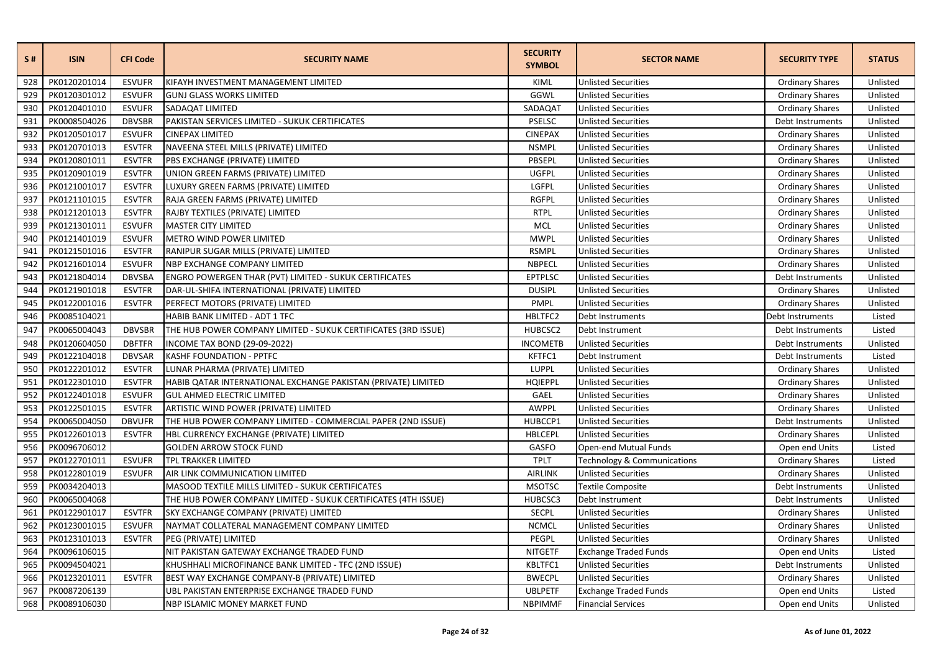| S#  | <b>ISIN</b>  | <b>CFI Code</b> | <b>SECURITY NAME</b>                                           | <b>SECURITY</b><br><b>SYMBOL</b> | <b>SECTOR NAME</b>                     | <b>SECURITY TYPE</b>   | <b>STATUS</b> |
|-----|--------------|-----------------|----------------------------------------------------------------|----------------------------------|----------------------------------------|------------------------|---------------|
| 928 | PK0120201014 | <b>ESVUFR</b>   | KIFAYH INVESTMENT MANAGEMENT LIMITED                           | KIML                             | <b>Unlisted Securities</b>             | <b>Ordinary Shares</b> | Unlisted      |
| 929 | PK0120301012 | <b>ESVUFR</b>   | <b>GUNJ GLASS WORKS LIMITED</b>                                | GGWL                             | <b>Unlisted Securities</b>             | <b>Ordinary Shares</b> | Unlisted      |
| 930 | PK0120401010 | <b>ESVUFR</b>   | SADAQAT LIMITED                                                | SADAQAT                          | <b>Unlisted Securities</b>             | <b>Ordinary Shares</b> | Unlisted      |
| 931 | PK0008504026 | <b>DBVSBR</b>   | PAKISTAN SERVICES LIMITED - SUKUK CERTIFICATES                 | <b>PSELSC</b>                    | <b>Unlisted Securities</b>             | Debt Instruments       | Unlisted      |
| 932 | PK0120501017 | <b>ESVUFR</b>   | <b>CINEPAX LIMITED</b>                                         | <b>CINEPAX</b>                   | <b>Unlisted Securities</b>             | Ordinary Shares        | Unlisted      |
| 933 | PK0120701013 | <b>ESVTFR</b>   | NAVEENA STEEL MILLS (PRIVATE) LIMITED                          | <b>NSMPL</b>                     | <b>Unlisted Securities</b>             | <b>Ordinary Shares</b> | Unlisted      |
| 934 | PK0120801011 | <b>ESVTFR</b>   | PBS EXCHANGE (PRIVATE) LIMITED                                 | PBSEPL                           | <b>Unlisted Securities</b>             | <b>Ordinary Shares</b> | Unlisted      |
| 935 | PK0120901019 | <b>ESVTFR</b>   | UNION GREEN FARMS (PRIVATE) LIMITED                            | UGFPL                            | <b>Unlisted Securities</b>             | <b>Ordinary Shares</b> | Unlisted      |
| 936 | PK0121001017 | <b>ESVTFR</b>   | LUXURY GREEN FARMS (PRIVATE) LIMITED                           | LGFPL                            | <b>Unlisted Securities</b>             | <b>Ordinary Shares</b> | Unlisted      |
| 937 | PK0121101015 | <b>ESVTFR</b>   | RAJA GREEN FARMS (PRIVATE) LIMITED                             | <b>RGFPL</b>                     | <b>Unlisted Securities</b>             | <b>Ordinary Shares</b> | Unlisted      |
| 938 | PK0121201013 | <b>ESVTFR</b>   | RAJBY TEXTILES (PRIVATE) LIMITED                               | <b>RTPL</b>                      | <b>Unlisted Securities</b>             | <b>Ordinary Shares</b> | Unlisted      |
| 939 | PK0121301011 | <b>ESVUFR</b>   | <b>MASTER CITY LIMITED</b>                                     | MCL                              | <b>Unlisted Securities</b>             | <b>Ordinary Shares</b> | Unlisted      |
| 940 | PK0121401019 | <b>ESVUFR</b>   | <b>METRO WIND POWER LIMITED</b>                                | <b>MWPL</b>                      | <b>Unlisted Securities</b>             | <b>Ordinary Shares</b> | Unlisted      |
| 941 | PK0121501016 | <b>ESVTFR</b>   | RANIPUR SUGAR MILLS (PRIVATE) LIMITED                          | <b>RSMPL</b>                     | <b>Unlisted Securities</b>             | <b>Ordinary Shares</b> | Unlisted      |
| 942 | PK0121601014 | <b>ESVUFR</b>   | NBP EXCHANGE COMPANY LIMITED                                   | NBPECL                           | <b>Unlisted Securities</b>             | <b>Ordinary Shares</b> | Unlisted      |
| 943 | PK0121804014 | <b>DBVSBA</b>   | ENGRO POWERGEN THAR (PVT) LIMITED - SUKUK CERTIFICATES         | <b>EPTPLSC</b>                   | <b>Unlisted Securities</b>             | Debt Instruments       | Unlisted      |
| 944 | PK0121901018 | <b>ESVTFR</b>   | DAR-UL-SHIFA INTERNATIONAL (PRIVATE) LIMITED                   | <b>DUSIPL</b>                    | <b>Unlisted Securities</b>             | <b>Ordinary Shares</b> | Unlisted      |
| 945 | PK0122001016 | <b>ESVTFR</b>   | PERFECT MOTORS (PRIVATE) LIMITED                               | <b>PMPL</b>                      | <b>Unlisted Securities</b>             | <b>Ordinary Shares</b> | Unlisted      |
| 946 | PK0085104021 |                 | HABIB BANK LIMITED - ADT 1 TFC                                 | HBLTFC2                          | Debt Instruments                       | Debt Instruments       | Listed        |
| 947 | PK0065004043 | <b>DBVSBR</b>   | THE HUB POWER COMPANY LIMITED - SUKUK CERTIFICATES (3RD ISSUE) | HUBCSC2                          | Debt Instrument                        | Debt Instruments       | Listed        |
| 948 | PK0120604050 | <b>DBFTFR</b>   | <b>INCOME TAX BOND (29-09-2022)</b>                            | <b>INCOMETB</b>                  | <b>Unlisted Securities</b>             | Debt Instruments       | Unlisted      |
| 949 | PK0122104018 | <b>DBVSAR</b>   | KASHF FOUNDATION - PPTFC                                       | KFTFC1                           | Debt Instrument                        | Debt Instruments       | Listed        |
| 950 | PK0122201012 | <b>ESVTFR</b>   | LUNAR PHARMA (PRIVATE) LIMITED                                 | <b>LUPPL</b>                     | <b>Unlisted Securities</b>             | <b>Ordinary Shares</b> | Unlisted      |
| 951 | PK0122301010 | <b>ESVTFR</b>   | HABIB QATAR INTERNATIONAL EXCHANGE PAKISTAN (PRIVATE) LIMITED  | HQIEPPL                          | <b>Unlisted Securities</b>             | <b>Ordinary Shares</b> | Unlisted      |
| 952 | PK0122401018 | <b>ESVUFR</b>   | <b>GUL AHMED ELECTRIC LIMITED</b>                              | GAEL                             | <b>Unlisted Securities</b>             | <b>Ordinary Shares</b> | Unlisted      |
| 953 | PK0122501015 | <b>ESVTFR</b>   | ARTISTIC WIND POWER (PRIVATE) LIMITED                          | AWPPL                            | <b>Unlisted Securities</b>             | <b>Ordinary Shares</b> | Unlisted      |
| 954 | PK0065004050 | <b>DBVUFR</b>   | THE HUB POWER COMPANY LIMITED - COMMERCIAL PAPER (2ND ISSUE)   | HUBCCP1                          | <b>Unlisted Securities</b>             | Debt Instruments       | Unlisted      |
| 955 | PK0122601013 | <b>ESVTFR</b>   | HBL CURRENCY EXCHANGE (PRIVATE) LIMITED                        | HBLCEPL                          | <b>Unlisted Securities</b>             | <b>Ordinary Shares</b> | Unlisted      |
| 956 | PK0096706012 |                 | <b>GOLDEN ARROW STOCK FUND</b>                                 | GASFO                            | Open-end Mutual Funds                  | Open end Units         | Listed        |
| 957 | PK0122701011 | <b>ESVUFR</b>   | TPL TRAKKER LIMITED                                            | <b>TPLT</b>                      | <b>Technology &amp; Communications</b> | <b>Ordinary Shares</b> | Listed        |
| 958 | PK0122801019 | <b>ESVUFR</b>   | AIR LINK COMMUNICATION LIMITED                                 | <b>AIRLINK</b>                   | <b>Unlisted Securities</b>             | <b>Ordinary Shares</b> | Unlisted      |
| 959 | PK0034204013 |                 | MASOOD TEXTILE MILLS LIMITED - SUKUK CERTIFICATES              | <b>MSOTSC</b>                    | <b>Textile Composite</b>               | Debt Instruments       | Unlisted      |
| 960 | PK0065004068 |                 | THE HUB POWER COMPANY LIMITED - SUKUK CERTIFICATES (4TH ISSUE) | HUBCSC3                          | Debt Instrument                        | Debt Instruments       | Unlisted      |
| 961 | PK0122901017 | <b>ESVTFR</b>   | SKY EXCHANGE COMPANY (PRIVATE) LIMITED                         | <b>SECPL</b>                     | <b>Unlisted Securities</b>             | <b>Ordinary Shares</b> | Unlisted      |
| 962 | PK0123001015 | <b>ESVUFR</b>   | NAYMAT COLLATERAL MANAGEMENT COMPANY LIMITED                   | <b>NCMCL</b>                     | <b>Unlisted Securities</b>             | <b>Ordinary Shares</b> | Unlisted      |
| 963 | PK0123101013 | <b>ESVTFR</b>   | PEG (PRIVATE) LIMITED                                          | PEGPL                            | <b>Unlisted Securities</b>             | <b>Ordinary Shares</b> | Unlisted      |
| 964 | PK0096106015 |                 | NIT PAKISTAN GATEWAY EXCHANGE TRADED FUND                      | <b>NITGETF</b>                   | <b>Exchange Traded Funds</b>           | Open end Units         | Listed        |
| 965 | PK0094504021 |                 | KHUSHHALI MICROFINANCE BANK LIMITED - TFC (2ND ISSUE)          | KBLTFC1                          | <b>Unlisted Securities</b>             | Debt Instruments       | Unlisted      |
| 966 | PK0123201011 | <b>ESVTFR</b>   | BEST WAY EXCHANGE COMPANY-B (PRIVATE) LIMITED                  | <b>BWECPL</b>                    | <b>Unlisted Securities</b>             | <b>Ordinary Shares</b> | Unlisted      |
| 967 | PK0087206139 |                 | UBL PAKISTAN ENTERPRISE EXCHANGE TRADED FUND                   | <b>UBLPETF</b>                   | <b>Exchange Traded Funds</b>           | Open end Units         | Listed        |
| 968 | PK0089106030 |                 | NBP ISLAMIC MONEY MARKET FUND                                  | <b>NBPIMMF</b>                   | <b>Financial Services</b>              | Open end Units         | Unlisted      |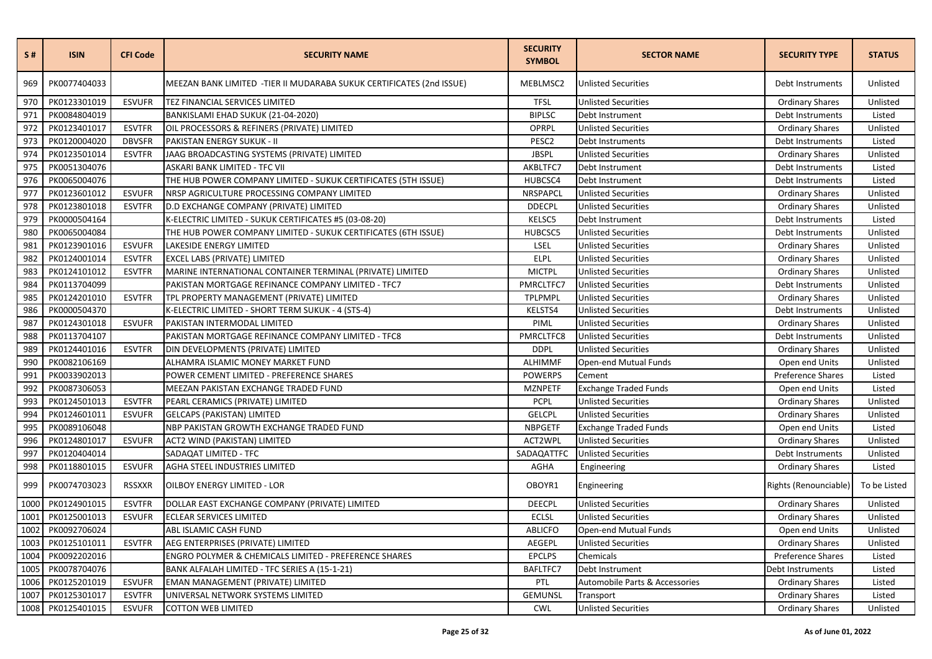| S#   | <b>ISIN</b>  | <b>CFI Code</b> | <b>SECURITY NAME</b>                                                  | <b>SECURITY</b><br><b>SYMBOL</b> | <b>SECTOR NAME</b>             | <b>SECURITY TYPE</b>     | <b>STATUS</b> |
|------|--------------|-----------------|-----------------------------------------------------------------------|----------------------------------|--------------------------------|--------------------------|---------------|
| 969  | PK0077404033 |                 | MEEZAN BANK LIMITED - TIER II MUDARABA SUKUK CERTIFICATES (2nd ISSUE) | MEBLMSC2                         | <b>Unlisted Securities</b>     | Debt Instruments         | Unlisted      |
| 970  | PK0123301019 | <b>ESVUFR</b>   | TEZ FINANCIAL SERVICES LIMITED                                        | <b>TFSL</b>                      | <b>Unlisted Securities</b>     | <b>Ordinary Shares</b>   | Unlisted      |
| 971  | PK0084804019 |                 | BANKISLAMI EHAD SUKUK (21-04-2020)                                    | <b>BIPLSC</b>                    | Debt Instrument                | Debt Instruments         | Listed        |
| 972  | PK0123401017 | <b>ESVTFR</b>   | OIL PROCESSORS & REFINERS (PRIVATE) LIMITED                           | OPRPL                            | <b>Unlisted Securities</b>     | <b>Ordinary Shares</b>   | Unlisted      |
| 973  | PK0120004020 | <b>DBVSFR</b>   | PAKISTAN ENERGY SUKUK - II                                            | PESC2                            | Debt Instruments               | Debt Instruments         | Listed        |
| 974  | PK0123501014 | <b>ESVTFR</b>   | JAAG BROADCASTING SYSTEMS (PRIVATE) LIMITED                           | <b>JBSPL</b>                     | <b>Unlisted Securities</b>     | <b>Ordinary Shares</b>   | Unlisted      |
| 975  | PK0051304076 |                 | ASKARI BANK LIMITED - TFC VII                                         | AKBLTFC7                         | Debt Instrument                | Debt Instruments         | Listed        |
| 976  | PK0065004076 |                 | THE HUB POWER COMPANY LIMITED - SUKUK CERTIFICATES (5TH ISSUE)        | HUBCSC4                          | Debt Instrument                | Debt Instruments         | Listed        |
| 977  | PK0123601012 | <b>ESVUFR</b>   | NRSP AGRICULTURE PROCESSING COMPANY LIMITED                           | NRSPAPCL                         | <b>Unlisted Securities</b>     | <b>Ordinary Shares</b>   | Unlisted      |
| 978  | PK0123801018 | <b>ESVTFR</b>   | D.D EXCHANGE COMPANY (PRIVATE) LIMITED                                | <b>DDECPL</b>                    | <b>Unlisted Securities</b>     | <b>Ordinary Shares</b>   | Unlisted      |
| 979  | PK0000504164 |                 | K-ELECTRIC LIMITED - SUKUK CERTIFICATES #5 (03-08-20)                 | <b>KELSC5</b>                    | Debt Instrument                | Debt Instruments         | Listed        |
| 980  | PK0065004084 |                 | THE HUB POWER COMPANY LIMITED - SUKUK CERTIFICATES (6TH ISSUE)        | HUBCSC5                          | <b>Unlisted Securities</b>     | Debt Instruments         | Unlisted      |
| 981  | PK0123901016 | <b>ESVUFR</b>   | LAKESIDE ENERGY LIMITED                                               | LSEL                             | <b>Unlisted Securities</b>     | <b>Ordinary Shares</b>   | Unlisted      |
| 982  | PK0124001014 | <b>ESVTFR</b>   | <b>EXCEL LABS (PRIVATE) LIMITED</b>                                   | <b>ELPL</b>                      | <b>Unlisted Securities</b>     | <b>Ordinary Shares</b>   | Unlisted      |
| 983  | PK0124101012 | <b>ESVTFR</b>   | MARINE INTERNATIONAL CONTAINER TERMINAL (PRIVATE) LIMITED             | <b>MICTPL</b>                    | <b>Unlisted Securities</b>     | <b>Ordinary Shares</b>   | Unlisted      |
| 984  | PK0113704099 |                 | PAKISTAN MORTGAGE REFINANCE COMPANY LIMITED - TFC7                    | PMRCLTFC7                        | <b>Unlisted Securities</b>     | Debt Instruments         | Unlisted      |
| 985  | PK0124201010 | <b>ESVTFR</b>   | TPL PROPERTY MANAGEMENT (PRIVATE) LIMITED                             | <b>TPLPMPL</b>                   | <b>Unlisted Securities</b>     | <b>Ordinary Shares</b>   | Unlisted      |
| 986  | PK0000504370 |                 | K-ELECTRIC LIMITED - SHORT TERM SUKUK - 4 (STS-4)                     | KELSTS4                          | <b>Unlisted Securities</b>     | Debt Instruments         | Unlisted      |
| 987  | PK0124301018 | <b>ESVUFR</b>   | PAKISTAN INTERMODAL LIMITED                                           | PIML                             | <b>Unlisted Securities</b>     | <b>Ordinary Shares</b>   | Unlisted      |
| 988  | PK0113704107 |                 | PAKISTAN MORTGAGE REFINANCE COMPANY LIMITED - TFC8                    | PMRCLTFC8                        | <b>Unlisted Securities</b>     | Debt Instruments         | Unlisted      |
| 989  | PK0124401016 | <b>ESVTFR</b>   | DIN DEVELOPMENTS (PRIVATE) LIMITED                                    | <b>DDPL</b>                      | <b>Unlisted Securities</b>     | <b>Ordinary Shares</b>   | Unlisted      |
| 990  | PK0082106169 |                 | ALHAMRA ISLAMIC MONEY MARKET FUND                                     | <b>ALHIMMF</b>                   | Open-end Mutual Funds          | Open end Units           | Unlisted      |
| 991  | PK0033902013 |                 | POWER CEMENT LIMITED - PREFERENCE SHARES                              | <b>POWERPS</b>                   | Cement                         | Preference Shares        | Listed        |
| 992  | PK0087306053 |                 | MEEZAN PAKISTAN EXCHANGE TRADED FUND                                  | <b>MZNPETF</b>                   | <b>Exchange Traded Funds</b>   | Open end Units           | Listed        |
| 993  | PK0124501013 | <b>ESVTFR</b>   | PEARL CERAMICS (PRIVATE) LIMITED                                      | <b>PCPL</b>                      | <b>Unlisted Securities</b>     | <b>Ordinary Shares</b>   | Unlisted      |
| 994  | PK0124601011 | <b>ESVUFR</b>   | <b>GELCAPS (PAKISTAN) LIMITED</b>                                     | <b>GELCPL</b>                    | <b>Unlisted Securities</b>     | <b>Ordinary Shares</b>   | Unlisted      |
| 995  | PK0089106048 |                 | NBP PAKISTAN GROWTH EXCHANGE TRADED FUND                              | <b>NBPGETF</b>                   | <b>Exchange Traded Funds</b>   | Open end Units           | Listed        |
| 996  | PK0124801017 | <b>ESVUFR</b>   | ACT2 WIND (PAKISTAN) LIMITED                                          | ACT2WPL                          | <b>Unlisted Securities</b>     | <b>Ordinary Shares</b>   | Unlisted      |
| 997  | PK0120404014 |                 | SADAQAT LIMITED - TFC                                                 | SADAQATTFC                       | <b>Unlisted Securities</b>     | Debt Instruments         | Unlisted      |
| 998  | PK0118801015 | <b>ESVUFR</b>   | AGHA STEEL INDUSTRIES LIMITED                                         | <b>AGHA</b>                      | Engineering                    | <b>Ordinary Shares</b>   | Listed        |
| 999  | PK0074703023 | <b>RSSXXR</b>   | OILBOY ENERGY LIMITED - LOR                                           | OBOYR1                           | Engineering                    | Rights (Renounciable)    | To be Listed  |
| 1000 | PK0124901015 | <b>ESVTFR</b>   | DOLLAR EAST EXCHANGE COMPANY (PRIVATE) LIMITED                        | <b>DEECPL</b>                    | Unlisted Securities            | <b>Ordinary Shares</b>   | Unlisted      |
| 1001 | PK0125001013 | <b>ESVUFR</b>   | <b>ECLEAR SERVICES LIMITED</b>                                        | <b>ECLSL</b>                     | <b>Unlisted Securities</b>     | <b>Ordinary Shares</b>   | Unlisted      |
| 1002 | PK0092706024 |                 | ABL ISLAMIC CASH FUND                                                 | <b>ABLICFO</b>                   | Open-end Mutual Funds          | Open end Units           | Unlisted      |
| 1003 | PK0125101011 | <b>ESVTFR</b>   | AEG ENTERPRISES (PRIVATE) LIMITED                                     | <b>AEGEPL</b>                    | <b>Unlisted Securities</b>     | <b>Ordinary Shares</b>   | Unlisted      |
| 1004 | PK0092202016 |                 | ENGRO POLYMER & CHEMICALS LIMITED - PREFERENCE SHARES                 | <b>EPCLPS</b>                    | Chemicals                      | <b>Preference Shares</b> | Listed        |
| 1005 | PK0078704076 |                 | BANK ALFALAH LIMITED - TFC SERIES A (15-1-21)                         | BAFLTFC7                         | Debt Instrument                | Debt Instruments         | Listed        |
| 1006 | PK0125201019 | <b>ESVUFR</b>   | EMAN MANAGEMENT (PRIVATE) LIMITED                                     | PTL                              | Automobile Parts & Accessories | <b>Ordinary Shares</b>   | Listed        |
| 1007 | PK0125301017 | <b>ESVTFR</b>   | UNIVERSAL NETWORK SYSTEMS LIMITED                                     | <b>GEMUNSL</b>                   | Transport                      | <b>Ordinary Shares</b>   | Listed        |
| 1008 | PK0125401015 | <b>ESVUFR</b>   | <b>COTTON WEB LIMITED</b>                                             | <b>CWL</b>                       | <b>Unlisted Securities</b>     | <b>Ordinary Shares</b>   | Unlisted      |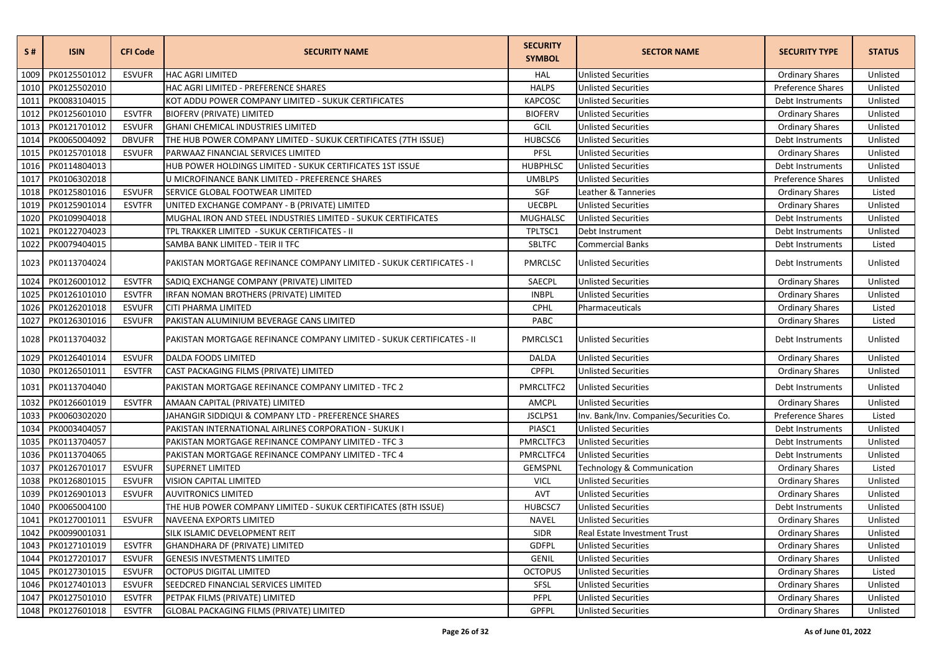| S#   | <b>ISIN</b>       | <b>CFI Code</b> | <b>SECURITY NAME</b>                                                  | <b>SECURITY</b><br><b>SYMBOL</b> | <b>SECTOR NAME</b>                      | <b>SECURITY TYPE</b>   | <b>STATUS</b> |
|------|-------------------|-----------------|-----------------------------------------------------------------------|----------------------------------|-----------------------------------------|------------------------|---------------|
| 1009 | PK0125501012      | <b>ESVUFR</b>   | <b>HAC AGRI LIMITED</b>                                               | HAL                              | <b>Unlisted Securities</b>              | <b>Ordinary Shares</b> | Unlisted      |
| 1010 | PK0125502010      |                 | HAC AGRI LIMITED - PREFERENCE SHARES                                  | <b>HALPS</b>                     | <b>Unlisted Securities</b>              | Preference Shares      | Unlisted      |
| 1011 | PK0083104015      |                 | KOT ADDU POWER COMPANY LIMITED - SUKUK CERTIFICATES                   | <b>KAPCOSC</b>                   | <b>Unlisted Securities</b>              | Debt Instruments       | Unlisted      |
| 1012 | PK0125601010      | <b>ESVTFR</b>   | <b>BIOFERV (PRIVATE) LIMITED</b>                                      | <b>BIOFERV</b>                   | <b>Unlisted Securities</b>              | <b>Ordinary Shares</b> | Unlisted      |
| 1013 | PK0121701012      | <b>ESVUFR</b>   | <b>GHANI CHEMICAL INDUSTRIES LIMITED</b>                              | GCIL                             | <b>Unlisted Securities</b>              | <b>Ordinary Shares</b> | Unlisted      |
| 1014 | PK0065004092      | <b>DBVUFR</b>   | THE HUB POWER COMPANY LIMITED - SUKUK CERTIFICATES (7TH ISSUE)        | HUBCSC6                          | <b>Unlisted Securities</b>              | Debt Instruments       | Unlisted      |
| 1015 | PK0125701018      | <b>ESVUFR</b>   | PARWAAZ FINANCIAL SERVICES LIMITED                                    | PFSL                             | <b>Unlisted Securities</b>              | <b>Ordinary Shares</b> | Unlisted      |
| 1016 | PK0114804013      |                 | HUB POWER HOLDINGS LIMITED - SUKUK CERTIFICATES 1ST ISSUE             | HUBPHLSC                         | <b>Unlisted Securities</b>              | Debt Instruments       | Unlisted      |
| 1017 | PK0106302018      |                 | U MICROFINANCE BANK LIMITED - PREFERENCE SHARES                       | <b>UMBLPS</b>                    | <b>Unlisted Securities</b>              | Preference Shares      | Unlisted      |
| 1018 | PK0125801016      | <b>ESVUFR</b>   | SERVICE GLOBAL FOOTWEAR LIMITED                                       | SGF                              | Leather & Tanneries                     | <b>Ordinary Shares</b> | Listed        |
| 1019 | PK0125901014      | <b>ESVTFR</b>   | UNITED EXCHANGE COMPANY - B (PRIVATE) LIMITED                         | <b>UECBPL</b>                    | <b>Unlisted Securities</b>              | <b>Ordinary Shares</b> | Unlisted      |
| 1020 | PK0109904018      |                 | MUGHAL IRON AND STEEL INDUSTRIES LIMITED - SUKUK CERTIFICATES         | <b>MUGHALSC</b>                  | <b>Unlisted Securities</b>              | Debt Instruments       | Unlisted      |
| 1021 | PK0122704023      |                 | TPL TRAKKER LIMITED - SUKUK CERTIFICATES - II                         | TPLTSC1                          | Debt Instrument                         | Debt Instruments       | Unlisted      |
| 1022 | PK0079404015      |                 | SAMBA BANK LIMITED - TEIR II TFC                                      | <b>SBLTFC</b>                    | <b>Commercial Banks</b>                 | Debt Instruments       | Listed        |
| 1023 | PK0113704024      |                 | PAKISTAN MORTGAGE REFINANCE COMPANY LIMITED - SUKUK CERTIFICATES - I  | PMRCLSC                          | <b>Unlisted Securities</b>              | Debt Instruments       | Unlisted      |
| 1024 | PK0126001012      | <b>ESVTFR</b>   | SADIQ EXCHANGE COMPANY (PRIVATE) LIMITED                              | SAECPL                           | <b>Unlisted Securities</b>              | <b>Ordinary Shares</b> | Unlisted      |
| 1025 | PK0126101010      | <b>ESVTFR</b>   | IRFAN NOMAN BROTHERS (PRIVATE) LIMITED                                | <b>INBPL</b>                     | <b>Unlisted Securities</b>              | <b>Ordinary Shares</b> | Unlisted      |
| 1026 | PK0126201018      | <b>ESVUFR</b>   | CITI PHARMA LIMITED                                                   | <b>CPHL</b>                      | Pharmaceuticals                         | <b>Ordinary Shares</b> | Listed        |
| 1027 | PK0126301016      | <b>ESVUFR</b>   | PAKISTAN ALUMINIUM BEVERAGE CANS LIMITED                              | PABC                             |                                         | <b>Ordinary Shares</b> | Listed        |
| 1028 | PK0113704032      |                 | PAKISTAN MORTGAGE REFINANCE COMPANY LIMITED - SUKUK CERTIFICATES - II | PMRCLSC1                         | <b>Unlisted Securities</b>              | Debt Instruments       | Unlisted      |
| 1029 | PK0126401014      | <b>ESVUFR</b>   | <b>DALDA FOODS LIMITED</b>                                            | DALDA                            | <b>Unlisted Securities</b>              | <b>Ordinary Shares</b> | Unlisted      |
| 1030 | PK0126501011      | <b>ESVTFR</b>   | CAST PACKAGING FILMS (PRIVATE) LIMITED                                | <b>CPFPL</b>                     | <b>Unlisted Securities</b>              | <b>Ordinary Shares</b> | Unlisted      |
| 1031 | PK0113704040      |                 | PAKISTAN MORTGAGE REFINANCE COMPANY LIMITED - TFC 2                   | PMRCLTFC2                        | <b>Unlisted Securities</b>              | Debt Instruments       | Unlisted      |
| 1032 | PK0126601019      | <b>ESVTFR</b>   | AMAAN CAPITAL (PRIVATE) LIMITED                                       | AMCPL                            | <b>Unlisted Securities</b>              | <b>Ordinary Shares</b> | Unlisted      |
| 1033 | PK0060302020      |                 | JAHANGIR SIDDIQUI & COMPANY LTD - PREFERENCE SHARES                   | JSCLPS1                          | Inv. Bank/Inv. Companies/Securities Co. | Preference Shares      | Listed        |
| 1034 | PK0003404057      |                 | PAKISTAN INTERNATIONAL AIRLINES CORPORATION - SUKUK I                 | PIASC1                           | <b>Unlisted Securities</b>              | Debt Instruments       | Unlisted      |
| 1035 | PK0113704057      |                 | PAKISTAN MORTGAGE REFINANCE COMPANY LIMITED - TFC 3                   | PMRCLTFC3                        | <b>Unlisted Securities</b>              | Debt Instruments       | Unlisted      |
| 1036 | PK0113704065      |                 | PAKISTAN MORTGAGE REFINANCE COMPANY LIMITED - TFC 4                   | PMRCLTFC4                        | Unlisted Securities                     | Debt Instruments       | Unlisted      |
| 1037 | PK0126701017      | <b>ESVUFR</b>   | <b>SUPERNET LIMITED</b>                                               | <b>GEMSPNL</b>                   | Technology & Communication              | <b>Ordinary Shares</b> | Listed        |
| 1038 | PK0126801015      | <b>ESVUFR</b>   | VISION CAPITAL LIMITED                                                | <b>VICL</b>                      | <b>Unlisted Securities</b>              | <b>Ordinary Shares</b> | Unlisted      |
| 1039 | PK0126901013      | <b>ESVUFR</b>   | <b>AUVITRONICS LIMITED</b>                                            | <b>AVT</b>                       | <b>Unlisted Securities</b>              | <b>Ordinary Shares</b> | Unlisted      |
| 1040 | PK0065004100      |                 | THE HUB POWER COMPANY LIMITED - SUKUK CERTIFICATES (8TH ISSUE)        | HUBCSC7                          | <b>Unlisted Securities</b>              | Debt Instruments       | Unlisted      |
| 1041 | PK0127001011      | <b>ESVUFR</b>   | <b>NAVEENA EXPORTS LIMITED</b>                                        | <b>NAVEL</b>                     | <b>Unlisted Securities</b>              | <b>Ordinary Shares</b> | Unlisted      |
|      | 1042 PK0099001031 |                 | SILK ISLAMIC DEVELOPMENT REIT                                         | SIDR                             | Real Estate Investment Trust            | <b>Ordinary Shares</b> | Unlisted      |
|      | 1043 PK0127101019 | <b>ESVTFR</b>   | GHANDHARA DF (PRIVATE) LIMITED                                        | <b>GDFPL</b>                     | <b>Unlisted Securities</b>              | <b>Ordinary Shares</b> | Unlisted      |
|      | 1044 PK0127201017 | <b>ESVUFR</b>   | <b>GENESIS INVESTMENTS LIMITED</b>                                    | <b>GENIL</b>                     | <b>Unlisted Securities</b>              | <b>Ordinary Shares</b> | Unlisted      |
|      | 1045 PK0127301015 | <b>ESVUFR</b>   | <b>OCTOPUS DIGITAL LIMITED</b>                                        | <b>OCTOPUS</b>                   | <b>Unlisted Securities</b>              | <b>Ordinary Shares</b> | Listed        |
|      | 1046 PK0127401013 | <b>ESVUFR</b>   | SEEDCRED FINANCIAL SERVICES LIMITED                                   | SFSL                             | <b>Unlisted Securities</b>              | <b>Ordinary Shares</b> | Unlisted      |
|      | 1047 PK0127501010 | <b>ESVTFR</b>   | PETPAK FILMS (PRIVATE) LIMITED                                        | PFPL                             | <b>Unlisted Securities</b>              | <b>Ordinary Shares</b> | Unlisted      |
|      | 1048 PK0127601018 | <b>ESVTFR</b>   | <b>GLOBAL PACKAGING FILMS (PRIVATE) LIMITED</b>                       | <b>GPFPL</b>                     | <b>Unlisted Securities</b>              | <b>Ordinary Shares</b> | Unlisted      |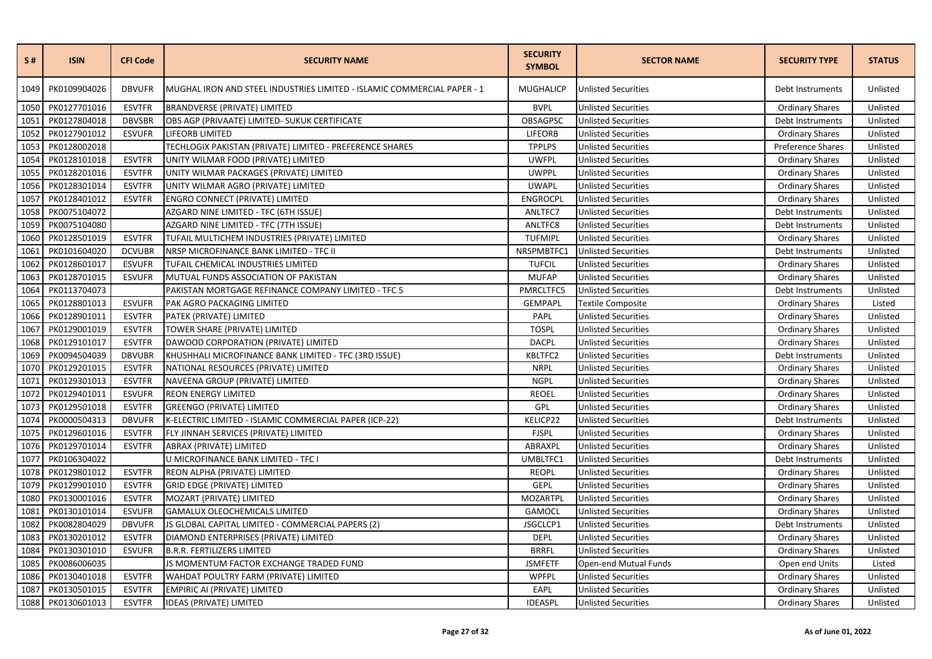| S#   | <b>ISIN</b>       | <b>CFI Code</b> | <b>SECURITY NAME</b>                                                    | <b>SECURITY</b><br><b>SYMBOL</b> | <b>SECTOR NAME</b>         | <b>SECURITY TYPE</b>   | <b>STATUS</b> |
|------|-------------------|-----------------|-------------------------------------------------------------------------|----------------------------------|----------------------------|------------------------|---------------|
| 1049 | PK0109904026      | <b>DBVUFR</b>   | MUGHAL IRON AND STEEL INDUSTRIES LIMITED - ISLAMIC COMMERCIAL PAPER - 1 | <b>MUGHALICP</b>                 | <b>Unlisted Securities</b> | Debt Instruments       | Unlisted      |
| 1050 | PK0127701016      | <b>ESVTFR</b>   | <b>BRANDVERSE (PRIVATE) LIMITED</b>                                     | <b>BVPL</b>                      | <b>Unlisted Securities</b> | <b>Ordinary Shares</b> | Unlisted      |
| 1051 | PK0127804018      | <b>DBVSBR</b>   | OBS AGP (PRIVAATE) LIMITED- SUKUK CERTIFICATE                           | OBSAGPSC                         | <b>Unlisted Securities</b> | Debt Instruments       | Unlisted      |
| 1052 | PK0127901012      | <b>ESVUFR</b>   | LIFEORB LIMITED                                                         | LIFEORB                          | <b>Unlisted Securities</b> | <b>Ordinary Shares</b> | Unlisted      |
| 1053 | PK0128002018      |                 | TECHLOGIX PAKISTAN (PRIVATE) LIMITED - PREFERENCE SHARES                | <b>TPPLPS</b>                    | <b>Unlisted Securities</b> | Preference Shares      | Unlisted      |
| 1054 | PK0128101018      | <b>ESVTFR</b>   | UNITY WILMAR FOOD (PRIVATE) LIMITED                                     | <b>UWFPL</b>                     | <b>Unlisted Securities</b> | <b>Ordinary Shares</b> | Unlisted      |
| 1055 | PK0128201016      | <b>ESVTFR</b>   | UNITY WILMAR PACKAGES (PRIVATE) LIMITED                                 | <b>UWPPL</b>                     | <b>Unlisted Securities</b> | <b>Ordinary Shares</b> | Unlisted      |
| 1056 | PK0128301014      | <b>ESVTFR</b>   | UNITY WILMAR AGRO (PRIVATE) LIMITED                                     | <b>UWAPL</b>                     | <b>Unlisted Securities</b> | <b>Ordinary Shares</b> | Unlisted      |
| 1057 | PK0128401012      | <b>ESVTFR</b>   | ENGRO CONNECT (PRIVATE) LIMITED                                         | <b>ENGROCPL</b>                  | <b>Unlisted Securities</b> | <b>Ordinary Shares</b> | Unlisted      |
| 1058 | PK0075104072      |                 | AZGARD NINE LIMITED - TFC (6TH ISSUE)                                   | ANLTFC7                          | <b>Unlisted Securities</b> | Debt Instruments       | Unlisted      |
| 1059 | PK0075104080      |                 | AZGARD NINE LIMITED - TFC (7TH ISSUE)                                   | ANLTFC8                          | <b>Unlisted Securities</b> | Debt Instruments       | Unlisted      |
| 1060 | PK0128501019      | <b>ESVTFR</b>   | TUFAIL MULTICHEM INDUSTRIES (PRIVATE) LIMITED                           | <b>TUFMIPL</b>                   | <b>Unlisted Securities</b> | <b>Ordinary Shares</b> | Unlisted      |
| 1061 | PK0101604020      | <b>DCVUBR</b>   | NRSP MICROFINANCE BANK LIMITED - TFC II                                 | NRSPMBTFC1                       | <b>Unlisted Securities</b> | Debt Instruments       | Unlisted      |
| 1062 | PK0128601017      | <b>ESVUFR</b>   | TUFAIL CHEMICAL INDUSTRIES LIMITED                                      | <b>TUFCIL</b>                    | <b>Unlisted Securities</b> | <b>Ordinary Shares</b> | Unlisted      |
| 1063 | PK0128701015      | <b>ESVUFR</b>   | MUTUAL FUNDS ASSOCIATION OF PAKISTAN                                    | <b>MUFAP</b>                     | <b>Unlisted Securities</b> | <b>Ordinary Shares</b> | Unlisted      |
| 1064 | PK0113704073      |                 | PAKISTAN MORTGAGE REFINANCE COMPANY LIMITED - TFC 5                     | PMRCLTFC5                        | <b>Unlisted Securities</b> | Debt Instruments       | Unlisted      |
| 1065 | PK0128801013      | <b>ESVUFR</b>   | PAK AGRO PACKAGING LIMITED                                              | GEMPAPL                          | <b>Textile Composite</b>   | <b>Ordinary Shares</b> | Listed        |
| 1066 | PK0128901011      | <b>ESVTFR</b>   | PATEK (PRIVATE) LIMITED                                                 | PAPL                             | <b>Unlisted Securities</b> | <b>Ordinary Shares</b> | Unlisted      |
| 1067 | PK0129001019      | <b>ESVTFR</b>   | TOWER SHARE (PRIVATE) LIMITED                                           | <b>TOSPL</b>                     | <b>Unlisted Securities</b> | <b>Ordinary Shares</b> | Unlisted      |
| 1068 | PK0129101017      | <b>ESVTFR</b>   | DAWOOD CORPORATION (PRIVATE) LIMITED                                    | <b>DACPL</b>                     | <b>Unlisted Securities</b> | <b>Ordinary Shares</b> | Unlisted      |
| 1069 | PK0094504039      | <b>DBVUBR</b>   | KHUSHHALI MICROFINANCE BANK LIMITED - TFC (3RD ISSUE)                   | KBLTFC2                          | <b>Unlisted Securities</b> | Debt Instruments       | Unlisted      |
| 1070 | PK0129201015      | <b>ESVTFR</b>   | NATIONAL RESOURCES (PRIVATE) LIMITED                                    | <b>NRPL</b>                      | <b>Unlisted Securities</b> | <b>Ordinary Shares</b> | Unlisted      |
| 1071 | PK0129301013      | <b>ESVTFR</b>   | NAVEENA GROUP (PRIVATE) LIMITED                                         | <b>NGPL</b>                      | <b>Unlisted Securities</b> | <b>Ordinary Shares</b> | Unlisted      |
| 1072 | PK0129401011      | <b>ESVUFR</b>   | <b>REON ENERGY LIMITED</b>                                              | <b>REOEL</b>                     | <b>Unlisted Securities</b> | <b>Ordinary Shares</b> | Unlisted      |
| 1073 | PK0129501018      | <b>ESVTFR</b>   | <b>GREENGO (PRIVATE) LIMITED</b>                                        | GPL                              | <b>Unlisted Securities</b> | <b>Ordinary Shares</b> | Unlisted      |
| 1074 | PK0000504313      | <b>DBVUFR</b>   | K-ELECTRIC LIMITED - ISLAMIC COMMERCIAL PAPER (ICP-22)                  | KELICP22                         | <b>Unlisted Securities</b> | Debt Instruments       | Unlisted      |
| 1075 | PK0129601016      | <b>ESVTFR</b>   | FLY JINNAH SERVICES (PRIVATE) LIMITED                                   | <b>FJSPL</b>                     | <b>Unlisted Securities</b> | <b>Ordinary Shares</b> | Unlisted      |
| 1076 | PK0129701014      | <b>ESVTFR</b>   | ABRAX (PRIVATE) LIMITED                                                 | ABRAXPL                          | <b>Unlisted Securities</b> | <b>Ordinary Shares</b> | Unlisted      |
| 1077 | PK0106304022      |                 | U MICROFINANCE BANK LIMITED - TFC I                                     | UMBLTFC1                         | <b>Unlisted Securities</b> | Debt Instruments       | Unlisted      |
| 1078 | PK0129801012      | <b>ESVTFR</b>   | REON ALPHA (PRIVATE) LIMITED                                            | <b>REOPL</b>                     | <b>Unlisted Securities</b> | <b>Ordinary Shares</b> | Unlisted      |
| 1079 | PK0129901010      | <b>ESVTFR</b>   | <b>GRID EDGE (PRIVATE) LIMITED</b>                                      | <b>GEPL</b>                      | <b>Unlisted Securities</b> | <b>Ordinary Shares</b> | Unlisted      |
| 1080 | PK0130001016      | <b>ESVTFR</b>   | MOZART (PRIVATE) LIMITED                                                | MOZARTPL                         | <b>Unlisted Securities</b> | <b>Ordinary Shares</b> | Unlisted      |
| 1081 | PK0130101014      | <b>ESVUFR</b>   | <b>GAMALUX OLEOCHEMICALS LIMITED</b>                                    | <b>GAMOCL</b>                    | <b>Unlisted Securities</b> | <b>Ordinary Shares</b> | Unlisted      |
| 1082 | PK0082804029      | <b>DBVUFR</b>   | JS GLOBAL CAPITAL LIMITED - COMMERCIAL PAPERS (2)                       | JSGCLCP1                         | <b>Unlisted Securities</b> | Debt Instruments       | Unlisted      |
| 1083 | PK0130201012      | <b>ESVTFR</b>   | DIAMOND ENTERPRISES (PRIVATE) LIMITED                                   | <b>DEPL</b>                      | <b>Unlisted Securities</b> | <b>Ordinary Shares</b> | Unlisted      |
| 1084 | PK0130301010      | <b>ESVUFR</b>   | <b>B.R.R. FERTILIZERS LIMITED</b>                                       | <b>BRRFL</b>                     | <b>Unlisted Securities</b> | <b>Ordinary Shares</b> | Unlisted      |
| 1085 | PK0086006035      |                 | JS MOMENTUM FACTOR EXCHANGE TRADED FUND                                 | <b>JSMFETF</b>                   | Open-end Mutual Funds      | Open end Units         | Listed        |
| 1086 | PK0130401018      | <b>ESVTFR</b>   | WAHDAT POULTRY FARM (PRIVATE) LIMITED                                   | <b>WPFPL</b>                     | <b>Unlisted Securities</b> | <b>Ordinary Shares</b> | Unlisted      |
| 1087 | PK0130501015      | <b>ESVTFR</b>   | EMPIRIC AI (PRIVATE) LIMITED                                            | EAPL                             | <b>Unlisted Securities</b> | <b>Ordinary Shares</b> | Unlisted      |
|      | 1088 PK0130601013 | <b>ESVTFR</b>   | IDEAS (PRIVATE) LIMITED                                                 | <b>IDEASPL</b>                   | <b>Unlisted Securities</b> | <b>Ordinary Shares</b> | Unlisted      |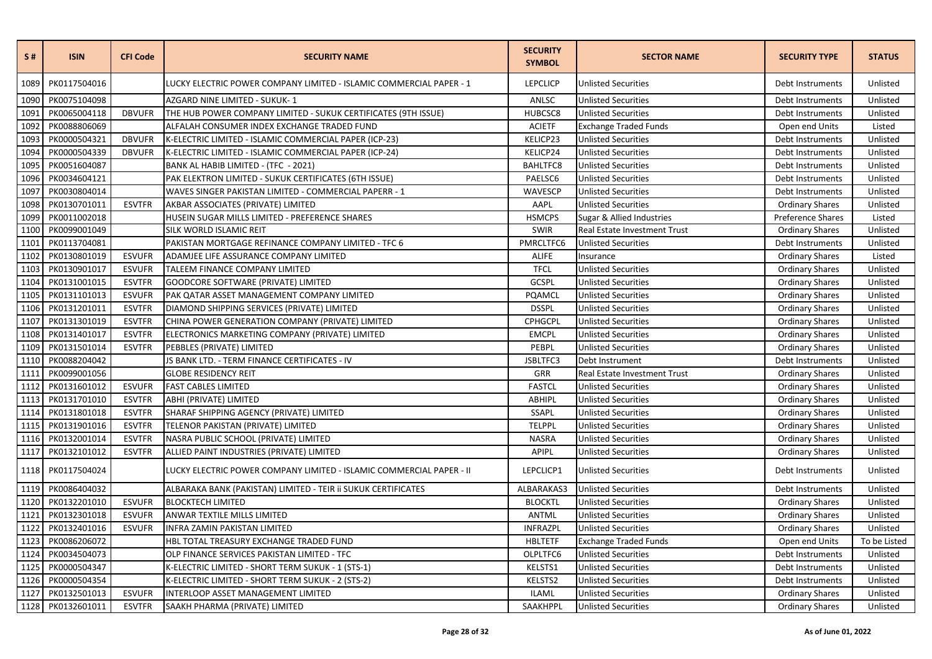| S#   | <b>ISIN</b>  | <b>CFI Code</b> | <b>SECURITY NAME</b>                                                 | <b>SECURITY</b><br><b>SYMBOL</b> | <b>SECTOR NAME</b>           | <b>SECURITY TYPE</b>   | <b>STATUS</b> |
|------|--------------|-----------------|----------------------------------------------------------------------|----------------------------------|------------------------------|------------------------|---------------|
| 1089 | PK0117504016 |                 | LUCKY ELECTRIC POWER COMPANY LIMITED - ISLAMIC COMMERCIAL PAPER - 1  | <b>LEPCLICP</b>                  | <b>Unlisted Securities</b>   | Debt Instruments       | Unlisted      |
| 1090 | PK0075104098 |                 | AZGARD NINE LIMITED - SUKUK-1                                        | ANLSC                            | <b>Unlisted Securities</b>   | Debt Instruments       | Unlisted      |
| 1091 | PK0065004118 | <b>DBVUFR</b>   | THE HUB POWER COMPANY LIMITED - SUKUK CERTIFICATES (9TH ISSUE)       | HUBCSC8                          | <b>Unlisted Securities</b>   | Debt Instruments       | Unlisted      |
| 1092 | PK0088806069 |                 | ALFALAH CONSUMER INDEX EXCHANGE TRADED FUND                          | <b>ACIETF</b>                    | <b>Exchange Traded Funds</b> | Open end Units         | Listed        |
| 1093 | PK0000504321 | <b>DBVUFR</b>   | K-ELECTRIC LIMITED - ISLAMIC COMMERCIAL PAPER (ICP-23)               | KELICP23                         | <b>Unlisted Securities</b>   | Debt Instruments       | Unlisted      |
| 1094 | PK0000504339 | <b>DBVUFR</b>   | K-ELECTRIC LIMITED - ISLAMIC COMMERCIAL PAPER (ICP-24)               | KELICP24                         | <b>Unlisted Securities</b>   | Debt Instruments       | Unlisted      |
| 1095 | PK0051604087 |                 | BANK AL HABIB LIMITED - (TFC - 2021)                                 | <b>BAHLTFC8</b>                  | <b>Unlisted Securities</b>   | Debt Instruments       | Unlisted      |
| 1096 | PK0034604121 |                 | PAK ELEKTRON LIMITED - SUKUK CERTIFICATES (6TH ISSUE)                | PAELSC6                          | <b>Unlisted Securities</b>   | Debt Instruments       | Unlisted      |
| 1097 | PK0030804014 |                 | WAVES SINGER PAKISTAN LIMITED - COMMERCIAL PAPERR - 1                | WAVESCP                          | <b>Unlisted Securities</b>   | Debt Instruments       | Unlisted      |
| 1098 | PK0130701011 | <b>ESVTFR</b>   | AKBAR ASSOCIATES (PRIVATE) LIMITED                                   | AAPL                             | <b>Unlisted Securities</b>   | <b>Ordinary Shares</b> | Unlisted      |
| 1099 | PK0011002018 |                 | HUSEIN SUGAR MILLS LIMITED - PREFERENCE SHARES                       | <b>HSMCPS</b>                    | Sugar & Allied Industries    | Preference Shares      | Listed        |
| 1100 | PK0099001049 |                 | SILK WORLD ISLAMIC REIT                                              | <b>SWIR</b>                      | Real Estate Investment Trust | <b>Ordinary Shares</b> | Unlisted      |
| 1101 | PK0113704081 |                 | PAKISTAN MORTGAGE REFINANCE COMPANY LIMITED - TFC 6                  | PMRCLTFC6                        | <b>Unlisted Securities</b>   | Debt Instruments       | Unlisted      |
| 1102 | PK0130801019 | <b>ESVUFR</b>   | ADAMJEE LIFE ASSURANCE COMPANY LIMITED                               | <b>ALIFE</b>                     | Insurance                    | <b>Ordinary Shares</b> | Listed        |
| 1103 | PK0130901017 | <b>ESVUFR</b>   | TALEEM FINANCE COMPANY LIMITED                                       | <b>TFCL</b>                      | <b>Unlisted Securities</b>   | <b>Ordinary Shares</b> | Unlisted      |
| 1104 | PK0131001015 | <b>ESVTFR</b>   | GOODCORE SOFTWARE (PRIVATE) LIMITED                                  | GCSPL                            | <b>Unlisted Securities</b>   | <b>Ordinary Shares</b> | Unlisted      |
| 1105 | PK0131101013 | <b>ESVUFR</b>   | PAK QATAR ASSET MANAGEMENT COMPANY LIMITED                           | PQAMCL                           | <b>Unlisted Securities</b>   | <b>Ordinary Shares</b> | Unlisted      |
| 1106 | PK0131201011 | <b>ESVTFR</b>   | DIAMOND SHIPPING SERVICES (PRIVATE) LIMITED                          | <b>DSSPL</b>                     | <b>Unlisted Securities</b>   | <b>Ordinary Shares</b> | Unlisted      |
| 1107 | PK0131301019 | <b>ESVTFR</b>   | CHINA POWER GENERATION COMPANY (PRIVATE) LIMITED                     | CPHGCPL                          | <b>Unlisted Securities</b>   | <b>Ordinary Shares</b> | Unlisted      |
| 1108 | PK0131401017 | <b>ESVTFR</b>   | ELECTRONICS MARKETING COMPANY (PRIVATE) LIMITED                      | <b>EMCPL</b>                     | <b>Unlisted Securities</b>   | <b>Ordinary Shares</b> | Unlisted      |
| 1109 | PK0131501014 | <b>ESVTFR</b>   | PEBBLES (PRIVATE) LIMITED                                            | PEBPL                            | <b>Unlisted Securities</b>   | <b>Ordinary Shares</b> | Unlisted      |
| 1110 | PK0088204042 |                 | JS BANK LTD. - TERM FINANCE CERTIFICATES - IV                        | JSBLTFC3                         | Debt Instrument              | Debt Instruments       | Unlisted      |
| 1111 | PK0099001056 |                 | <b>GLOBE RESIDENCY REIT</b>                                          | GRR                              | Real Estate Investment Trust | <b>Ordinary Shares</b> | Unlisted      |
| 1112 | PK0131601012 | <b>ESVUFR</b>   | <b>FAST CABLES LIMITED</b>                                           | <b>FASTCL</b>                    | <b>Unlisted Securities</b>   | <b>Ordinary Shares</b> | Unlisted      |
| 1113 | PK0131701010 | <b>ESVTFR</b>   | ABHI (PRIVATE) LIMITED                                               | ABHIPL                           | <b>Unlisted Securities</b>   | <b>Ordinary Shares</b> | Unlisted      |
| 1114 | PK0131801018 | <b>ESVTFR</b>   | SHARAF SHIPPING AGENCY (PRIVATE) LIMITED                             | SSAPL                            | <b>Unlisted Securities</b>   | <b>Ordinary Shares</b> | Unlisted      |
| 1115 | PK0131901016 | <b>ESVTFR</b>   | TELENOR PAKISTAN (PRIVATE) LIMITED                                   | <b>TELPPL</b>                    | <b>Unlisted Securities</b>   | <b>Ordinary Shares</b> | Unlisted      |
| 1116 | PK0132001014 | <b>ESVTFR</b>   | NASRA PUBLIC SCHOOL (PRIVATE) LIMITED                                | <b>NASRA</b>                     | <b>Unlisted Securities</b>   | <b>Ordinary Shares</b> | Unlisted      |
| 1117 | PK0132101012 | <b>ESVTFR</b>   | ALLIED PAINT INDUSTRIES (PRIVATE) LIMITED                            | <b>APIPL</b>                     | <b>Unlisted Securities</b>   | <b>Ordinary Shares</b> | Unlisted      |
| 1118 | PK0117504024 |                 | LUCKY ELECTRIC POWER COMPANY LIMITED - ISLAMIC COMMERCIAL PAPER - II | LEPCLICP1                        | <b>Unlisted Securities</b>   | Debt Instruments       | Unlisted      |
| 1119 | PK0086404032 |                 | ALBARAKA BANK (PAKISTAN) LIMITED - TEIR II SUKUK CERTIFICATES        | ALBARAKAS3                       | <b>Unlisted Securities</b>   | Debt Instruments       | Unlisted      |
| 1120 | PK0132201010 | <b>ESVUFR</b>   | <b>BLOCKTECH LIMITED</b>                                             | <b>BLOCKTL</b>                   | <b>Unlisted Securities</b>   | <b>Ordinary Shares</b> | Unlisted      |
| 1121 | PK0132301018 | <b>ESVUFR</b>   | ANWAR TEXTILE MILLS LIMITED                                          | ANTML                            | <b>Unlisted Securities</b>   | <b>Ordinary Shares</b> | Unlisted      |
| 1122 | PK0132401016 | <b>ESVUFR</b>   | INFRA ZAMIN PAKISTAN LIMITED                                         | <b>INFRAZPL</b>                  | <b>Unlisted Securities</b>   | <b>Ordinary Shares</b> | Unlisted      |
| 1123 | PK0086206072 |                 | HBL TOTAL TREASURY EXCHANGE TRADED FUND                              | <b>HBLTETF</b>                   | <b>Exchange Traded Funds</b> | Open end Units         | To be Listed  |
| 1124 | PK0034504073 |                 | OLP FINANCE SERVICES PAKISTAN LIMITED - TFC                          | OLPLTFC6                         | <b>Unlisted Securities</b>   | Debt Instruments       | Unlisted      |
| 1125 | PK0000504347 |                 | K-ELECTRIC LIMITED - SHORT TERM SUKUK - 1 (STS-1)                    | KELSTS1                          | <b>Unlisted Securities</b>   | Debt Instruments       | Unlisted      |
| 1126 | PK0000504354 |                 | K-ELECTRIC LIMITED - SHORT TERM SUKUK - 2 (STS-2)                    | KELSTS2                          | <b>Unlisted Securities</b>   | Debt Instruments       | Unlisted      |
| 1127 | PK0132501013 | <b>ESVUFR</b>   | INTERLOOP ASSET MANAGEMENT LIMITED                                   | ILAML                            | <b>Unlisted Securities</b>   | <b>Ordinary Shares</b> | Unlisted      |
| 1128 | PK0132601011 | <b>ESVTFR</b>   | SAAKH PHARMA (PRIVATE) LIMITED                                       | SAAKHPPL                         | <b>Unlisted Securities</b>   | <b>Ordinary Shares</b> | Unlisted      |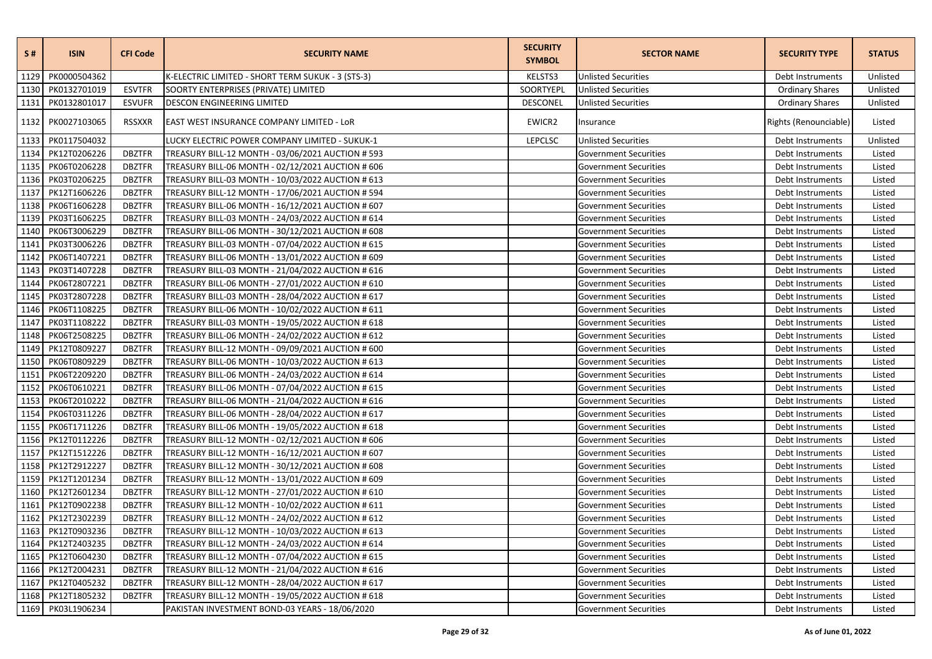| S#   | <b>ISIN</b>       | <b>CFI Code</b> | <b>SECURITY NAME</b>                              | <b>SECURITY</b><br><b>SYMBOL</b> | <b>SECTOR NAME</b>           | <b>SECURITY TYPE</b>   | <b>STATUS</b> |
|------|-------------------|-----------------|---------------------------------------------------|----------------------------------|------------------------------|------------------------|---------------|
| 1129 | PK0000504362      |                 | K-ELECTRIC LIMITED - SHORT TERM SUKUK - 3 (STS-3) | KELSTS3                          | <b>Unlisted Securities</b>   | Debt Instruments       | Unlisted      |
| 1130 | PK0132701019      | <b>ESVTFR</b>   | SOORTY ENTERPRISES (PRIVATE) LIMITED              | SOORTYEPL                        | <b>Unlisted Securities</b>   | <b>Ordinary Shares</b> | Unlisted      |
| 1131 | PK0132801017      | <b>ESVUFR</b>   | <b>DESCON ENGINEERING LIMITED</b>                 | <b>DESCONEL</b>                  | <b>Unlisted Securities</b>   | <b>Ordinary Shares</b> | Unlisted      |
| 1132 | PK0027103065      | <b>RSSXXR</b>   | EAST WEST INSURANCE COMPANY LIMITED - LOR         | EWICR2                           | Insurance                    | Rights (Renounciable)  | Listed        |
| 1133 | PK0117504032      |                 | LUCKY ELECTRIC POWER COMPANY LIMITED - SUKUK-1    | <b>LEPCLSC</b>                   | <b>Unlisted Securities</b>   | Debt Instruments       | Unlisted      |
| 1134 | PK12T0206226      | <b>DBZTFR</b>   | TREASURY BILL-12 MONTH - 03/06/2021 AUCTION # 593 |                                  | Government Securities        | Debt Instruments       | Listed        |
| 1135 | PK06T0206228      | <b>DBZTFR</b>   | TREASURY BILL-06 MONTH - 02/12/2021 AUCTION # 606 |                                  | <b>Government Securities</b> | Debt Instruments       | Listed        |
| 1136 | PK03T0206225      | <b>DBZTFR</b>   | TREASURY BILL-03 MONTH - 10/03/2022 AUCTION # 613 |                                  | <b>Government Securities</b> | Debt Instruments       | Listed        |
| 1137 | PK12T1606226      | <b>DBZTFR</b>   | TREASURY BILL-12 MONTH - 17/06/2021 AUCTION # 594 |                                  | <b>Government Securities</b> | Debt Instruments       | Listed        |
| 1138 | PK06T1606228      | <b>DBZTFR</b>   | TREASURY BILL-06 MONTH - 16/12/2021 AUCTION # 607 |                                  | <b>Government Securities</b> | Debt Instruments       | Listed        |
| 1139 | PK03T1606225      | <b>DBZTFR</b>   | TREASURY BILL-03 MONTH - 24/03/2022 AUCTION # 614 |                                  | <b>Government Securities</b> | Debt Instruments       | Listed        |
| 1140 | PK06T3006229      | <b>DBZTFR</b>   | TREASURY BILL-06 MONTH - 30/12/2021 AUCTION # 608 |                                  | <b>Government Securities</b> | Debt Instruments       | Listed        |
| 1141 | PK03T3006226      | <b>DBZTFR</b>   | TREASURY BILL-03 MONTH - 07/04/2022 AUCTION # 615 |                                  | <b>Government Securities</b> | Debt Instruments       | Listed        |
| 1142 | PK06T1407221      | <b>DBZTFR</b>   | TREASURY BILL-06 MONTH - 13/01/2022 AUCTION # 609 |                                  | <b>Government Securities</b> | Debt Instruments       | Listed        |
| 1143 | PK03T1407228      | <b>DBZTFR</b>   | TREASURY BILL-03 MONTH - 21/04/2022 AUCTION # 616 |                                  | <b>Government Securities</b> | Debt Instruments       | Listed        |
| 1144 | PK06T2807221      | <b>DBZTFR</b>   | TREASURY BILL-06 MONTH - 27/01/2022 AUCTION # 610 |                                  | <b>Government Securities</b> | Debt Instruments       | Listed        |
| 1145 | PK03T2807228      | <b>DBZTFR</b>   | TREASURY BILL-03 MONTH - 28/04/2022 AUCTION # 617 |                                  | <b>Government Securities</b> | Debt Instruments       | Listed        |
| 1146 | PK06T1108225      | <b>DBZTFR</b>   | TREASURY BILL-06 MONTH - 10/02/2022 AUCTION # 611 |                                  | <b>Government Securities</b> | Debt Instruments       | Listed        |
| 1147 | PK03T1108222      | <b>DBZTFR</b>   | TREASURY BILL-03 MONTH - 19/05/2022 AUCTION # 618 |                                  | Government Securities        | Debt Instruments       | Listed        |
| 1148 | PK06T2508225      | <b>DBZTFR</b>   | TREASURY BILL-06 MONTH - 24/02/2022 AUCTION # 612 |                                  | <b>Government Securities</b> | Debt Instruments       | Listed        |
| 1149 | PK12T0809227      | <b>DBZTFR</b>   | TREASURY BILL-12 MONTH - 09/09/2021 AUCTION # 600 |                                  | <b>Government Securities</b> | Debt Instruments       | Listed        |
| 1150 | PK06T0809229      | <b>DBZTFR</b>   | TREASURY BILL-06 MONTH - 10/03/2022 AUCTION # 613 |                                  | <b>Government Securities</b> | Debt Instruments       | Listed        |
| 1151 | PK06T2209220      | <b>DBZTFR</b>   | TREASURY BILL-06 MONTH - 24/03/2022 AUCTION # 614 |                                  | <b>Government Securities</b> | Debt Instruments       | Listed        |
| 1152 | PK06T0610221      | <b>DBZTFR</b>   | TREASURY BILL-06 MONTH - 07/04/2022 AUCTION # 615 |                                  | <b>Government Securities</b> | Debt Instruments       | Listed        |
| 1153 | PK06T2010222      | <b>DBZTFR</b>   | TREASURY BILL-06 MONTH - 21/04/2022 AUCTION # 616 |                                  | Government Securities        | Debt Instruments       | Listed        |
| 1154 | PK06T0311226      | <b>DBZTFR</b>   | TREASURY BILL-06 MONTH - 28/04/2022 AUCTION # 617 |                                  | <b>Government Securities</b> | Debt Instruments       | Listed        |
| 1155 | PK06T1711226      | <b>DBZTFR</b>   | TREASURY BILL-06 MONTH - 19/05/2022 AUCTION # 618 |                                  | <b>Government Securities</b> | Debt Instruments       | Listed        |
| 1156 | PK12T0112226      | <b>DBZTFR</b>   | TREASURY BILL-12 MONTH - 02/12/2021 AUCTION # 606 |                                  | <b>Government Securities</b> | Debt Instruments       | Listed        |
| 1157 | PK12T1512226      | <b>DBZTFR</b>   | TREASURY BILL-12 MONTH - 16/12/2021 AUCTION # 607 |                                  | <b>Government Securities</b> | Debt Instruments       | Listed        |
| 1158 | PK12T2912227      | <b>DBZTFR</b>   | TREASURY BILL-12 MONTH - 30/12/2021 AUCTION # 608 |                                  | Government Securities        | Debt Instruments       | Listed        |
| 1159 | PK12T1201234      | <b>DBZTFR</b>   | TREASURY BILL-12 MONTH - 13/01/2022 AUCTION # 609 |                                  | <b>Government Securities</b> | Debt Instruments       | Listed        |
| 1160 | PK12T2601234      | <b>DBZTFR</b>   | TREASURY BILL-12 MONTH - 27/01/2022 AUCTION # 610 |                                  | Government Securities        | Debt Instruments       | Listed        |
| 1161 | PK12T0902238      | <b>DBZTFR</b>   | TREASURY BILL-12 MONTH - 10/02/2022 AUCTION # 611 |                                  | <b>Government Securities</b> | Debt Instruments       | Listed        |
| 1162 | PK12T2302239      | <b>DBZTFR</b>   | TREASURY BILL-12 MONTH - 24/02/2022 AUCTION # 612 |                                  | <b>Government Securities</b> | Debt Instruments       | Listed        |
| 1163 | PK12T0903236      | <b>DBZTFR</b>   | TREASURY BILL-12 MONTH - 10/03/2022 AUCTION # 613 |                                  | <b>Government Securities</b> | Debt Instruments       | Listed        |
| 1164 | PK12T2403235      | <b>DBZTFR</b>   | TREASURY BILL-12 MONTH - 24/03/2022 AUCTION # 614 |                                  | <b>Government Securities</b> | Debt Instruments       | Listed        |
| 1165 | PK12T0604230      | <b>DBZTFR</b>   | TREASURY BILL-12 MONTH - 07/04/2022 AUCTION # 615 |                                  | <b>Government Securities</b> | Debt Instruments       | Listed        |
| 1166 | PK12T2004231      | <b>DBZTFR</b>   | TREASURY BILL-12 MONTH - 21/04/2022 AUCTION # 616 |                                  | <b>Government Securities</b> | Debt Instruments       | Listed        |
| 1167 | PK12T0405232      | <b>DBZTFR</b>   | TREASURY BILL-12 MONTH - 28/04/2022 AUCTION # 617 |                                  | <b>Government Securities</b> | Debt Instruments       | Listed        |
| 1168 | PK12T1805232      | <b>DBZTFR</b>   | TREASURY BILL-12 MONTH - 19/05/2022 AUCTION # 618 |                                  | <b>Government Securities</b> | Debt Instruments       | Listed        |
|      | 1169 PK03L1906234 |                 | PAKISTAN INVESTMENT BOND-03 YEARS - 18/06/2020    |                                  | <b>Government Securities</b> | Debt Instruments       | Listed        |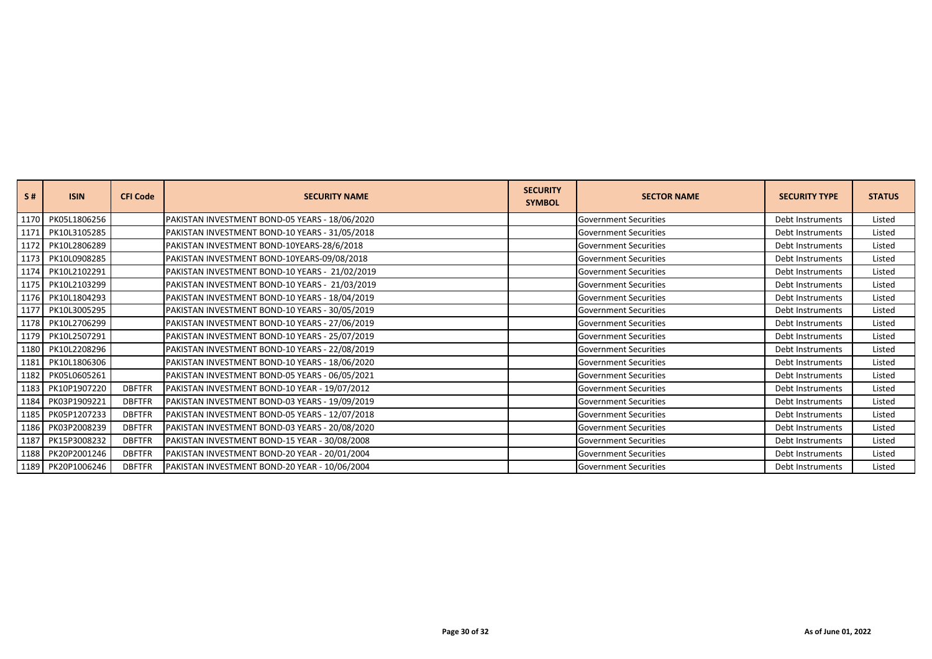| S#   | <b>ISIN</b>       | <b>CFI Code</b> | <b>SECURITY NAME</b>                           | <b>SECURITY</b><br><b>SYMBOL</b> | <b>SECTOR NAME</b>           | <b>SECURITY TYPE</b> | <b>STATUS</b> |
|------|-------------------|-----------------|------------------------------------------------|----------------------------------|------------------------------|----------------------|---------------|
| 1170 | PK05L1806256      |                 | PAKISTAN INVESTMENT BOND-05 YEARS - 18/06/2020 |                                  | <b>Government Securities</b> | Debt Instruments     | Listed        |
|      | 1171 PK10L3105285 |                 | PAKISTAN INVESTMENT BOND-10 YEARS - 31/05/2018 |                                  | <b>Government Securities</b> | Debt Instruments     | Listed        |
|      | 1172 PK10L2806289 |                 | PAKISTAN INVESTMENT BOND-10YEARS-28/6/2018     |                                  | <b>Government Securities</b> | Debt Instruments     | Listed        |
|      | 1173 PK10L0908285 |                 | PAKISTAN INVESTMENT BOND-10YEARS-09/08/2018    |                                  | <b>Government Securities</b> | Debt Instruments     | Listed        |
|      | 1174 PK10L2102291 |                 | PAKISTAN INVESTMENT BOND-10 YEARS - 21/02/2019 |                                  | <b>Government Securities</b> | Debt Instruments     | Listed        |
|      | 1175 PK10L2103299 |                 | PAKISTAN INVESTMENT BOND-10 YEARS - 21/03/2019 |                                  | <b>Government Securities</b> | Debt Instruments     | Listed        |
|      | 1176 PK10L1804293 |                 | PAKISTAN INVESTMENT BOND-10 YEARS - 18/04/2019 |                                  | <b>Government Securities</b> | Debt Instruments     | Listed        |
|      | 1177 PK10L3005295 |                 | PAKISTAN INVESTMENT BOND-10 YEARS - 30/05/2019 |                                  | <b>Government Securities</b> | Debt Instruments     | Listed        |
|      | 1178 PK10L2706299 |                 | PAKISTAN INVESTMENT BOND-10 YEARS - 27/06/2019 |                                  | <b>Government Securities</b> | Debt Instruments     | Listed        |
|      | 1179 PK10L2507291 |                 | PAKISTAN INVESTMENT BOND-10 YEARS - 25/07/2019 |                                  | <b>Government Securities</b> | Debt Instruments     | Listed        |
|      | 1180 PK10L2208296 |                 | PAKISTAN INVESTMENT BOND-10 YEARS - 22/08/2019 |                                  | Government Securities        | Debt Instruments     | Listed        |
|      | 1181 PK10L1806306 |                 | PAKISTAN INVESTMENT BOND-10 YEARS - 18/06/2020 |                                  | <b>Government Securities</b> | Debt Instruments     | Listed        |
|      | 1182 PK05L0605261 |                 | PAKISTAN INVESTMENT BOND-05 YEARS - 06/05/2021 |                                  | <b>Government Securities</b> | Debt Instruments     | Listed        |
|      | 1183 PK10P1907220 | <b>DBFTFR</b>   | PAKISTAN INVESTMENT BOND-10 YEAR - 19/07/2012  |                                  | <b>Government Securities</b> | Debt Instruments     | Listed        |
|      | 1184 PK03P1909221 | <b>DBFTFR</b>   | PAKISTAN INVESTMENT BOND-03 YEARS - 19/09/2019 |                                  | <b>Government Securities</b> | Debt Instruments     | Listed        |
|      | 1185 PK05P1207233 | <b>DBFTFR</b>   | PAKISTAN INVESTMENT BOND-05 YEARS - 12/07/2018 |                                  | <b>Government Securities</b> | Debt Instruments     | Listed        |
|      | 1186 PK03P2008239 | <b>DBFTFR</b>   | PAKISTAN INVESTMENT BOND-03 YEARS - 20/08/2020 |                                  | <b>Government Securities</b> | Debt Instruments     | Listed        |
|      | 1187 PK15P3008232 | <b>DBFTFR</b>   | PAKISTAN INVESTMENT BOND-15 YEAR - 30/08/2008  |                                  | <b>Government Securities</b> | Debt Instruments     | Listed        |
|      | 1188 PK20P2001246 | <b>DBFTFR</b>   | PAKISTAN INVESTMENT BOND-20 YEAR - 20/01/2004  |                                  | <b>Government Securities</b> | Debt Instruments     | Listed        |
|      | 1189 PK20P1006246 | <b>DBFTFR</b>   | PAKISTAN INVESTMENT BOND-20 YEAR - 10/06/2004  |                                  | <b>Government Securities</b> | Debt Instruments     | Listed        |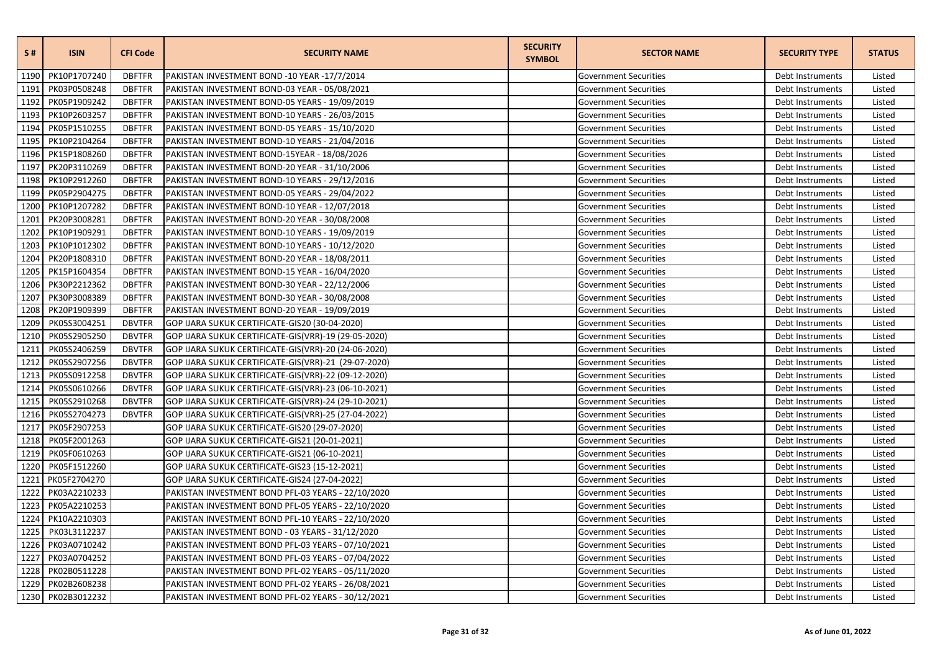| <b>S#</b> | <b>ISIN</b>       | <b>CFI Code</b> | <b>SECURITY NAME</b>                                 | <b>SECURITY</b><br><b>SYMBOL</b> | <b>SECTOR NAME</b>           | <b>SECURITY TYPE</b> | <b>STATUS</b> |
|-----------|-------------------|-----------------|------------------------------------------------------|----------------------------------|------------------------------|----------------------|---------------|
| 1190      | PK10P1707240      | <b>DBFTFR</b>   | PAKISTAN INVESTMENT BOND -10 YEAR -17/7/2014         |                                  | <b>Government Securities</b> | Debt Instruments     | Listed        |
| 1191      | PK03P0508248      | <b>DBFTFR</b>   | PAKISTAN INVESTMENT BOND-03 YEAR - 05/08/2021        |                                  | Government Securities        | Debt Instruments     | Listed        |
| 1192      | PK05P1909242      | <b>DBFTFR</b>   | PAKISTAN INVESTMENT BOND-05 YEARS - 19/09/2019       |                                  | <b>Government Securities</b> | Debt Instruments     | Listed        |
| 1193      | PK10P2603257      | <b>DBFTFR</b>   | PAKISTAN INVESTMENT BOND-10 YEARS - 26/03/2015       |                                  | <b>Government Securities</b> | Debt Instruments     | Listed        |
| 1194      | PK05P1510255      | <b>DBFTFR</b>   | PAKISTAN INVESTMENT BOND-05 YEARS - 15/10/2020       |                                  | <b>Government Securities</b> | Debt Instruments     | Listed        |
| 1195      | PK10P2104264      | <b>DBFTFR</b>   | PAKISTAN INVESTMENT BOND-10 YEARS - 21/04/2016       |                                  | Government Securities        | Debt Instruments     | Listed        |
| 1196      | PK15P1808260      | <b>DBFTFR</b>   | PAKISTAN INVESTMENT BOND-15YEAR - 18/08/2026         |                                  | <b>Government Securities</b> | Debt Instruments     | Listed        |
| 1197      | PK20P3110269      | <b>DBFTFR</b>   | PAKISTAN INVESTMENT BOND-20 YEAR - 31/10/2006        |                                  | <b>Government Securities</b> | Debt Instruments     | Listed        |
| 1198      | PK10P2912260      | <b>DBFTFR</b>   | PAKISTAN INVESTMENT BOND-10 YEARS - 29/12/2016       |                                  | Government Securities        | Debt Instruments     | Listed        |
| 1199      | PK05P2904275      | <b>DBFTFR</b>   | PAKISTAN INVESTMENT BOND-05 YEARS - 29/04/2022       |                                  | <b>Government Securities</b> | Debt Instruments     | Listed        |
| 1200      | PK10P1207282      | <b>DBFTFR</b>   | PAKISTAN INVESTMENT BOND-10 YEAR - 12/07/2018        |                                  | <b>Government Securities</b> | Debt Instruments     | Listed        |
| 1201      | PK20P3008281      | <b>DBFTFR</b>   | PAKISTAN INVESTMENT BOND-20 YEAR - 30/08/2008        |                                  | <b>Government Securities</b> | Debt Instruments     | Listed        |
| 1202      | PK10P1909291      | <b>DBFTFR</b>   | PAKISTAN INVESTMENT BOND-10 YEARS - 19/09/2019       |                                  | <b>Government Securities</b> | Debt Instruments     | Listed        |
| 1203      | PK10P1012302      | <b>DBFTFR</b>   | PAKISTAN INVESTMENT BOND-10 YEARS - 10/12/2020       |                                  | <b>Government Securities</b> | Debt Instruments     | Listed        |
| 1204      | PK20P1808310      | <b>DBFTFR</b>   | PAKISTAN INVESTMENT BOND-20 YEAR - 18/08/2011        |                                  | <b>Government Securities</b> | Debt Instruments     | Listed        |
| 1205      | PK15P1604354      | <b>DBFTFR</b>   | PAKISTAN INVESTMENT BOND-15 YEAR - 16/04/2020        |                                  | Government Securities        | Debt Instruments     | Listed        |
| 1206      | PK30P2212362      | <b>DBFTFR</b>   | PAKISTAN INVESTMENT BOND-30 YEAR - 22/12/2006        |                                  | <b>Government Securities</b> | Debt Instruments     | Listed        |
| 1207      | PK30P3008389      | <b>DBFTFR</b>   | PAKISTAN INVESTMENT BOND-30 YEAR - 30/08/2008        |                                  | <b>Government Securities</b> | Debt Instruments     | Listed        |
| 1208      | PK20P1909399      | <b>DBFTFR</b>   | PAKISTAN INVESTMENT BOND-20 YEAR - 19/09/2019        |                                  | <b>Government Securities</b> | Debt Instruments     | Listed        |
| 1209      | PK05S3004251      | <b>DBVTFR</b>   | GOP IJARA SUKUK CERTIFICATE-GIS20 (30-04-2020)       |                                  | Government Securities        | Debt Instruments     | Listed        |
| 1210      | PK05S2905250      | <b>DBVTFR</b>   | GOP IJARA SUKUK CERTIFICATE-GIS(VRR)-19 (29-05-2020) |                                  | <b>Government Securities</b> | Debt Instruments     | Listed        |
| 1211      | PK05S2406259      | <b>DBVTFR</b>   | GOP IJARA SUKUK CERTIFICATE-GIS(VRR)-20 (24-06-2020) |                                  | <b>Government Securities</b> | Debt Instruments     | Listed        |
| 1212      | PK05S2907256      | <b>DBVTFR</b>   | GOP IJARA SUKUK CERTIFICATE-GIS(VRR)-21 (29-07-2020) |                                  | Government Securities        | Debt Instruments     | Listed        |
| 1213      | PK05S0912258      | <b>DBVTFR</b>   | GOP IJARA SUKUK CERTIFICATE-GIS(VRR)-22 (09-12-2020) |                                  | <b>Government Securities</b> | Debt Instruments     | Listed        |
| 1214      | PK05S0610266      | <b>DBVTFR</b>   | GOP IJARA SUKUK CERTIFICATE-GIS(VRR)-23 (06-10-2021) |                                  | <b>Government Securities</b> | Debt Instruments     | Listed        |
| 1215      | PK05S2910268      | <b>DBVTFR</b>   | GOP IJARA SUKUK CERTIFICATE-GIS(VRR)-24 (29-10-2021) |                                  | <b>Government Securities</b> | Debt Instruments     | Listed        |
| 1216      | PK05S2704273      | <b>DBVTFR</b>   | GOP IJARA SUKUK CERTIFICATE-GIS(VRR)-25 (27-04-2022) |                                  | Government Securities        | Debt Instruments     | Listed        |
| 1217      | PK05F2907253      |                 | GOP IJARA SUKUK CERTIFICATE-GIS20 (29-07-2020)       |                                  | <b>Government Securities</b> | Debt Instruments     | Listed        |
| 1218      | PK05F2001263      |                 | GOP IJARA SUKUK CERTIFICATE-GIS21 (20-01-2021)       |                                  | Government Securities        | Debt Instruments     | Listed        |
| 1219      | PK05F0610263      |                 | GOP IJARA SUKUK CERTIFICATE-GIS21 (06-10-2021)       |                                  | Government Securities        | Debt Instruments     | Listed        |
| 1220      | PK05F1512260      |                 | GOP IJARA SUKUK CERTIFICATE-GIS23 (15-12-2021)       |                                  | <b>Government Securities</b> | Debt Instruments     | Listed        |
| 1221      | PK05F2704270      |                 | GOP IJARA SUKUK CERTIFICATE-GIS24 (27-04-2022)       |                                  | <b>Government Securities</b> | Debt Instruments     | Listed        |
| 1222      | PK03A2210233      |                 | PAKISTAN INVESTMENT BOND PFL-03 YEARS - 22/10/2020   |                                  | <b>Government Securities</b> | Debt Instruments     | Listed        |
| 1223      | PK05A2210253      |                 | PAKISTAN INVESTMENT BOND PFL-05 YEARS - 22/10/2020   |                                  | Government Securities        | Debt Instruments     | Listed        |
| 1224      | PK10A2210303      |                 | PAKISTAN INVESTMENT BOND PFL-10 YEARS - 22/10/2020   |                                  | <b>Government Securities</b> | Debt Instruments     | Listed        |
| 1225      | PK03L3112237      |                 | PAKISTAN INVESTMENT BOND - 03 YEARS - 31/12/2020     |                                  | Government Securities        | Debt Instruments     | Listed        |
| 1226      | PK03A0710242      |                 | PAKISTAN INVESTMENT BOND PFL-03 YEARS - 07/10/2021   |                                  | <b>Government Securities</b> | Debt Instruments     | Listed        |
| 1227      | PK03A0704252      |                 | PAKISTAN INVESTMENT BOND PFL-03 YEARS - 07/04/2022   |                                  | <b>Government Securities</b> | Debt Instruments     | Listed        |
| 1228      | PK02B0511228      |                 | PAKISTAN INVESTMENT BOND PFL-02 YEARS - 05/11/2020   |                                  | <b>Government Securities</b> | Debt Instruments     | Listed        |
| 1229      | PK02B2608238      |                 | PAKISTAN INVESTMENT BOND PFL-02 YEARS - 26/08/2021   |                                  | <b>Government Securities</b> | Debt Instruments     | Listed        |
|           | 1230 PK02B3012232 |                 | PAKISTAN INVESTMENT BOND PFL-02 YEARS - 30/12/2021   |                                  | <b>Government Securities</b> | Debt Instruments     | Listed        |